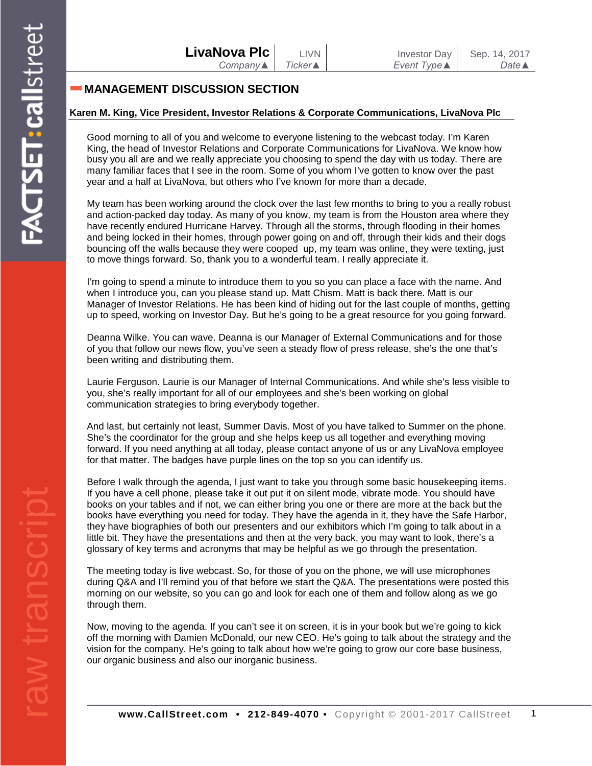## **MANAGEMENT DISCUSSION SECTION**

#### **Karen M. King, Vice President, Investor Relations & Corporate Communications, LivaNova Plc**

Good morning to all of you and welcome to everyone listening to the webcast today. I'm Karen King, the head of Investor Relations and Corporate Communications for LivaNova. We know how busy you all are and we really appreciate you choosing to spend the day with us today. There are many familiar faces that I see in the room. Some of you whom I've gotten to know over the past year and a half at LivaNova, but others who I've known for more than a decade.

My team has been working around the clock over the last few months to bring to you a really robust and action-packed day today. As many of you know, my team is from the Houston area where they have recently endured Hurricane Harvey. Through all the storms, through flooding in their homes and being locked in their homes, through power going on and off, through their kids and their dogs bouncing off the walls because they were cooped up, my team was online, they were texting, just to move things forward. So, thank you to a wonderful team. I really appreciate it.

I'm going to spend a minute to introduce them to you so you can place a face with the name. And when I introduce you, can you please stand up. Matt Chism. Matt is back there. Matt is our Manager of Investor Relations. He has been kind of hiding out for the last couple of months, getting up to speed, working on Investor Day. But he's going to be a great resource for you going forward.

Deanna Wilke. You can wave. Deanna is our Manager of External Communications and for those of you that follow our news flow, you've seen a steady flow of press release, she's the one that's been writing and distributing them.

Laurie Ferguson. Laurie is our Manager of Internal Communications. And while she's less visible to you, she's really important for all of our employees and she's been working on global communication strategies to bring everybody together.

And last, but certainly not least, Summer Davis. Most of you have talked to Summer on the phone. She's the coordinator for the group and she helps keep us all together and everything moving forward. If you need anything at all today, please contact anyone of us or any LivaNova employee for that matter. The badges have purple lines on the top so you can identify us.

Before I walk through the agenda, I just want to take you through some basic housekeeping items. If you have a cell phone, please take it out put it on silent mode, vibrate mode. You should have books on your tables and if not, we can either bring you one or there are more at the back but the books have everything you need for today. They have the agenda in it, they have the Safe Harbor, they have biographies of both our presenters and our exhibitors which I'm going to talk about in a little bit. They have the presentations and then at the very back, you may want to look, there's a glossary of key terms and acronyms that may be helpful as we go through the presentation.

The meeting today is live webcast. So, for those of you on the phone, we will use microphones during Q&A and I'll remind you of that before we start the Q&A. The presentations were posted this morning on our website, so you can go and look for each one of them and follow along as we go through them.

Now, moving to the agenda. If you can't see it on screen, it is in your book but we're going to kick off the morning with Damien McDonald, our new CEO. He's going to talk about the strategy and the vision for the company. He's going to talk about how we're going to grow our core base business, our organic business and also our inorganic business.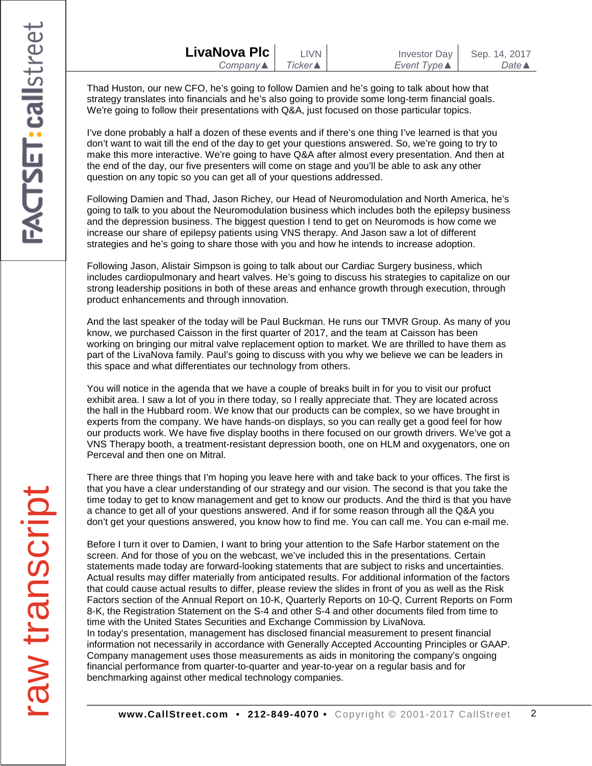| LivaNova Plc             | LIVN <b>D</b> | <b>Investor Day</b> | Sep. 14, 2017    |
|--------------------------|---------------|---------------------|------------------|
| Company $\blacktriangle$ | Ticker▲       | Event Type ▲        | Date $\triangle$ |

Thad Huston, our new CFO, he's going to follow Damien and he's going to talk about how that strategy translates into financials and he's also going to provide some long-term financial goals. We're going to follow their presentations with Q&A, just focused on those particular topics.

I've done probably a half a dozen of these events and if there's one thing I've learned is that you don't want to wait till the end of the day to get your questions answered. So, we're going to try to make this more interactive. We're going to have Q&A after almost every presentation. And then at the end of the day, our five presenters will come on stage and you'll be able to ask any other question on any topic so you can get all of your questions addressed.

Following Damien and Thad, Jason Richey, our Head of Neuromodulation and North America, he's going to talk to you about the Neuromodulation business which includes both the epilepsy business and the depression business. The biggest question I tend to get on Neuromods is how come we increase our share of epilepsy patients using VNS therapy. And Jason saw a lot of different strategies and he's going to share those with you and how he intends to increase adoption.

Following Jason, Alistair Simpson is going to talk about our Cardiac Surgery business, which includes cardiopulmonary and heart valves. He's going to discuss his strategies to capitalize on our strong leadership positions in both of these areas and enhance growth through execution, through product enhancements and through innovation.

And the last speaker of the today will be Paul Buckman. He runs our TMVR Group. As many of you know, we purchased Caisson in the first quarter of 2017, and the team at Caisson has been working on bringing our mitral valve replacement option to market. We are thrilled to have them as part of the LivaNova family. Paul's going to discuss with you why we believe we can be leaders in this space and what differentiates our technology from others.

You will notice in the agenda that we have a couple of breaks built in for you to visit our profuct exhibit area. I saw a lot of you in there today, so I really appreciate that. They are located across the hall in the Hubbard room. We know that our products can be complex, so we have brought in experts from the company. We have hands-on displays, so you can really get a good feel for how our products work. We have five display booths in there focused on our growth drivers. We've got a VNS Therapy booth, a treatment-resistant depression booth, one on HLM and oxygenators, one on Perceval and then one on Mitral.

There are three things that I'm hoping you leave here with and take back to your offices. The first is that you have a clear understanding of our strategy and our vision. The second is that you take the time today to get to know management and get to know our products. And the third is that you have a chance to get all of your questions answered. And if for some reason through all the Q&A you don't get your questions answered, you know how to find me. You can call me. You can e-mail me.

Before I turn it over to Damien, I want to bring your attention to the Safe Harbor statement on the screen. And for those of you on the webcast, we've included this in the presentations. Certain statements made today are forward-looking statements that are subject to risks and uncertainties. Actual results may differ materially from anticipated results. For additional information of the factors that could cause actual results to differ, please review the slides in front of you as well as the Risk Factors section of the Annual Report on 10-K, Quarterly Reports on 10-Q, Current Reports on Form 8-K, the Registration Statement on the S-4 and other S-4 and other documents filed from time to time with the United States Securities and Exchange Commission by LivaNova. In today's presentation, management has disclosed financial measurement to present financial information not necessarily in accordance with Generally Accepted Accounting Principles or GAAP. Company management uses those measurements as aids in monitoring the company's ongoing financial performance from quarter-to-quarter and year-to-year on a regular basis and for benchmarking against other medical technology companies.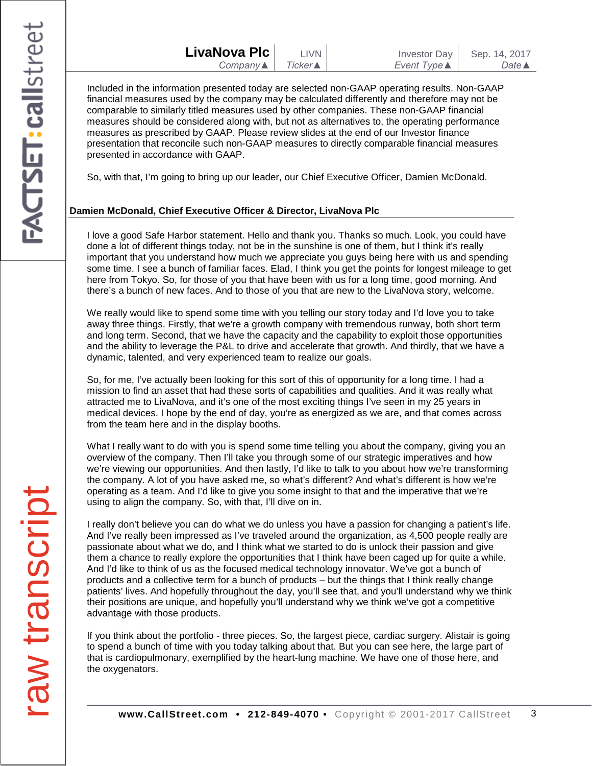Included in the information presented today are selected non-GAAP operating results. Non-GAAP financial measures used by the company may be calculated differently and therefore may not be comparable to similarly titled measures used by other companies. These non-GAAP financial measures should be considered along with, but not as alternatives to, the operating performance measures as prescribed by GAAP. Please review slides at the end of our Investor finance presentation that reconcile such non-GAAP measures to directly comparable financial measures presented in accordance with GAAP.

So, with that, I'm going to bring up our leader, our Chief Executive Officer, Damien McDonald.

## **Damien McDonald, Chief Executive Officer & Director, LivaNova Plc**

I love a good Safe Harbor statement. Hello and thank you. Thanks so much. Look, you could have done a lot of different things today, not be in the sunshine is one of them, but I think it's really important that you understand how much we appreciate you guys being here with us and spending some time. I see a bunch of familiar faces. Elad, I think you get the points for longest mileage to get here from Tokyo. So, for those of you that have been with us for a long time, good morning. And there's a bunch of new faces. And to those of you that are new to the LivaNova story, welcome.

We really would like to spend some time with you telling our story today and I'd love you to take away three things. Firstly, that we're a growth company with tremendous runway, both short term and long term. Second, that we have the capacity and the capability to exploit those opportunities and the ability to leverage the P&L to drive and accelerate that growth. And thirdly, that we have a dynamic, talented, and very experienced team to realize our goals.

So, for me, I've actually been looking for this sort of this of opportunity for a long time. I had a mission to find an asset that had these sorts of capabilities and qualities. And it was really what attracted me to LivaNova, and it's one of the most exciting things I've seen in my 25 years in medical devices. I hope by the end of day, you're as energized as we are, and that comes across from the team here and in the display booths.

What I really want to do with you is spend some time telling you about the company, giving you an overview of the company. Then I'll take you through some of our strategic imperatives and how we're viewing our opportunities. And then lastly, I'd like to talk to you about how we're transforming the company. A lot of you have asked me, so what's different? And what's different is how we're operating as a team. And I'd like to give you some insight to that and the imperative that we're using to align the company. So, with that, I'll dive on in.

I really don't believe you can do what we do unless you have a passion for changing a patient's life. And I've really been impressed as I've traveled around the organization, as 4,500 people really are passionate about what we do, and I think what we started to do is unlock their passion and give them a chance to really explore the opportunities that I think have been caged up for quite a while. And I'd like to think of us as the focused medical technology innovator. We've got a bunch of products and a collective term for a bunch of products – but the things that I think really change patients' lives. And hopefully throughout the day, you'll see that, and you'll understand why we think their positions are unique, and hopefully you'll understand why we think we've got a competitive advantage with those products.

If you think about the portfolio - three pieces. So, the largest piece, cardiac surgery. Alistair is going to spend a bunch of time with you today talking about that. But you can see here, the large part of that is cardiopulmonary, exemplified by the heart-lung machine. We have one of those here, and the oxygenators.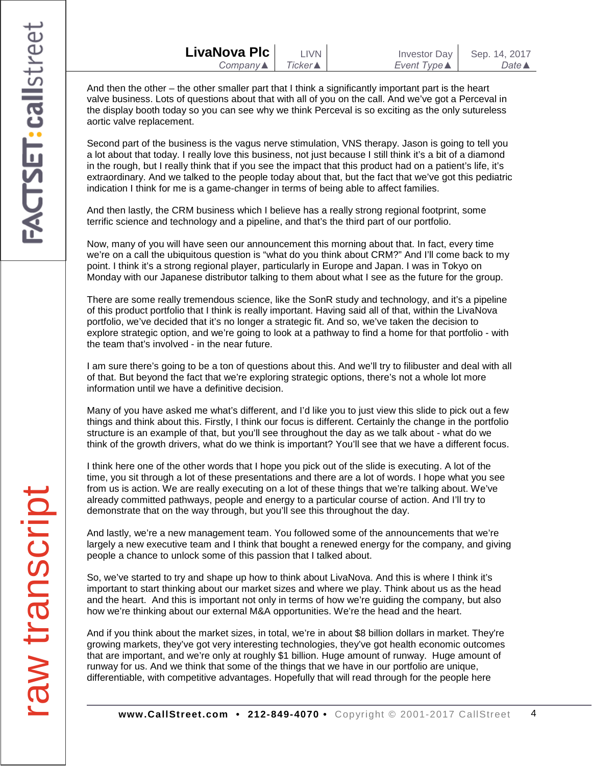| LivaNova Plc             | <b>LIVN</b>     | Investor Day        | Sep. 14, 2017    |
|--------------------------|-----------------|---------------------|------------------|
| Company $\blacktriangle$ | <b>Ticker</b> ▲ | Event Type <b>▲</b> | Date $\triangle$ |

And then the other – the other smaller part that I think a significantly important part is the heart valve business. Lots of questions about that with all of you on the call. And we've got a Perceval in the display booth today so you can see why we think Perceval is so exciting as the only sutureless aortic valve replacement.

Second part of the business is the vagus nerve stimulation, VNS therapy. Jason is going to tell you a lot about that today. I really love this business, not just because I still think it's a bit of a diamond in the rough, but I really think that if you see the impact that this product had on a patient's life, it's extraordinary. And we talked to the people today about that, but the fact that we've got this pediatric indication I think for me is a game-changer in terms of being able to affect families.

And then lastly, the CRM business which I believe has a really strong regional footprint, some terrific science and technology and a pipeline, and that's the third part of our portfolio.

Now, many of you will have seen our announcement this morning about that. In fact, every time we're on a call the ubiquitous question is "what do you think about CRM?" And I'll come back to my point. I think it's a strong regional player, particularly in Europe and Japan. I was in Tokyo on Monday with our Japanese distributor talking to them about what I see as the future for the group.

There are some really tremendous science, like the SonR study and technology, and it's a pipeline of this product portfolio that I think is really important. Having said all of that, within the LivaNova portfolio, we've decided that it's no longer a strategic fit. And so, we've taken the decision to explore strategic option, and we're going to look at a pathway to find a home for that portfolio - with the team that's involved - in the near future.

I am sure there's going to be a ton of questions about this. And we'll try to filibuster and deal with all of that. But beyond the fact that we're exploring strategic options, there's not a whole lot more information until we have a definitive decision.

Many of you have asked me what's different, and I'd like you to just view this slide to pick out a few things and think about this. Firstly, I think our focus is different. Certainly the change in the portfolio structure is an example of that, but you'll see throughout the day as we talk about - what do we think of the growth drivers, what do we think is important? You'll see that we have a different focus.

I think here one of the other words that I hope you pick out of the slide is executing. A lot of the time, you sit through a lot of these presentations and there are a lot of words. I hope what you see from us is action. We are really executing on a lot of these things that we're talking about. We've already committed pathways, people and energy to a particular course of action. And I'll try to demonstrate that on the way through, but you'll see this throughout the day.

And lastly, we're a new management team. You followed some of the announcements that we're largely a new executive team and I think that bought a renewed energy for the company, and giving people a chance to unlock some of this passion that I talked about.

So, we've started to try and shape up how to think about LivaNova. And this is where I think it's important to start thinking about our market sizes and where we play. Think about us as the head and the heart. And this is important not only in terms of how we're guiding the company, but also how we're thinking about our external M&A opportunities. We're the head and the heart.

And if you think about the market sizes, in total, we're in about \$8 billion dollars in market. They're growing markets, they've got very interesting technologies, they've got health economic outcomes that are important, and we're only at roughly \$1 billion. Huge amount of runway. Huge amount of runway for us. And we think that some of the things that we have in our portfolio are unique, differentiable, with competitive advantages. Hopefully that will read through for the people here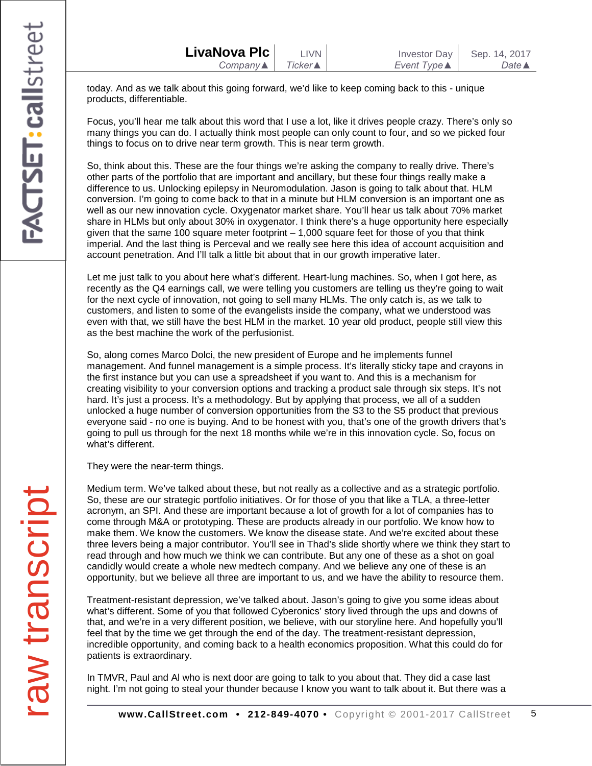today. And as we talk about this going forward, we'd like to keep coming back to this - unique products, differentiable.

Focus, you'll hear me talk about this word that I use a lot, like it drives people crazy. There's only so many things you can do. I actually think most people can only count to four, and so we picked four things to focus on to drive near term growth. This is near term growth.

So, think about this. These are the four things we're asking the company to really drive. There's other parts of the portfolio that are important and ancillary, but these four things really make a difference to us. Unlocking epilepsy in Neuromodulation. Jason is going to talk about that. HLM conversion. I'm going to come back to that in a minute but HLM conversion is an important one as well as our new innovation cycle. Oxygenator market share. You'll hear us talk about 70% market share in HLMs but only about 30% in oxygenator. I think there's a huge opportunity here especially given that the same 100 square meter footprint  $-1,000$  square feet for those of you that think imperial. And the last thing is Perceval and we really see here this idea of account acquisition and account penetration. And I'll talk a little bit about that in our growth imperative later.

Let me just talk to you about here what's different. Heart-lung machines. So, when I got here, as recently as the Q4 earnings call, we were telling you customers are telling us they're going to wait for the next cycle of innovation, not going to sell many HLMs. The only catch is, as we talk to customers, and listen to some of the evangelists inside the company, what we understood was even with that, we still have the best HLM in the market. 10 year old product, people still view this as the best machine the work of the perfusionist.

So, along comes Marco Dolci, the new president of Europe and he implements funnel management. And funnel management is a simple process. It's literally sticky tape and crayons in the first instance but you can use a spreadsheet if you want to. And this is a mechanism for creating visibility to your conversion options and tracking a product sale through six steps. It's not hard. It's just a process. It's a methodology. But by applying that process, we all of a sudden unlocked a huge number of conversion opportunities from the S3 to the S5 product that previous everyone said - no one is buying. And to be honest with you, that's one of the growth drivers that's going to pull us through for the next 18 months while we're in this innovation cycle. So, focus on what's different.

They were the near-term things.

Medium term. We've talked about these, but not really as a collective and as a strategic portfolio. So, these are our strategic portfolio initiatives. Or for those of you that like a TLA, a three-letter acronym, an SPI. And these are important because a lot of growth for a lot of companies has to come through M&A or prototyping. These are products already in our portfolio. We know how to make them. We know the customers. We know the disease state. And we're excited about these three levers being a major contributor. You'll see in Thad's slide shortly where we think they start to read through and how much we think we can contribute. But any one of these as a shot on goal candidly would create a whole new medtech company. And we believe any one of these is an opportunity, but we believe all three are important to us, and we have the ability to resource them.

Treatment-resistant depression, we've talked about. Jason's going to give you some ideas about what's different. Some of you that followed Cyberonics' story lived through the ups and downs of that, and we're in a very different position, we believe, with our storyline here. And hopefully you'll feel that by the time we get through the end of the day. The treatment-resistant depression, incredible opportunity, and coming back to a health economics proposition. What this could do for patients is extraordinary.

In TMVR, Paul and Al who is next door are going to talk to you about that. They did a case last night. I'm not going to steal your thunder because I know you want to talk about it. But there was a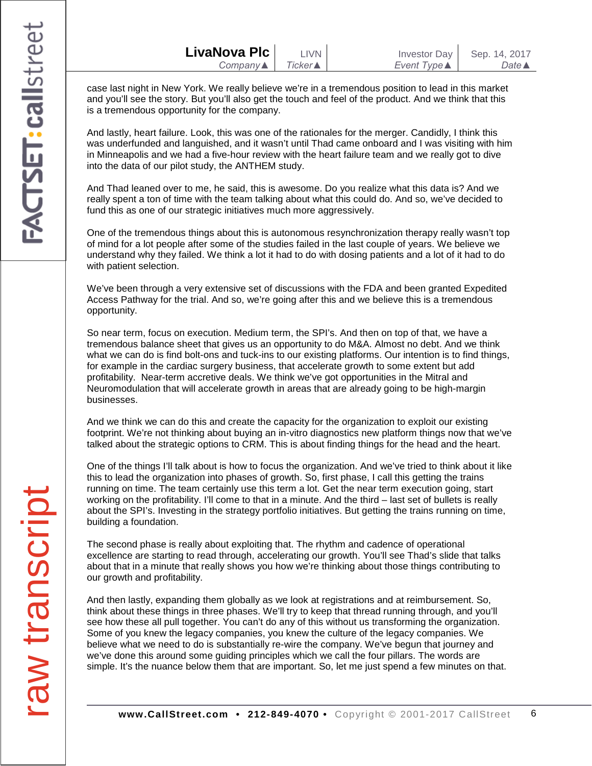| LivaNova Plc             | <b>LIVN</b>     | Investor Day        | Sep. 14, 2017    |
|--------------------------|-----------------|---------------------|------------------|
| Company $\blacktriangle$ | Ticker <b>▲</b> | Event Type <b>▲</b> | Date $\triangle$ |

case last night in New York. We really believe we're in a tremendous position to lead in this market and you'll see the story. But you'll also get the touch and feel of the product. And we think that this is a tremendous opportunity for the company.

And lastly, heart failure. Look, this was one of the rationales for the merger. Candidly, I think this was underfunded and languished, and it wasn't until Thad came onboard and I was visiting with him in Minneapolis and we had a five-hour review with the heart failure team and we really got to dive into the data of our pilot study, the ANTHEM study.

And Thad leaned over to me, he said, this is awesome. Do you realize what this data is? And we really spent a ton of time with the team talking about what this could do. And so, we've decided to fund this as one of our strategic initiatives much more aggressively.

One of the tremendous things about this is autonomous resynchronization therapy really wasn't top of mind for a lot people after some of the studies failed in the last couple of years. We believe we understand why they failed. We think a lot it had to do with dosing patients and a lot of it had to do with patient selection.

We've been through a very extensive set of discussions with the FDA and been granted Expedited Access Pathway for the trial. And so, we're going after this and we believe this is a tremendous opportunity.

So near term, focus on execution. Medium term, the SPI's. And then on top of that, we have a tremendous balance sheet that gives us an opportunity to do M&A. Almost no debt. And we think what we can do is find bolt-ons and tuck-ins to our existing platforms. Our intention is to find things, for example in the cardiac surgery business, that accelerate growth to some extent but add profitability. Near-term accretive deals. We think we've got opportunities in the Mitral and Neuromodulation that will accelerate growth in areas that are already going to be high-margin businesses.

And we think we can do this and create the capacity for the organization to exploit our existing footprint. We're not thinking about buying an in-vitro diagnostics new platform things now that we've talked about the strategic options to CRM. This is about finding things for the head and the heart.

One of the things I'll talk about is how to focus the organization. And we've tried to think about it like this to lead the organization into phases of growth. So, first phase, I call this getting the trains running on time. The team certainly use this term a lot. Get the near term execution going, start working on the profitability. I'll come to that in a minute. And the third – last set of bullets is really about the SPI's. Investing in the strategy portfolio initiatives. But getting the trains running on time, building a foundation.

The second phase is really about exploiting that. The rhythm and cadence of operational excellence are starting to read through, accelerating our growth. You'll see Thad's slide that talks about that in a minute that really shows you how we're thinking about those things contributing to our growth and profitability.

And then lastly, expanding them globally as we look at registrations and at reimbursement. So, think about these things in three phases. We'll try to keep that thread running through, and you'll see how these all pull together. You can't do any of this without us transforming the organization. Some of you knew the legacy companies, you knew the culture of the legacy companies. We believe what we need to do is substantially re-wire the company. We've begun that journey and we've done this around some guiding principles which we call the four pillars. The words are simple. It's the nuance below them that are important. So, let me just spend a few minutes on that.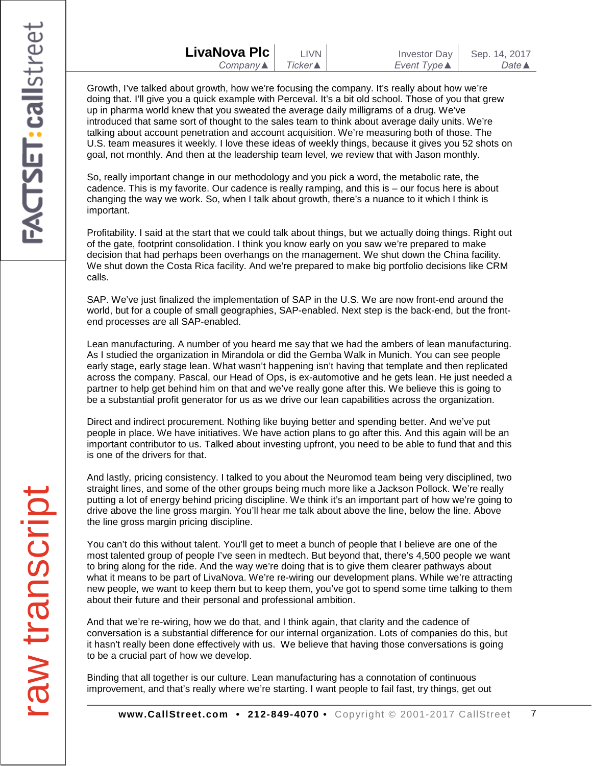| LivaNova Plc | T IVN           |  |
|--------------|-----------------|--|
| $Company$    | <b>Ticker</b> ▲ |  |
|              |                 |  |

Growth, I've talked about growth, how we're focusing the company. It's really about how we're doing that. I'll give you a quick example with Perceval. It's a bit old school. Those of you that grew up in pharma world knew that you sweated the average daily milligrams of a drug. We've introduced that same sort of thought to the sales team to think about average daily units. We're talking about account penetration and account acquisition. We're measuring both of those. The U.S. team measures it weekly. I love these ideas of weekly things, because it gives you 52 shots on goal, not monthly. And then at the leadership team level, we review that with Jason monthly.

So, really important change in our methodology and you pick a word, the metabolic rate, the cadence. This is my favorite. Our cadence is really ramping, and this is – our focus here is about changing the way we work. So, when I talk about growth, there's a nuance to it which I think is important.

Profitability. I said at the start that we could talk about things, but we actually doing things. Right out of the gate, footprint consolidation. I think you know early on you saw we're prepared to make decision that had perhaps been overhangs on the management. We shut down the China facility. We shut down the Costa Rica facility. And we're prepared to make big portfolio decisions like CRM calls.

SAP. We've just finalized the implementation of SAP in the U.S. We are now front-end around the world, but for a couple of small geographies, SAP-enabled. Next step is the back-end, but the frontend processes are all SAP-enabled.

Lean manufacturing. A number of you heard me say that we had the ambers of lean manufacturing. As I studied the organization in Mirandola or did the Gemba Walk in Munich. You can see people early stage, early stage lean. What wasn't happening isn't having that template and then replicated across the company. Pascal, our Head of Ops, is ex-automotive and he gets lean. He just needed a partner to help get behind him on that and we've really gone after this. We believe this is going to be a substantial profit generator for us as we drive our lean capabilities across the organization.

Direct and indirect procurement. Nothing like buying better and spending better. And we've put people in place. We have initiatives. We have action plans to go after this. And this again will be an important contributor to us. Talked about investing upfront, you need to be able to fund that and this is one of the drivers for that.

And lastly, pricing consistency. I talked to you about the Neuromod team being very disciplined, two straight lines, and some of the other groups being much more like a Jackson Pollock. We're really putting a lot of energy behind pricing discipline. We think it's an important part of how we're going to drive above the line gross margin. You'll hear me talk about above the line, below the line. Above the line gross margin pricing discipline.

You can't do this without talent. You'll get to meet a bunch of people that I believe are one of the most talented group of people I've seen in medtech. But beyond that, there's 4,500 people we want to bring along for the ride. And the way we're doing that is to give them clearer pathways about what it means to be part of LivaNova. We're re-wiring our development plans. While we're attracting new people, we want to keep them but to keep them, you've got to spend some time talking to them about their future and their personal and professional ambition.

And that we're re-wiring, how we do that, and I think again, that clarity and the cadence of conversation is a substantial difference for our internal organization. Lots of companies do this, but it hasn't really been done effectively with us. We believe that having those conversations is going to be a crucial part of how we develop.

Binding that all together is our culture. Lean manufacturing has a connotation of continuous improvement, and that's really where we're starting. I want people to fail fast, try things, get out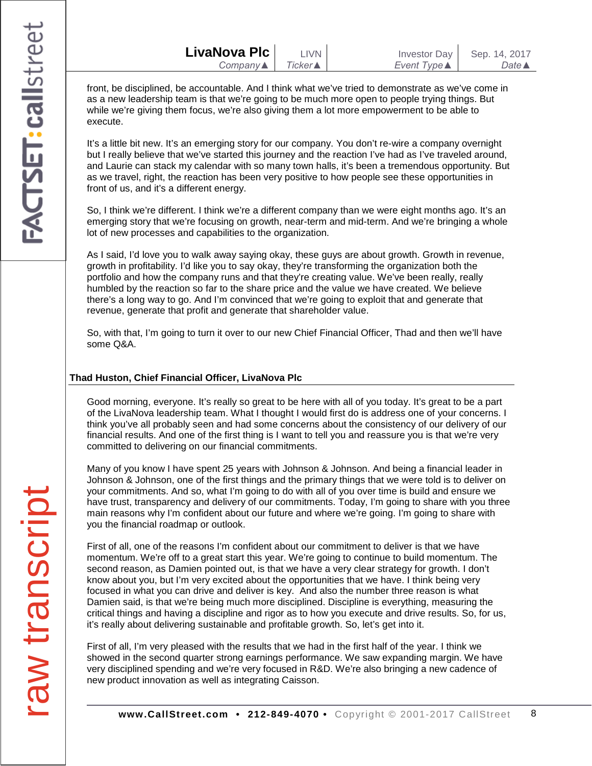| LivaNova Plc             | <b>LIVN</b>     | Investor Day        | Sep. 14, 2017    |
|--------------------------|-----------------|---------------------|------------------|
| Company $\blacktriangle$ | <b>Ticker</b> ▲ | Event Type <b>▲</b> | Date $\triangle$ |

front, be disciplined, be accountable. And I think what we've tried to demonstrate as we've come in as a new leadership team is that we're going to be much more open to people trying things. But while we're giving them focus, we're also giving them a lot more empowerment to be able to execute.

It's a little bit new. It's an emerging story for our company. You don't re-wire a company overnight but I really believe that we've started this journey and the reaction I've had as I've traveled around, and Laurie can stack my calendar with so many town halls, it's been a tremendous opportunity. But as we travel, right, the reaction has been very positive to how people see these opportunities in front of us, and it's a different energy.

So, I think we're different. I think we're a different company than we were eight months ago. It's an emerging story that we're focusing on growth, near-term and mid-term. And we're bringing a whole lot of new processes and capabilities to the organization.

As I said, I'd love you to walk away saying okay, these guys are about growth. Growth in revenue, growth in profitability. I'd like you to say okay, they're transforming the organization both the portfolio and how the company runs and that they're creating value. We've been really, really humbled by the reaction so far to the share price and the value we have created. We believe there's a long way to go. And I'm convinced that we're going to exploit that and generate that revenue, generate that profit and generate that shareholder value.

So, with that, I'm going to turn it over to our new Chief Financial Officer, Thad and then we'll have some Q&A.

### **Thad Huston, Chief Financial Officer, LivaNova Plc**

Good morning, everyone. It's really so great to be here with all of you today. It's great to be a part of the LivaNova leadership team. What I thought I would first do is address one of your concerns. I think you've all probably seen and had some concerns about the consistency of our delivery of our financial results. And one of the first thing is I want to tell you and reassure you is that we're very committed to delivering on our financial commitments.

Many of you know I have spent 25 years with Johnson & Johnson. And being a financial leader in Johnson & Johnson, one of the first things and the primary things that we were told is to deliver on your commitments. And so, what I'm going to do with all of you over time is build and ensure we have trust, transparency and delivery of our commitments. Today, I'm going to share with you three main reasons why I'm confident about our future and where we're going. I'm going to share with you the financial roadmap or outlook.

First of all, one of the reasons I'm confident about our commitment to deliver is that we have momentum. We're off to a great start this year. We're going to continue to build momentum. The second reason, as Damien pointed out, is that we have a very clear strategy for growth. I don't know about you, but I'm very excited about the opportunities that we have. I think being very focused in what you can drive and deliver is key. And also the number three reason is what Damien said, is that we're being much more disciplined. Discipline is everything, measuring the critical things and having a discipline and rigor as to how you execute and drive results. So, for us, it's really about delivering sustainable and profitable growth. So, let's get into it.

First of all, I'm very pleased with the results that we had in the first half of the year. I think we showed in the second quarter strong earnings performance. We saw expanding margin. We have very disciplined spending and we're very focused in R&D. We're also bringing a new cadence of new product innovation as well as integrating Caisson.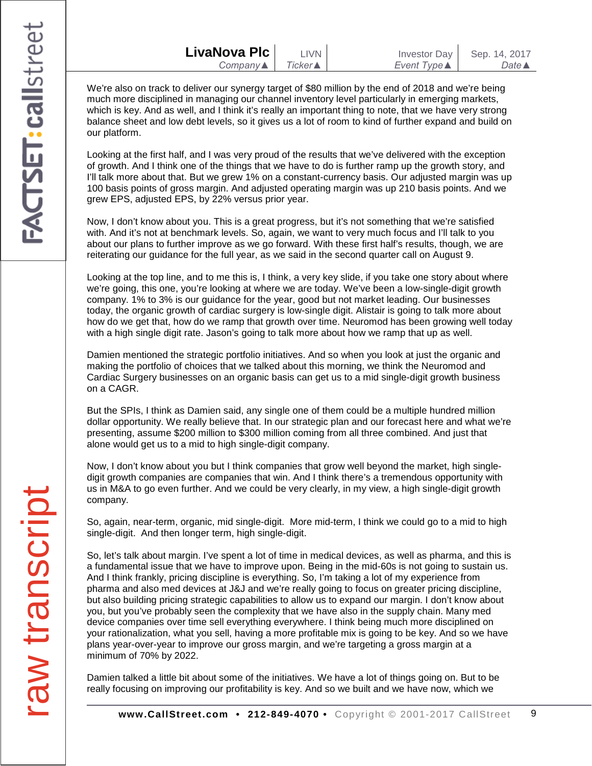| LivaNova Plc             | LIVN I          | <b>Investor Day</b> | Sep. 14, 2017    |
|--------------------------|-----------------|---------------------|------------------|
| Company $\blacktriangle$ | <b>Ticker</b> ▲ | Event Type <b>▲</b> | Date $\triangle$ |

We're also on track to deliver our synergy target of \$80 million by the end of 2018 and we're being much more disciplined in managing our channel inventory level particularly in emerging markets, which is key. And as well, and I think it's really an important thing to note, that we have very strong balance sheet and low debt levels, so it gives us a lot of room to kind of further expand and build on our platform.

Looking at the first half, and I was very proud of the results that we've delivered with the exception of growth. And I think one of the things that we have to do is further ramp up the growth story, and I'll talk more about that. But we grew 1% on a constant-currency basis. Our adjusted margin was up 100 basis points of gross margin. And adjusted operating margin was up 210 basis points. And we grew EPS, adjusted EPS, by 22% versus prior year.

Now, I don't know about you. This is a great progress, but it's not something that we're satisfied with. And it's not at benchmark levels. So, again, we want to very much focus and I'll talk to you about our plans to further improve as we go forward. With these first half's results, though, we are reiterating our guidance for the full year, as we said in the second quarter call on August 9.

Looking at the top line, and to me this is, I think, a very key slide, if you take one story about where we're going, this one, you're looking at where we are today. We've been a low-single-digit growth company. 1% to 3% is our guidance for the year, good but not market leading. Our businesses today, the organic growth of cardiac surgery is low-single digit. Alistair is going to talk more about how do we get that, how do we ramp that growth over time. Neuromod has been growing well today with a high single digit rate. Jason's going to talk more about how we ramp that up as well.

Damien mentioned the strategic portfolio initiatives. And so when you look at just the organic and making the portfolio of choices that we talked about this morning, we think the Neuromod and Cardiac Surgery businesses on an organic basis can get us to a mid single-digit growth business on a CAGR.

But the SPIs, I think as Damien said, any single one of them could be a multiple hundred million dollar opportunity. We really believe that. In our strategic plan and our forecast here and what we're presenting, assume \$200 million to \$300 million coming from all three combined. And just that alone would get us to a mid to high single-digit company.

Now, I don't know about you but I think companies that grow well beyond the market, high singledigit growth companies are companies that win. And I think there's a tremendous opportunity with us in M&A to go even further. And we could be very clearly, in my view, a high single-digit growth company.

So, again, near-term, organic, mid single-digit. More mid-term, I think we could go to a mid to high single-digit. And then longer term, high single-digit.

So, let's talk about margin. I've spent a lot of time in medical devices, as well as pharma, and this is a fundamental issue that we have to improve upon. Being in the mid-60s is not going to sustain us. And I think frankly, pricing discipline is everything. So, I'm taking a lot of my experience from pharma and also med devices at J&J and we're really going to focus on greater pricing discipline, but also building pricing strategic capabilities to allow us to expand our margin. I don't know about you, but you've probably seen the complexity that we have also in the supply chain. Many med device companies over time sell everything everywhere. I think being much more disciplined on your rationalization, what you sell, having a more profitable mix is going to be key. And so we have plans year-over-year to improve our gross margin, and we're targeting a gross margin at a minimum of 70% by 2022.

Damien talked a little bit about some of the initiatives. We have a lot of things going on. But to be really focusing on improving our profitability is key. And so we built and we have now, which we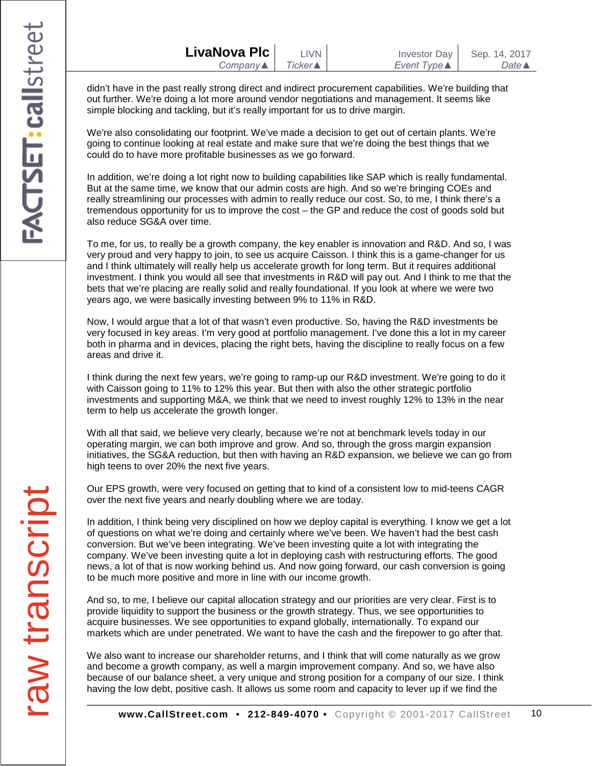| LivaNova Plc             | <b>LIVN</b> | <b>Investor Day</b> | Sep. 14, 2017    |
|--------------------------|-------------|---------------------|------------------|
| Company $\blacktriangle$ | Ticker▲     | Event Type ▲        | Date $\triangle$ |

didn't have in the past really strong direct and indirect procurement capabilities. We're building that out further. We're doing a lot more around vendor negotiations and management. It seems like simple blocking and tackling, but it's really important for us to drive margin.

We're also consolidating our footprint. We've made a decision to get out of certain plants. We're going to continue looking at real estate and make sure that we're doing the best things that we could do to have more profitable businesses as we go forward.

In addition, we're doing a lot right now to building capabilities like SAP which is really fundamental. But at the same time, we know that our admin costs are high. And so we're bringing COEs and really streamlining our processes with admin to really reduce our cost. So, to me, I think there's a tremendous opportunity for us to improve the cost – the GP and reduce the cost of goods sold but also reduce SG&A over time.

To me, for us, to really be a growth company, the key enabler is innovation and R&D. And so, I was very proud and very happy to join, to see us acquire Caisson. I think this is a game-changer for us and I think ultimately will really help us accelerate growth for long term. But it requires additional investment. I think you would all see that investments in R&D will pay out. And I think to me that the bets that we're placing are really solid and really foundational. If you look at where we were two years ago, we were basically investing between 9% to 11% in R&D.

Now, I would argue that a lot of that wasn't even productive. So, having the R&D investments be very focused in key areas. I'm very good at portfolio management. I've done this a lot in my career both in pharma and in devices, placing the right bets, having the discipline to really focus on a few areas and drive it.

I think during the next few years, we're going to ramp-up our R&D investment. We're going to do it with Caisson going to 11% to 12% this year. But then with also the other strategic portfolio investments and supporting M&A, we think that we need to invest roughly 12% to 13% in the near term to help us accelerate the growth longer.

With all that said, we believe very clearly, because we're not at benchmark levels today in our operating margin, we can both improve and grow. And so, through the gross margin expansion initiatives, the SG&A reduction, but then with having an R&D expansion, we believe we can go from high teens to over 20% the next five years.

Our EPS growth, were very focused on getting that to kind of a consistent low to mid-teens CAGR over the next five years and nearly doubling where we are today.

In addition, I think being very disciplined on how we deploy capital is everything. I know we get a lot of questions on what we're doing and certainly where we've been. We haven't had the best cash conversion. But we've been integrating. We've been investing quite a lot with integrating the company. We've been investing quite a lot in deploying cash with restructuring efforts. The good news, a lot of that is now working behind us. And now going forward, our cash conversion is going to be much more positive and more in line with our income growth.

And so, to me, I believe our capital allocation strategy and our priorities are very clear. First is to provide liquidity to support the business or the growth strategy. Thus, we see opportunities to acquire businesses. We see opportunities to expand globally, internationally. To expand our markets which are under penetrated. We want to have the cash and the firepower to go after that.

We also want to increase our shareholder returns, and I think that will come naturally as we grow and become a growth company, as well a margin improvement company. And so, we have also because of our balance sheet, a very unique and strong position for a company of our size. I think having the low debt, positive cash. It allows us some room and capacity to lever up if we find the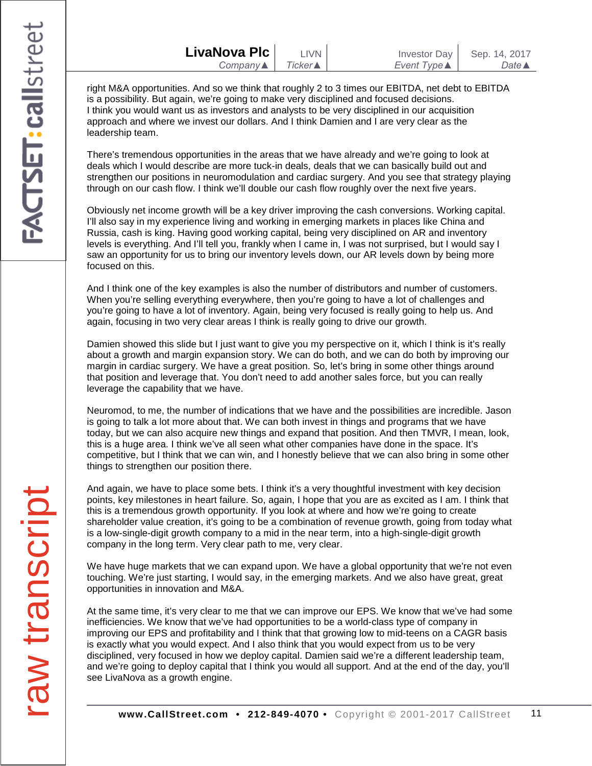| LivaNova Plc |  |
|--------------|--|
| Company▲     |  |

right M&A opportunities. And so we think that roughly 2 to 3 times our EBITDA, net debt to EBITDA is a possibility. But again, we're going to make very disciplined and focused decisions. I think you would want us as investors and analysts to be very disciplined in our acquisition approach and where we invest our dollars. And I think Damien and I are very clear as the leadership team.

There's tremendous opportunities in the areas that we have already and we're going to look at deals which I would describe are more tuck-in deals, deals that we can basically build out and strengthen our positions in neuromodulation and cardiac surgery. And you see that strategy playing through on our cash flow. I think we'll double our cash flow roughly over the next five years.

Obviously net income growth will be a key driver improving the cash conversions. Working capital. I'll also say in my experience living and working in emerging markets in places like China and Russia, cash is king. Having good working capital, being very disciplined on AR and inventory levels is everything. And I'll tell you, frankly when I came in, I was not surprised, but I would say I saw an opportunity for us to bring our inventory levels down, our AR levels down by being more focused on this.

And I think one of the key examples is also the number of distributors and number of customers. When you're selling everything everywhere, then you're going to have a lot of challenges and you're going to have a lot of inventory. Again, being very focused is really going to help us. And again, focusing in two very clear areas I think is really going to drive our growth.

Damien showed this slide but I just want to give you my perspective on it, which I think is it's really about a growth and margin expansion story. We can do both, and we can do both by improving our margin in cardiac surgery. We have a great position. So, let's bring in some other things around that position and leverage that. You don't need to add another sales force, but you can really leverage the capability that we have.

Neuromod, to me, the number of indications that we have and the possibilities are incredible. Jason is going to talk a lot more about that. We can both invest in things and programs that we have today, but we can also acquire new things and expand that position. And then TMVR, I mean, look, this is a huge area. I think we've all seen what other companies have done in the space. It's competitive, but I think that we can win, and I honestly believe that we can also bring in some other things to strengthen our position there.

And again, we have to place some bets. I think it's a very thoughtful investment with key decision points, key milestones in heart failure. So, again, I hope that you are as excited as I am. I think that this is a tremendous growth opportunity. If you look at where and how we're going to create shareholder value creation, it's going to be a combination of revenue growth, going from today what is a low-single-digit growth company to a mid in the near term, into a high-single-digit growth company in the long term. Very clear path to me, very clear.

We have huge markets that we can expand upon. We have a global opportunity that we're not even touching. We're just starting, I would say, in the emerging markets. And we also have great, great opportunities in innovation and M&A.

At the same time, it's very clear to me that we can improve our EPS. We know that we've had some inefficiencies. We know that we've had opportunities to be a world-class type of company in improving our EPS and profitability and I think that that growing low to mid-teens on a CAGR basis is exactly what you would expect. And I also think that you would expect from us to be very disciplined, very focused in how we deploy capital. Damien said we're a different leadership team, and we're going to deploy capital that I think you would all support. And at the end of the day, you'll see LivaNova as a growth engine.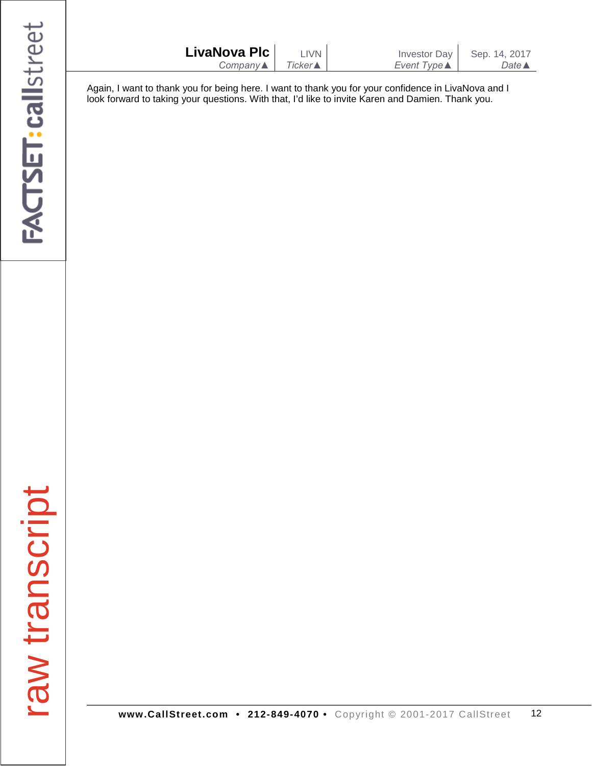| LivaNova Plc<br>$Company \triangle$ | LIVN<br>$Ticker$ | Investor Day<br>Event Type $\blacktriangle$ | Sep. 14, 2017<br>Date $\triangle$ |
|-------------------------------------|------------------|---------------------------------------------|-----------------------------------|
|                                     |                  |                                             |                                   |
|                                     |                  |                                             |                                   |

Again, I want to thank you for being here. I want to thank you for your confidence in LivaNova and I look forward to taking your questions. With that, I'd like to invite Karen and Damien. Thank you.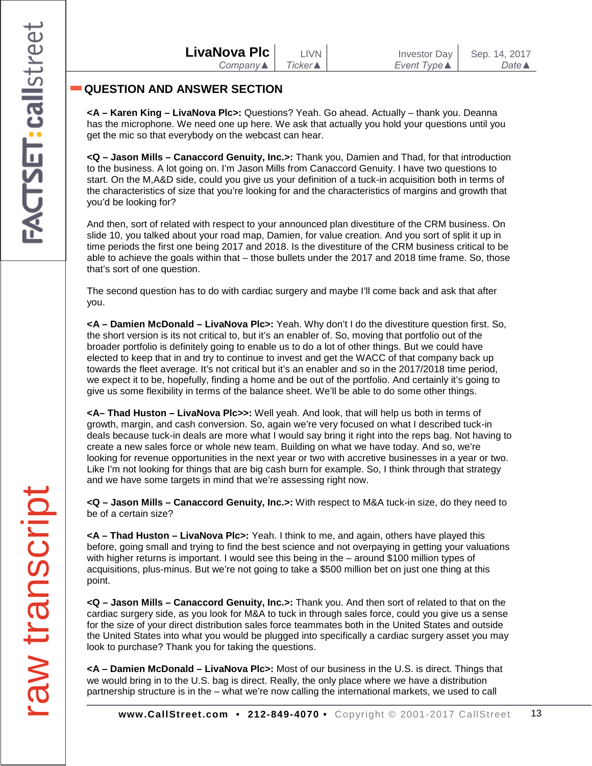## **QUESTION AND ANSWER SECTION**

**<A – Karen King – LivaNova Plc>:** Questions? Yeah. Go ahead. Actually – thank you. Deanna has the microphone. We need one up here. We ask that actually you hold your questions until you get the mic so that everybody on the webcast can hear.

**<Q – Jason Mills – Canaccord Genuity, Inc.>:** Thank you, Damien and Thad, for that introduction to the business. A lot going on. I'm Jason Mills from Canaccord Genuity. I have two questions to start. On the M,A&D side, could you give us your definition of a tuck-in acquisition both in terms of the characteristics of size that you're looking for and the characteristics of margins and growth that you'd be looking for?

And then, sort of related with respect to your announced plan divestiture of the CRM business. On slide 10, you talked about your road map, Damien, for value creation. And you sort of split it up in time periods the first one being 2017 and 2018. Is the divestiture of the CRM business critical to be able to achieve the goals within that – those bullets under the 2017 and 2018 time frame. So, those that's sort of one question.

The second question has to do with cardiac surgery and maybe I'll come back and ask that after you.

**<A – Damien McDonald – LivaNova Plc>:** Yeah. Why don't I do the divestiture question first. So, the short version is its not critical to, but it's an enabler of. So, moving that portfolio out of the broader portfolio is definitely going to enable us to do a lot of other things. But we could have elected to keep that in and try to continue to invest and get the WACC of that company back up towards the fleet average. It's not critical but it's an enabler and so in the 2017/2018 time period, we expect it to be, hopefully, finding a home and be out of the portfolio. And certainly it's going to give us some flexibility in terms of the balance sheet. We'll be able to do some other things.

**<A– Thad Huston – LivaNova Plc>>:** Well yeah. And look, that will help us both in terms of growth, margin, and cash conversion. So, again we're very focused on what I described tuck-in deals because tuck-in deals are more what I would say bring it right into the reps bag. Not having to create a new sales force or whole new team. Building on what we have today. And so, we're looking for revenue opportunities in the next year or two with accretive businesses in a year or two. Like I'm not looking for things that are big cash burn for example. So, I think through that strategy and we have some targets in mind that we're assessing right now.

**<Q – Jason Mills – Canaccord Genuity, Inc.>:** With respect to M&A tuck-in size, do they need to be of a certain size?

**<A – Thad Huston – LivaNova Plc>:** Yeah. I think to me, and again, others have played this before, going small and trying to find the best science and not overpaying in getting your valuations with higher returns is important. I would see this being in the – around \$100 million types of acquisitions, plus-minus. But we're not going to take a \$500 million bet on just one thing at this point.

**<Q – Jason Mills – Canaccord Genuity, Inc.>:** Thank you. And then sort of related to that on the cardiac surgery side, as you look for M&A to tuck in through sales force, could you give us a sense for the size of your direct distribution sales force teammates both in the United States and outside the United States into what you would be plugged into specifically a cardiac surgery asset you may look to purchase? Thank you for taking the questions.

**<A – Damien McDonald – LivaNova Plc>:** Most of our business in the U.S. is direct. Things that we would bring in to the U.S. bag is direct. Really, the only place where we have a distribution partnership structure is in the – what we're now calling the international markets, we used to call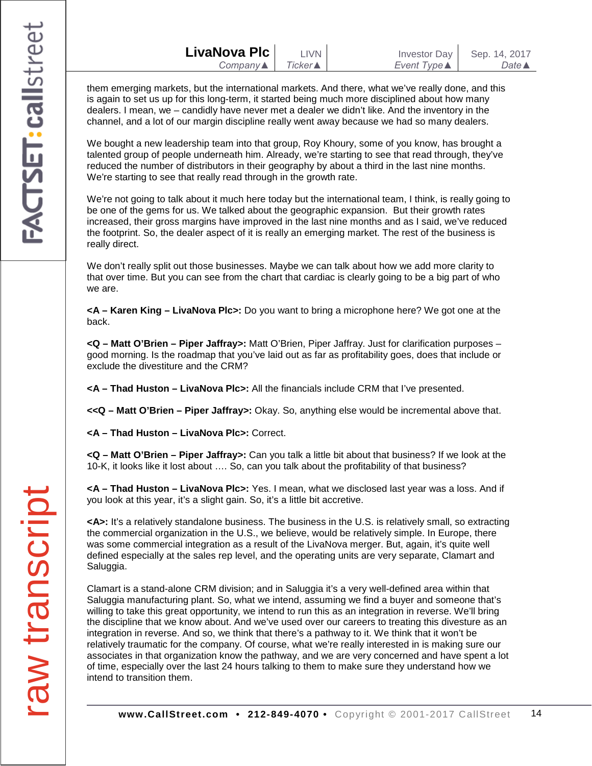| LivaNova Plc | <b>LIVN</b>     | <b>Investor Day</b> | Sep. 14, 2017    |
|--------------|-----------------|---------------------|------------------|
| Company▲     | <b>Ticker ▲</b> | Event Type ▲        | Date $\triangle$ |

them emerging markets, but the international markets. And there, what we've really done, and this is again to set us up for this long-term, it started being much more disciplined about how many dealers. I mean, we – candidly have never met a dealer we didn't like. And the inventory in the channel, and a lot of our margin discipline really went away because we had so many dealers.

We bought a new leadership team into that group, Roy Khoury, some of you know, has brought a talented group of people underneath him. Already, we're starting to see that read through, they've reduced the number of distributors in their geography by about a third in the last nine months. We're starting to see that really read through in the growth rate.

We're not going to talk about it much here today but the international team, I think, is really going to be one of the gems for us. We talked about the geographic expansion. But their growth rates increased, their gross margins have improved in the last nine months and as I said, we've reduced the footprint. So, the dealer aspect of it is really an emerging market. The rest of the business is really direct.

We don't really split out those businesses. Maybe we can talk about how we add more clarity to that over time. But you can see from the chart that cardiac is clearly going to be a big part of who we are.

**<A – Karen King – LivaNova Plc>:** Do you want to bring a microphone here? We got one at the back.

**<Q – Matt O'Brien – Piper Jaffray>:** Matt O'Brien, Piper Jaffray. Just for clarification purposes – good morning. Is the roadmap that you've laid out as far as profitability goes, does that include or exclude the divestiture and the CRM?

**<A – Thad Huston – LivaNova Plc>:** All the financials include CRM that I've presented.

**<<Q – Matt O'Brien – Piper Jaffray>:** Okay. So, anything else would be incremental above that.

**<A – Thad Huston – LivaNova Plc>:** Correct.

**<Q – Matt O'Brien – Piper Jaffray>:** Can you talk a little bit about that business? If we look at the 10-K, it looks like it lost about …. So, can you talk about the profitability of that business?

**<A – Thad Huston – LivaNova Plc>:** Yes. I mean, what we disclosed last year was a loss. And if you look at this year, it's a slight gain. So, it's a little bit accretive.

**<A>:** It's a relatively standalone business. The business in the U.S. is relatively small, so extracting the commercial organization in the U.S., we believe, would be relatively simple. In Europe, there was some commercial integration as a result of the LivaNova merger. But, again, it's quite well defined especially at the sales rep level, and the operating units are very separate, Clamart and Saluggia.

Clamart is a stand-alone CRM division; and in Saluggia it's a very well-defined area within that Saluggia manufacturing plant. So, what we intend, assuming we find a buyer and someone that's willing to take this great opportunity, we intend to run this as an integration in reverse. We'll bring the discipline that we know about. And we've used over our careers to treating this divesture as an integration in reverse. And so, we think that there's a pathway to it. We think that it won't be relatively traumatic for the company. Of course, what we're really interested in is making sure our associates in that organization know the pathway, and we are very concerned and have spent a lot of time, especially over the last 24 hours talking to them to make sure they understand how we intend to transition them.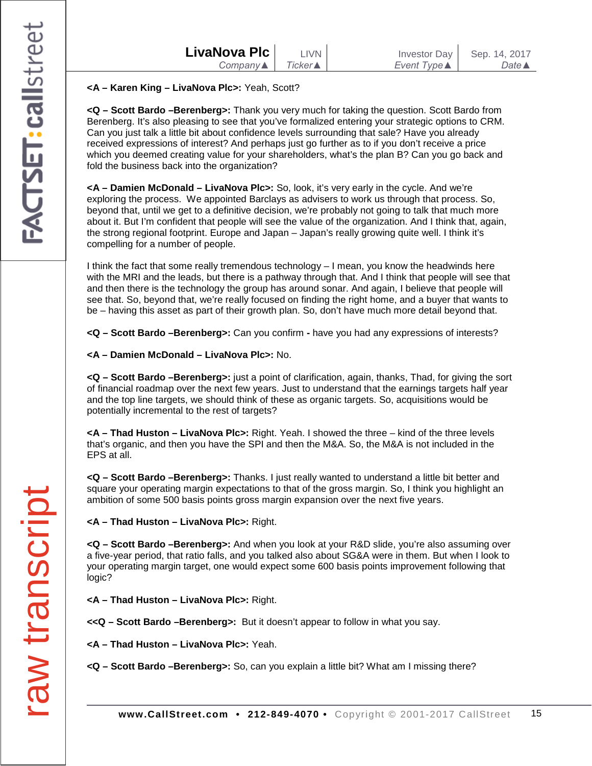| LivaNova Plc        | <b>I IVN</b>       |  |
|---------------------|--------------------|--|
| $Company \triangle$ | $Ticker \triangle$ |  |
|                     |                    |  |

#### **<A – Karen King – LivaNova Plc>:** Yeah, Scott?

**<Q – Scott Bardo –Berenberg>:** Thank you very much for taking the question. Scott Bardo from Berenberg. It's also pleasing to see that you've formalized entering your strategic options to CRM. Can you just talk a little bit about confidence levels surrounding that sale? Have you already received expressions of interest? And perhaps just go further as to if you don't receive a price which you deemed creating value for your shareholders, what's the plan B? Can you go back and fold the business back into the organization?

**<A – Damien McDonald – LivaNova Plc>:** So, look, it's very early in the cycle. And we're exploring the process. We appointed Barclays as advisers to work us through that process. So, beyond that, until we get to a definitive decision, we're probably not going to talk that much more about it. But I'm confident that people will see the value of the organization. And I think that, again, the strong regional footprint. Europe and Japan – Japan's really growing quite well. I think it's compelling for a number of people.

I think the fact that some really tremendous technology – I mean, you know the headwinds here with the MRI and the leads, but there is a pathway through that. And I think that people will see that and then there is the technology the group has around sonar. And again, I believe that people will see that. So, beyond that, we're really focused on finding the right home, and a buyer that wants to be – having this asset as part of their growth plan. So, don't have much more detail beyond that.

**<Q – Scott Bardo –Berenberg>:** Can you confirm **-** have you had any expressions of interests?

**<A – Damien McDonald – LivaNova Plc>:** No.

**<Q – Scott Bardo –Berenberg>:** just a point of clarification, again, thanks, Thad, for giving the sort of financial roadmap over the next few years. Just to understand that the earnings targets half year and the top line targets, we should think of these as organic targets. So, acquisitions would be potentially incremental to the rest of targets?

**<A – Thad Huston – LivaNova Plc>:** Right. Yeah. I showed the three – kind of the three levels that's organic, and then you have the SPI and then the M&A. So, the M&A is not included in the EPS at all.

**<Q – Scott Bardo –Berenberg>:** Thanks. I just really wanted to understand a little bit better and square your operating margin expectations to that of the gross margin. So, I think you highlight an ambition of some 500 basis points gross margin expansion over the next five years.

**<A – Thad Huston – LivaNova Plc>:** Right.

**<Q – Scott Bardo –Berenberg>:** And when you look at your R&D slide, you're also assuming over a five-year period, that ratio falls, and you talked also about SG&A were in them. But when I look to your operating margin target, one would expect some 600 basis points improvement following that logic?

**<A – Thad Huston – LivaNova Plc>:** Right.

**<<Q – Scott Bardo –Berenberg>:** But it doesn't appear to follow in what you say.

**<A – Thad Huston – LivaNova Plc>:** Yeah.

**<Q – Scott Bardo –Berenberg>:** So, can you explain a little bit? What am I missing there?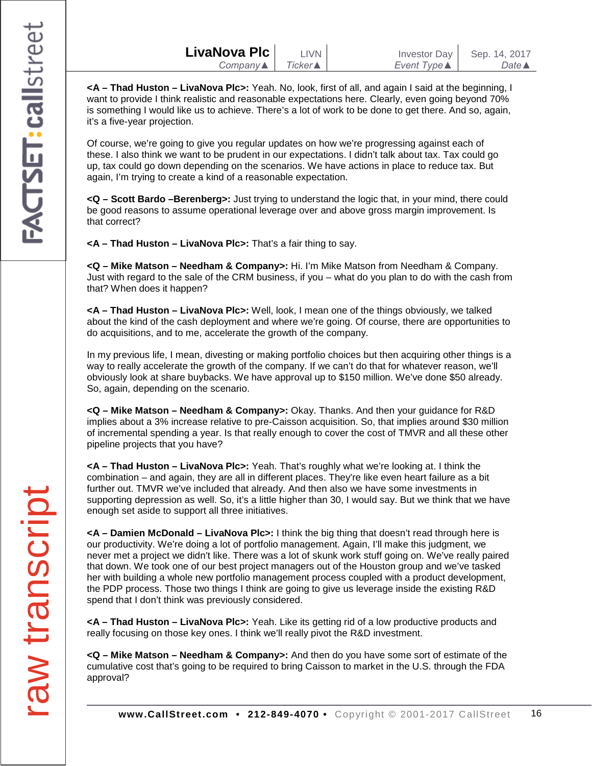**<A – Thad Huston – LivaNova Plc>:** Yeah. No, look, first of all, and again I said at the beginning, I want to provide I think realistic and reasonable expectations here. Clearly, even going beyond 70% is something I would like us to achieve. There's a lot of work to be done to get there. And so, again, it's a five-year projection.

Of course, we're going to give you regular updates on how we're progressing against each of these. I also think we want to be prudent in our expectations. I didn't talk about tax. Tax could go up, tax could go down depending on the scenarios. We have actions in place to reduce tax. But again, I'm trying to create a kind of a reasonable expectation.

**<Q – Scott Bardo –Berenberg>:** Just trying to understand the logic that, in your mind, there could be good reasons to assume operational leverage over and above gross margin improvement. Is that correct?

**<A – Thad Huston – LivaNova Plc>:** That's a fair thing to say.

**<Q – Mike Matson – Needham & Company>:** Hi. I'm Mike Matson from Needham & Company. Just with regard to the sale of the CRM business, if you – what do you plan to do with the cash from that? When does it happen?

**<A – Thad Huston – LivaNova Plc>:** Well, look, I mean one of the things obviously, we talked about the kind of the cash deployment and where we're going. Of course, there are opportunities to do acquisitions, and to me, accelerate the growth of the company.

In my previous life, I mean, divesting or making portfolio choices but then acquiring other things is a way to really accelerate the growth of the company. If we can't do that for whatever reason, we'll obviously look at share buybacks. We have approval up to \$150 million. We've done \$50 already. So, again, depending on the scenario.

**<Q – Mike Matson – Needham & Company>:** Okay. Thanks. And then your guidance for R&D implies about a 3% increase relative to pre-Caisson acquisition. So, that implies around \$30 million of incremental spending a year. Is that really enough to cover the cost of TMVR and all these other pipeline projects that you have?

**<A – Thad Huston – LivaNova Plc>:** Yeah. That's roughly what we're looking at. I think the combination – and again, they are all in different places. They're like even heart failure as a bit further out. TMVR we've included that already. And then also we have some investments in supporting depression as well. So, it's a little higher than 30, I would say. But we think that we have enough set aside to support all three initiatives.

**<A – Damien McDonald – LivaNova Plc>:** I think the big thing that doesn't read through here is our productivity. We're doing a lot of portfolio management. Again, I'll make this judgment, we never met a project we didn't like. There was a lot of skunk work stuff going on. We've really paired that down. We took one of our best project managers out of the Houston group and we've tasked her with building a whole new portfolio management process coupled with a product development, the PDP process. Those two things I think are going to give us leverage inside the existing R&D spend that I don't think was previously considered.

**<A – Thad Huston – LivaNova Plc>:** Yeah. Like its getting rid of a low productive products and really focusing on those key ones. I think we'll really pivot the R&D investment.

**<Q – Mike Matson – Needham & Company>:** And then do you have some sort of estimate of the cumulative cost that's going to be required to bring Caisson to market in the U.S. through the FDA approval?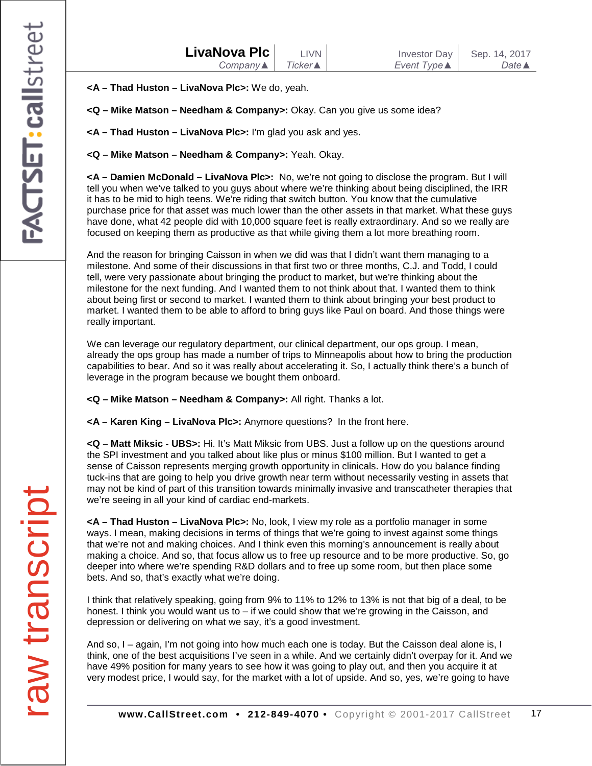| LivaNova Plc        | LIVN I    | <b>Investor Day</b>         | Sep. 14, 2017    |
|---------------------|-----------|-----------------------------|------------------|
| $Company \triangle$ | Ticker▲ I | Event Type $\blacktriangle$ | Date $\triangle$ |
|                     |           |                             |                  |

**<A – Thad Huston – LivaNova Plc>:** We do, yeah.

**<Q – Mike Matson – Needham & Company>:** Okay. Can you give us some idea?

**<A – Thad Huston – LivaNova Plc>:** I'm glad you ask and yes.

**<Q – Mike Matson – Needham & Company>:** Yeah. Okay.

**<A – Damien McDonald – LivaNova Plc>:** No, we're not going to disclose the program. But I will tell you when we've talked to you guys about where we're thinking about being disciplined, the IRR it has to be mid to high teens. We're riding that switch button. You know that the cumulative purchase price for that asset was much lower than the other assets in that market. What these guys have done, what 42 people did with 10,000 square feet is really extraordinary. And so we really are focused on keeping them as productive as that while giving them a lot more breathing room.

And the reason for bringing Caisson in when we did was that I didn't want them managing to a milestone. And some of their discussions in that first two or three months, C.J. and Todd, I could tell, were very passionate about bringing the product to market, but we're thinking about the milestone for the next funding. And I wanted them to not think about that. I wanted them to think about being first or second to market. I wanted them to think about bringing your best product to market. I wanted them to be able to afford to bring guys like Paul on board. And those things were really important.

We can leverage our regulatory department, our clinical department, our ops group. I mean, already the ops group has made a number of trips to Minneapolis about how to bring the production capabilities to bear. And so it was really about accelerating it. So, I actually think there's a bunch of leverage in the program because we bought them onboard.

**<Q – Mike Matson – Needham & Company>:** All right. Thanks a lot.

**<A – Karen King – LivaNova Plc>:** Anymore questions? In the front here.

**<Q – Matt Miksic - UBS>:** Hi. It's Matt Miksic from UBS. Just a follow up on the questions around the SPI investment and you talked about like plus or minus \$100 million. But I wanted to get a sense of Caisson represents merging growth opportunity in clinicals. How do you balance finding tuck-ins that are going to help you drive growth near term without necessarily vesting in assets that may not be kind of part of this transition towards minimally invasive and transcatheter therapies that we're seeing in all your kind of cardiac end-markets.

**<A – Thad Huston – LivaNova Plc>:** No, look, I view my role as a portfolio manager in some ways. I mean, making decisions in terms of things that we're going to invest against some things that we're not and making choices. And I think even this morning's announcement is really about making a choice. And so, that focus allow us to free up resource and to be more productive. So, go deeper into where we're spending R&D dollars and to free up some room, but then place some bets. And so, that's exactly what we're doing.

I think that relatively speaking, going from 9% to 11% to 12% to 13% is not that big of a deal, to be honest. I think you would want us to – if we could show that we're growing in the Caisson, and depression or delivering on what we say, it's a good investment.

And so, I – again, I'm not going into how much each one is today. But the Caisson deal alone is, I think, one of the best acquisitions I've seen in a while. And we certainly didn't overpay for it. And we have 49% position for many years to see how it was going to play out, and then you acquire it at very modest price, I would say, for the market with a lot of upside. And so, yes, we're going to have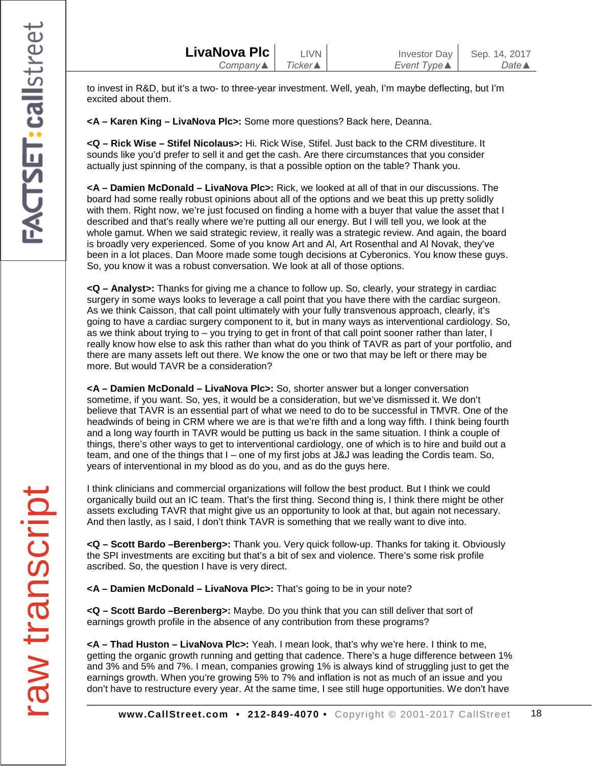| LivaNova Plc | LIVN       | Investor Day        | Sep. 14, 2017    |
|--------------|------------|---------------------|------------------|
| $Company$    | Ticker ▲ I | <i>Event Type</i> ▲ | Date $\triangle$ |

to invest in R&D, but it's a two- to three-year investment. Well, yeah, I'm maybe deflecting, but I'm excited about them.

**<A – Karen King – LivaNova Plc>:** Some more questions? Back here, Deanna.

**<Q – Rick Wise – Stifel Nicolaus>:** Hi. Rick Wise, Stifel. Just back to the CRM divestiture. It sounds like you'd prefer to sell it and get the cash. Are there circumstances that you consider actually just spinning of the company, is that a possible option on the table? Thank you.

**<A – Damien McDonald – LivaNova Plc>:** Rick, we looked at all of that in our discussions. The board had some really robust opinions about all of the options and we beat this up pretty solidly with them. Right now, we're just focused on finding a home with a buyer that value the asset that I described and that's really where we're putting all our energy. But I will tell you, we look at the whole gamut. When we said strategic review, it really was a strategic review. And again, the board is broadly very experienced. Some of you know Art and Al, Art Rosenthal and Al Novak, they've been in a lot places. Dan Moore made some tough decisions at Cyberonics. You know these guys. So, you know it was a robust conversation. We look at all of those options.

**<Q – Analyst>:** Thanks for giving me a chance to follow up. So, clearly, your strategy in cardiac surgery in some ways looks to leverage a call point that you have there with the cardiac surgeon. As we think Caisson, that call point ultimately with your fully transvenous approach, clearly, it's going to have a cardiac surgery component to it, but in many ways as interventional cardiology. So, as we think about trying to – you trying to get in front of that call point sooner rather than later, I really know how else to ask this rather than what do you think of TAVR as part of your portfolio, and there are many assets left out there. We know the one or two that may be left or there may be more. But would TAVR be a consideration?

**<A – Damien McDonald – LivaNova Plc>:** So, shorter answer but a longer conversation sometime, if you want. So, yes, it would be a consideration, but we've dismissed it. We don't believe that TAVR is an essential part of what we need to do to be successful in TMVR. One of the headwinds of being in CRM where we are is that we're fifth and a long way fifth. I think being fourth and a long way fourth in TAVR would be putting us back in the same situation. I think a couple of things, there's other ways to get to interventional cardiology, one of which is to hire and build out a team, and one of the things that I – one of my first jobs at J&J was leading the Cordis team. So, years of interventional in my blood as do you, and as do the guys here.

I think clinicians and commercial organizations will follow the best product. But I think we could organically build out an IC team. That's the first thing. Second thing is, I think there might be other assets excluding TAVR that might give us an opportunity to look at that, but again not necessary. And then lastly, as I said, I don't think TAVR is something that we really want to dive into.

**<Q – Scott Bardo –Berenberg>:** Thank you. Very quick follow-up. Thanks for taking it. Obviously the SPI investments are exciting but that's a bit of sex and violence. There's some risk profile ascribed. So, the question I have is very direct.

**<A – Damien McDonald – LivaNova Plc>:** That's going to be in your note?

**<Q – Scott Bardo –Berenberg>:** Maybe. Do you think that you can still deliver that sort of earnings growth profile in the absence of any contribution from these programs?

**<A – Thad Huston – LivaNova Plc>:** Yeah. I mean look, that's why we're here. I think to me, getting the organic growth running and getting that cadence. There's a huge difference between 1% and 3% and 5% and 7%. I mean, companies growing 1% is always kind of struggling just to get the earnings growth. When you're growing 5% to 7% and inflation is not as much of an issue and you don't have to restructure every year. At the same time, I see still huge opportunities. We don't have

**www.CallStreet.com • 212-849-4070 •** Copyright © 2001-2017 CallStreet 18

transcript raw transcript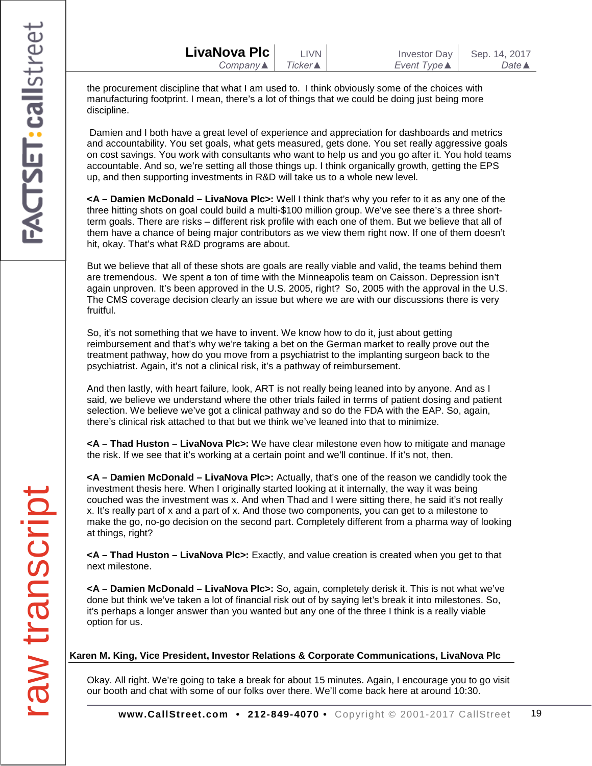| LivaNova Plc | <b>LIVN</b>     | <b>Investor Day</b> | Sep. 14, 2017    |
|--------------|-----------------|---------------------|------------------|
| Company▲     | Ticker <b>▲</b> | Event Type <b>▲</b> | Date $\triangle$ |

the procurement discipline that what I am used to. I think obviously some of the choices with manufacturing footprint. I mean, there's a lot of things that we could be doing just being more discipline.

Damien and I both have a great level of experience and appreciation for dashboards and metrics and accountability. You set goals, what gets measured, gets done. You set really aggressive goals on cost savings. You work with consultants who want to help us and you go after it. You hold teams accountable. And so, we're setting all those things up. I think organically growth, getting the EPS up, and then supporting investments in R&D will take us to a whole new level.

**<A – Damien McDonald – LivaNova Plc>:** Well I think that's why you refer to it as any one of the three hitting shots on goal could build a multi-\$100 million group. We've see there's a three shortterm goals. There are risks – different risk profile with each one of them. But we believe that all of them have a chance of being major contributors as we view them right now. If one of them doesn't hit, okay. That's what R&D programs are about.

But we believe that all of these shots are goals are really viable and valid, the teams behind them are tremendous. We spent a ton of time with the Minneapolis team on Caisson. Depression isn't again unproven. It's been approved in the U.S. 2005, right? So, 2005 with the approval in the U.S. The CMS coverage decision clearly an issue but where we are with our discussions there is very fruitful.

So, it's not something that we have to invent. We know how to do it, just about getting reimbursement and that's why we're taking a bet on the German market to really prove out the treatment pathway, how do you move from a psychiatrist to the implanting surgeon back to the psychiatrist. Again, it's not a clinical risk, it's a pathway of reimbursement.

And then lastly, with heart failure, look, ART is not really being leaned into by anyone. And as I said, we believe we understand where the other trials failed in terms of patient dosing and patient selection. We believe we've got a clinical pathway and so do the FDA with the EAP. So, again, there's clinical risk attached to that but we think we've leaned into that to minimize.

**<A – Thad Huston – LivaNova Plc>:** We have clear milestone even how to mitigate and manage the risk. If we see that it's working at a certain point and we'll continue. If it's not, then.

**<A – Damien McDonald – LivaNova Plc>:** Actually, that's one of the reason we candidly took the investment thesis here. When I originally started looking at it internally, the way it was being couched was the investment was x. And when Thad and I were sitting there, he said it's not really x. It's really part of x and a part of x. And those two components, you can get to a milestone to make the go, no-go decision on the second part. Completely different from a pharma way of looking at things, right?

**<A – Thad Huston – LivaNova Plc>:** Exactly, and value creation is created when you get to that next milestone.

**<A – Damien McDonald – LivaNova Plc>:** So, again, completely derisk it. This is not what we've done but think we've taken a lot of financial risk out of by saying let's break it into milestones. So, it's perhaps a longer answer than you wanted but any one of the three I think is a really viable option for us.

#### **Karen M. King, Vice President, Investor Relations & Corporate Communications, LivaNova Plc**

Okay. All right. We're going to take a break for about 15 minutes. Again, I encourage you to go visit our booth and chat with some of our folks over there. We'll come back here at around 10:30.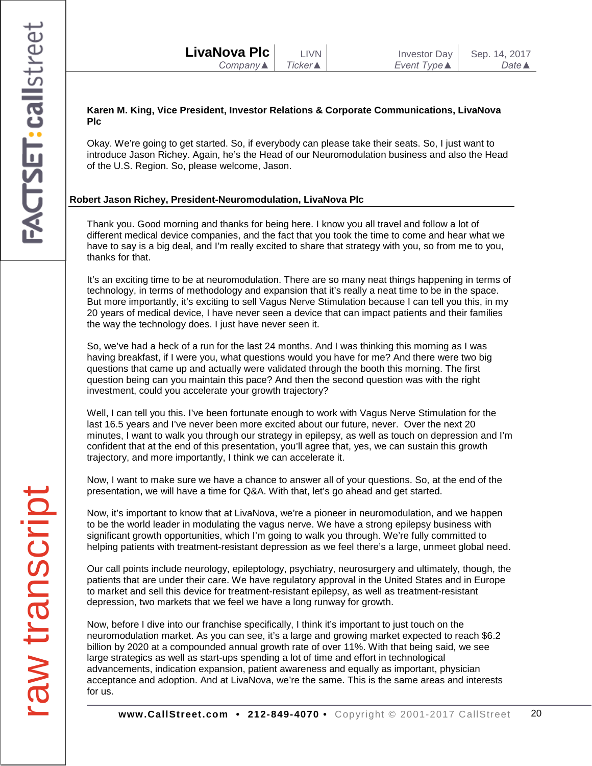| LivaNova Plc             | <b>LIVN</b>     | <b>Investor Day</b> | Sep. 14, 2017    |
|--------------------------|-----------------|---------------------|------------------|
| Company $\blacktriangle$ | <b>Ticker</b> ▲ | Event Type ▲        | Date $\triangle$ |

### **Karen M. King, Vice President, Investor Relations & Corporate Communications, LivaNova Plc**

Okay. We're going to get started. So, if everybody can please take their seats. So, I just want to introduce Jason Richey. Again, he's the Head of our Neuromodulation business and also the Head of the U.S. Region. So, please welcome, Jason.

# **Robert Jason Richey, President-Neuromodulation, LivaNova Plc**

Thank you. Good morning and thanks for being here. I know you all travel and follow a lot of different medical device companies, and the fact that you took the time to come and hear what we have to say is a big deal, and I'm really excited to share that strategy with you, so from me to you, thanks for that.

It's an exciting time to be at neuromodulation. There are so many neat things happening in terms of technology, in terms of methodology and expansion that it's really a neat time to be in the space. But more importantly, it's exciting to sell Vagus Nerve Stimulation because I can tell you this, in my 20 years of medical device, I have never seen a device that can impact patients and their families the way the technology does. I just have never seen it.

So, we've had a heck of a run for the last 24 months. And I was thinking this morning as I was having breakfast, if I were you, what questions would you have for me? And there were two big questions that came up and actually were validated through the booth this morning. The first question being can you maintain this pace? And then the second question was with the right investment, could you accelerate your growth trajectory?

Well, I can tell you this. I've been fortunate enough to work with Vagus Nerve Stimulation for the last 16.5 years and I've never been more excited about our future, never. Over the next 20 minutes, I want to walk you through our strategy in epilepsy, as well as touch on depression and I'm confident that at the end of this presentation, you'll agree that, yes, we can sustain this growth trajectory, and more importantly, I think we can accelerate it.

Now, I want to make sure we have a chance to answer all of your questions. So, at the end of the presentation, we will have a time for Q&A. With that, let's go ahead and get started.

Now, it's important to know that at LivaNova, we're a pioneer in neuromodulation, and we happen to be the world leader in modulating the vagus nerve. We have a strong epilepsy business with significant growth opportunities, which I'm going to walk you through. We're fully committed to helping patients with treatment-resistant depression as we feel there's a large, unmeet global need.

Our call points include neurology, epileptology, psychiatry, neurosurgery and ultimately, though, the patients that are under their care. We have regulatory approval in the United States and in Europe to market and sell this device for treatment-resistant epilepsy, as well as treatment-resistant depression, two markets that we feel we have a long runway for growth.

Now, before I dive into our franchise specifically, I think it's important to just touch on the neuromodulation market. As you can see, it's a large and growing market expected to reach \$6.2 billion by 2020 at a compounded annual growth rate of over 11%. With that being said, we see large strategics as well as start-ups spending a lot of time and effort in technological advancements, indication expansion, patient awareness and equally as important, physician acceptance and adoption. And at LivaNova, we're the same. This is the same areas and interests for us.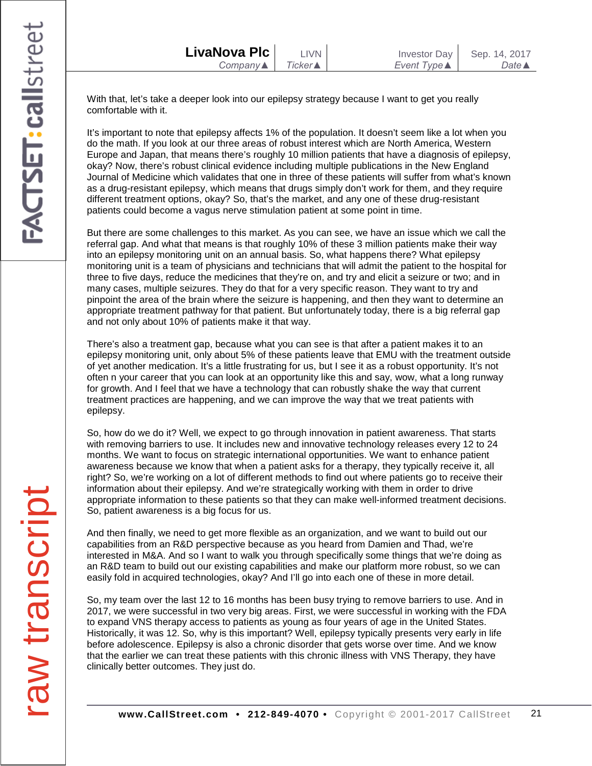With that, let's take a deeper look into our epilepsy strategy because I want to get you really comfortable with it.

It's important to note that epilepsy affects 1% of the population. It doesn't seem like a lot when you do the math. If you look at our three areas of robust interest which are North America, Western Europe and Japan, that means there's roughly 10 million patients that have a diagnosis of epilepsy, okay? Now, there's robust clinical evidence including multiple publications in the New England Journal of Medicine which validates that one in three of these patients will suffer from what's known as a drug-resistant epilepsy, which means that drugs simply don't work for them, and they require different treatment options, okay? So, that's the market, and any one of these drug-resistant patients could become a vagus nerve stimulation patient at some point in time.

But there are some challenges to this market. As you can see, we have an issue which we call the referral gap. And what that means is that roughly 10% of these 3 million patients make their way into an epilepsy monitoring unit on an annual basis. So, what happens there? What epilepsy monitoring unit is a team of physicians and technicians that will admit the patient to the hospital for three to five days, reduce the medicines that they're on, and try and elicit a seizure or two; and in many cases, multiple seizures. They do that for a very specific reason. They want to try and pinpoint the area of the brain where the seizure is happening, and then they want to determine an appropriate treatment pathway for that patient. But unfortunately today, there is a big referral gap and not only about 10% of patients make it that way.

There's also a treatment gap, because what you can see is that after a patient makes it to an epilepsy monitoring unit, only about 5% of these patients leave that EMU with the treatment outside of yet another medication. It's a little frustrating for us, but I see it as a robust opportunity. It's not often n your career that you can look at an opportunity like this and say, wow, what a long runway for growth. And I feel that we have a technology that can robustly shake the way that current treatment practices are happening, and we can improve the way that we treat patients with epilepsy.

So, how do we do it? Well, we expect to go through innovation in patient awareness. That starts with removing barriers to use. It includes new and innovative technology releases every 12 to 24 months. We want to focus on strategic international opportunities. We want to enhance patient awareness because we know that when a patient asks for a therapy, they typically receive it, all right? So, we're working on a lot of different methods to find out where patients go to receive their information about their epilepsy. And we're strategically working with them in order to drive appropriate information to these patients so that they can make well-informed treatment decisions. So, patient awareness is a big focus for us.

And then finally, we need to get more flexible as an organization, and we want to build out our capabilities from an R&D perspective because as you heard from Damien and Thad, we're interested in M&A. And so I want to walk you through specifically some things that we're doing as an R&D team to build out our existing capabilities and make our platform more robust, so we can easily fold in acquired technologies, okay? And I'll go into each one of these in more detail.

So, my team over the last 12 to 16 months has been busy trying to remove barriers to use. And in 2017, we were successful in two very big areas. First, we were successful in working with the FDA to expand VNS therapy access to patients as young as four years of age in the United States. Historically, it was 12. So, why is this important? Well, epilepsy typically presents very early in life before adolescence. Epilepsy is also a chronic disorder that gets worse over time. And we know that the earlier we can treat these patients with this chronic illness with VNS Therapy, they have clinically better outcomes. They just do.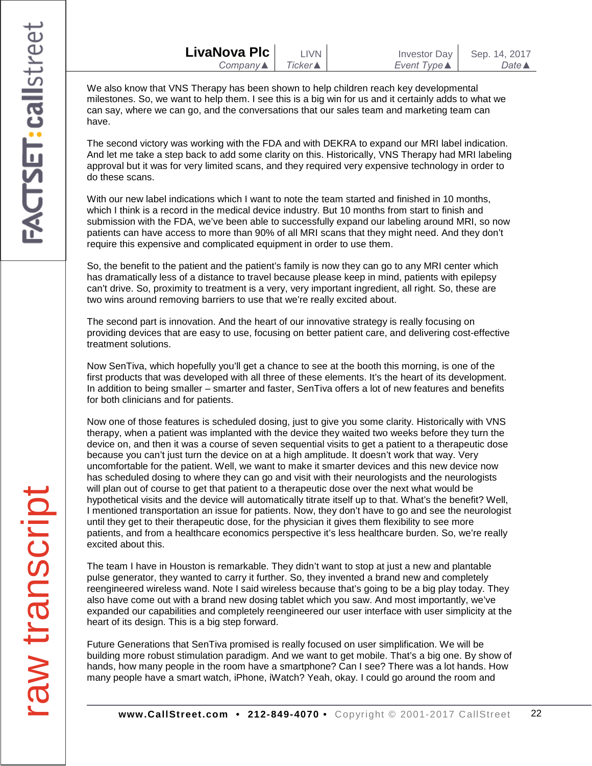| LivaNova Plc |  |
|--------------|--|
| Company▲     |  |

We also know that VNS Therapy has been shown to help children reach key developmental milestones. So, we want to help them. I see this is a big win for us and it certainly adds to what we can say, where we can go, and the conversations that our sales team and marketing team can have.

The second victory was working with the FDA and with DEKRA to expand our MRI label indication. And let me take a step back to add some clarity on this. Historically, VNS Therapy had MRI labeling approval but it was for very limited scans, and they required very expensive technology in order to do these scans.

With our new label indications which I want to note the team started and finished in 10 months, which I think is a record in the medical device industry. But 10 months from start to finish and submission with the FDA, we've been able to successfully expand our labeling around MRI, so now patients can have access to more than 90% of all MRI scans that they might need. And they don't require this expensive and complicated equipment in order to use them.

So, the benefit to the patient and the patient's family is now they can go to any MRI center which has dramatically less of a distance to travel because please keep in mind, patients with epilepsy can't drive. So, proximity to treatment is a very, very important ingredient, all right. So, these are two wins around removing barriers to use that we're really excited about.

The second part is innovation. And the heart of our innovative strategy is really focusing on providing devices that are easy to use, focusing on better patient care, and delivering cost-effective treatment solutions.

Now SenTiva, which hopefully you'll get a chance to see at the booth this morning, is one of the first products that was developed with all three of these elements. It's the heart of its development. In addition to being smaller – smarter and faster, SenTiva offers a lot of new features and benefits for both clinicians and for patients.

Now one of those features is scheduled dosing, just to give you some clarity. Historically with VNS therapy, when a patient was implanted with the device they waited two weeks before they turn the device on, and then it was a course of seven sequential visits to get a patient to a therapeutic dose because you can't just turn the device on at a high amplitude. It doesn't work that way. Very uncomfortable for the patient. Well, we want to make it smarter devices and this new device now has scheduled dosing to where they can go and visit with their neurologists and the neurologists will plan out of course to get that patient to a therapeutic dose over the next what would be hypothetical visits and the device will automatically titrate itself up to that. What's the benefit? Well, I mentioned transportation an issue for patients. Now, they don't have to go and see the neurologist until they get to their therapeutic dose, for the physician it gives them flexibility to see more patients, and from a healthcare economics perspective it's less healthcare burden. So, we're really excited about this.

The team I have in Houston is remarkable. They didn't want to stop at just a new and plantable pulse generator, they wanted to carry it further. So, they invented a brand new and completely reengineered wireless wand. Note I said wireless because that's going to be a big play today. They also have come out with a brand new dosing tablet which you saw. And most importantly, we've expanded our capabilities and completely reengineered our user interface with user simplicity at the heart of its design. This is a big step forward.

Future Generations that SenTiva promised is really focused on user simplification. We will be building more robust stimulation paradigm. And we want to get mobile. That's a big one. By show of hands, how many people in the room have a smartphone? Can I see? There was a lot hands. How many people have a smart watch, iPhone, iWatch? Yeah, okay. I could go around the room and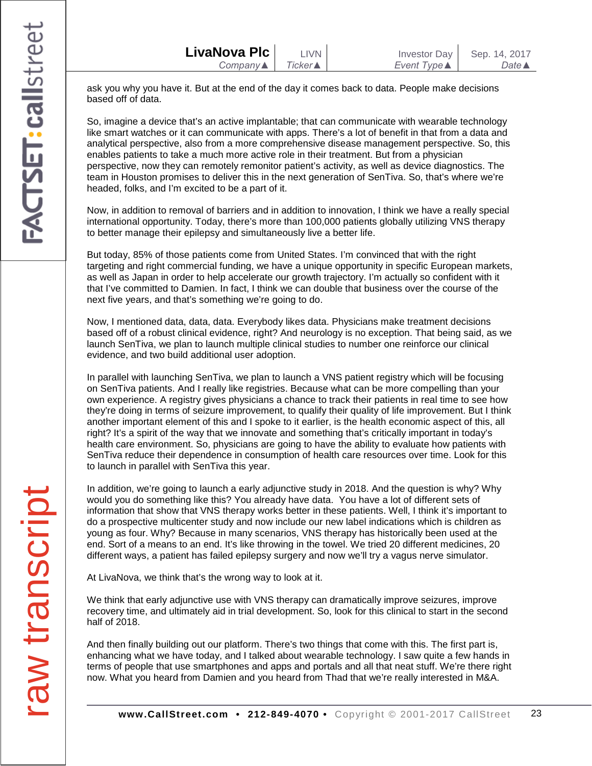ask you why you have it. But at the end of the day it comes back to data. People make decisions based off of data.

So, imagine a device that's an active implantable; that can communicate with wearable technology like smart watches or it can communicate with apps. There's a lot of benefit in that from a data and analytical perspective, also from a more comprehensive disease management perspective. So, this enables patients to take a much more active role in their treatment. But from a physician perspective, now they can remotely remonitor patient's activity, as well as device diagnostics. The team in Houston promises to deliver this in the next generation of SenTiva. So, that's where we're headed, folks, and I'm excited to be a part of it.

Now, in addition to removal of barriers and in addition to innovation, I think we have a really special international opportunity. Today, there's more than 100,000 patients globally utilizing VNS therapy to better manage their epilepsy and simultaneously live a better life.

But today, 85% of those patients come from United States. I'm convinced that with the right targeting and right commercial funding, we have a unique opportunity in specific European markets, as well as Japan in order to help accelerate our growth trajectory. I'm actually so confident with it that I've committed to Damien. In fact, I think we can double that business over the course of the next five years, and that's something we're going to do.

Now, I mentioned data, data, data. Everybody likes data. Physicians make treatment decisions based off of a robust clinical evidence, right? And neurology is no exception. That being said, as we launch SenTiva, we plan to launch multiple clinical studies to number one reinforce our clinical evidence, and two build additional user adoption.

In parallel with launching SenTiva, we plan to launch a VNS patient registry which will be focusing on SenTiva patients. And I really like registries. Because what can be more compelling than your own experience. A registry gives physicians a chance to track their patients in real time to see how they're doing in terms of seizure improvement, to qualify their quality of life improvement. But I think another important element of this and I spoke to it earlier, is the health economic aspect of this, all right? It's a spirit of the way that we innovate and something that's critically important in today's health care environment. So, physicians are going to have the ability to evaluate how patients with SenTiva reduce their dependence in consumption of health care resources over time. Look for this to launch in parallel with SenTiva this year.

In addition, we're going to launch a early adjunctive study in 2018. And the question is why? Why would you do something like this? You already have data. You have a lot of different sets of information that show that VNS therapy works better in these patients. Well, I think it's important to do a prospective multicenter study and now include our new label indications which is children as young as four. Why? Because in many scenarios, VNS therapy has historically been used at the end. Sort of a means to an end. It's like throwing in the towel. We tried 20 different medicines, 20 different ways, a patient has failed epilepsy surgery and now we'll try a vagus nerve simulator.

At LivaNova, we think that's the wrong way to look at it.

We think that early adjunctive use with VNS therapy can dramatically improve seizures, improve recovery time, and ultimately aid in trial development. So, look for this clinical to start in the second half of 2018.

And then finally building out our platform. There's two things that come with this. The first part is, enhancing what we have today, and I talked about wearable technology. I saw quite a few hands in terms of people that use smartphones and apps and portals and all that neat stuff. We're there right now. What you heard from Damien and you heard from Thad that we're really interested in M&A.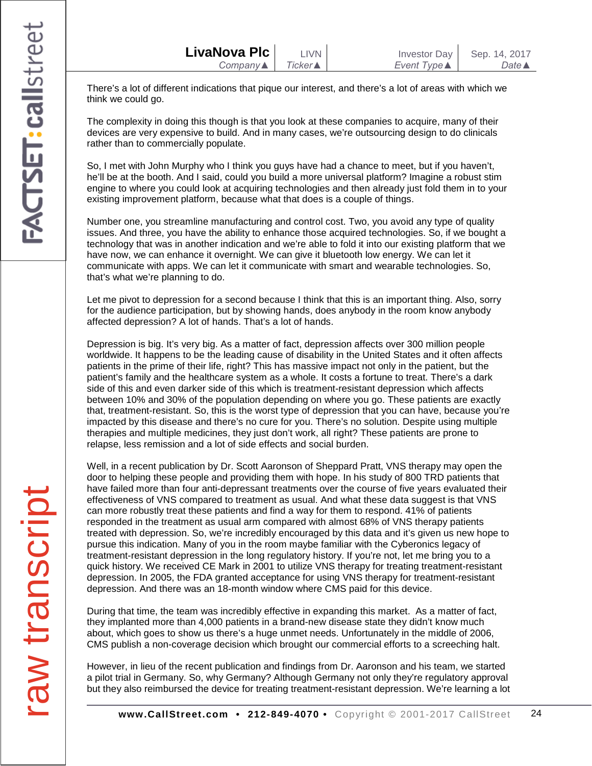There's a lot of different indications that pique our interest, and there's a lot of areas with which we think we could go.

The complexity in doing this though is that you look at these companies to acquire, many of their devices are very expensive to build. And in many cases, we're outsourcing design to do clinicals rather than to commercially populate.

So, I met with John Murphy who I think you guys have had a chance to meet, but if you haven't, he'll be at the booth. And I said, could you build a more universal platform? Imagine a robust stim engine to where you could look at acquiring technologies and then already just fold them in to your existing improvement platform, because what that does is a couple of things.

Number one, you streamline manufacturing and control cost. Two, you avoid any type of quality issues. And three, you have the ability to enhance those acquired technologies. So, if we bought a technology that was in another indication and we're able to fold it into our existing platform that we have now, we can enhance it overnight. We can give it bluetooth low energy. We can let it communicate with apps. We can let it communicate with smart and wearable technologies. So, that's what we're planning to do.

Let me pivot to depression for a second because I think that this is an important thing. Also, sorry for the audience participation, but by showing hands, does anybody in the room know anybody affected depression? A lot of hands. That's a lot of hands.

Depression is big. It's very big. As a matter of fact, depression affects over 300 million people worldwide. It happens to be the leading cause of disability in the United States and it often affects patients in the prime of their life, right? This has massive impact not only in the patient, but the patient's family and the healthcare system as a whole. It costs a fortune to treat. There's a dark side of this and even darker side of this which is treatment-resistant depression which affects between 10% and 30% of the population depending on where you go. These patients are exactly that, treatment-resistant. So, this is the worst type of depression that you can have, because you're impacted by this disease and there's no cure for you. There's no solution. Despite using multiple therapies and multiple medicines, they just don't work, all right? These patients are prone to relapse, less remission and a lot of side effects and social burden.

Well, in a recent publication by Dr. Scott Aaronson of Sheppard Pratt, VNS therapy may open the door to helping these people and providing them with hope. In his study of 800 TRD patients that have failed more than four anti-depressant treatments over the course of five years evaluated their effectiveness of VNS compared to treatment as usual. And what these data suggest is that VNS can more robustly treat these patients and find a way for them to respond. 41% of patients responded in the treatment as usual arm compared with almost 68% of VNS therapy patients treated with depression. So, we're incredibly encouraged by this data and it's given us new hope to pursue this indication. Many of you in the room maybe familiar with the Cyberonics legacy of treatment-resistant depression in the long regulatory history. If you're not, let me bring you to a quick history. We received CE Mark in 2001 to utilize VNS therapy for treating treatment-resistant depression. In 2005, the FDA granted acceptance for using VNS therapy for treatment-resistant depression. And there was an 18-month window where CMS paid for this device.

During that time, the team was incredibly effective in expanding this market. As a matter of fact, they implanted more than 4,000 patients in a brand-new disease state they didn't know much about, which goes to show us there's a huge unmet needs. Unfortunately in the middle of 2006, CMS publish a non-coverage decision which brought our commercial efforts to a screeching halt.

However, in lieu of the recent publication and findings from Dr. Aaronson and his team, we started a pilot trial in Germany. So, why Germany? Although Germany not only they're regulatory approval but they also reimbursed the device for treating treatment-resistant depression. We're learning a lot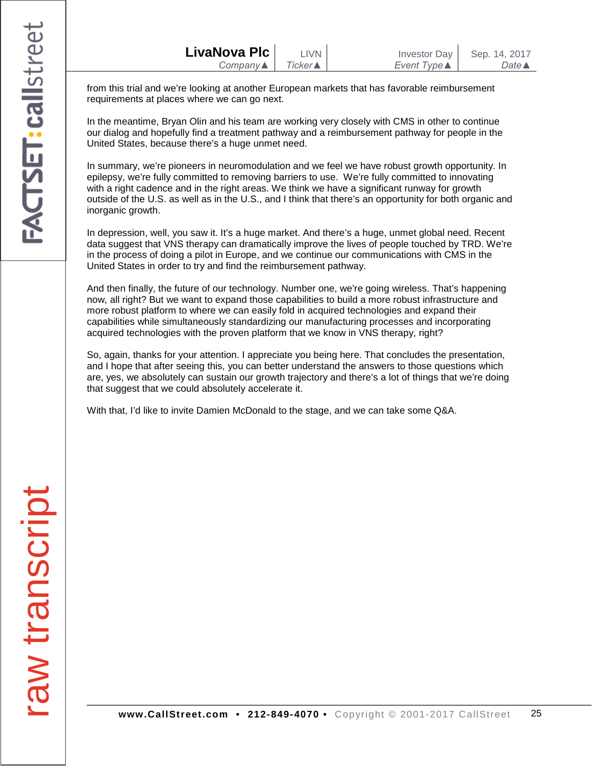| LivaNova Plc             | <b>LIVN</b>     | <b>Investor Day</b> | Sep. 14, 2017    |
|--------------------------|-----------------|---------------------|------------------|
| Company $\blacktriangle$ | <b>Ticker</b> ▲ | Event Type ▲        | Date $\triangle$ |

from this trial and we're looking at another European markets that has favorable reimbursement requirements at places where we can go next.

In the meantime, Bryan Olin and his team are working very closely with CMS in other to continue our dialog and hopefully find a treatment pathway and a reimbursement pathway for people in the United States, because there's a huge unmet need.

In summary, we're pioneers in neuromodulation and we feel we have robust growth opportunity. In epilepsy, we're fully committed to removing barriers to use. We're fully committed to innovating with a right cadence and in the right areas. We think we have a significant runway for growth outside of the U.S. as well as in the U.S., and I think that there's an opportunity for both organic and inorganic growth.

In depression, well, you saw it. It's a huge market. And there's a huge, unmet global need. Recent data suggest that VNS therapy can dramatically improve the lives of people touched by TRD. We're in the process of doing a pilot in Europe, and we continue our communications with CMS in the United States in order to try and find the reimbursement pathway.

And then finally, the future of our technology. Number one, we're going wireless. That's happening now, all right? But we want to expand those capabilities to build a more robust infrastructure and more robust platform to where we can easily fold in acquired technologies and expand their capabilities while simultaneously standardizing our manufacturing processes and incorporating acquired technologies with the proven platform that we know in VNS therapy, right?

So, again, thanks for your attention. I appreciate you being here. That concludes the presentation, and I hope that after seeing this, you can better understand the answers to those questions which are, yes, we absolutely can sustain our growth trajectory and there's a lot of things that we're doing that suggest that we could absolutely accelerate it.

With that, I'd like to invite Damien McDonald to the stage, and we can take some Q&A.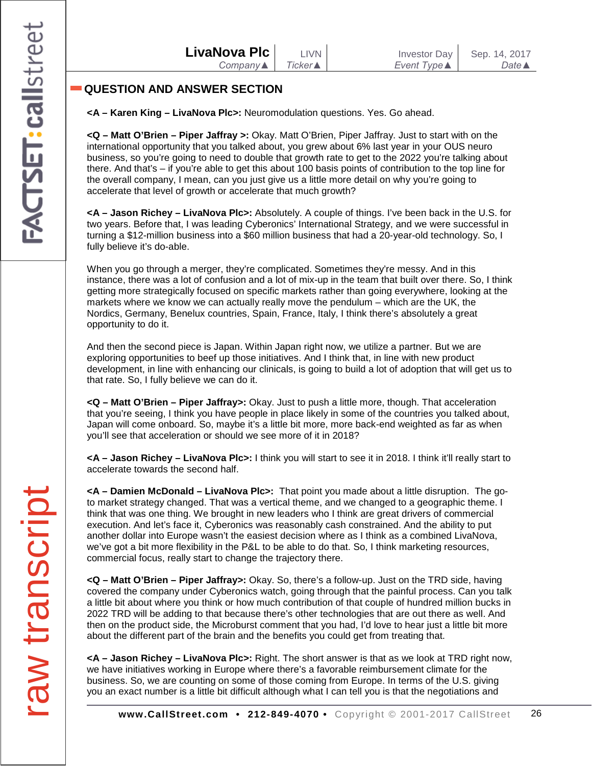# **QUESTION AND ANSWER SECTION**

**<A – Karen King – LivaNova Plc>:** Neuromodulation questions. Yes. Go ahead.

**<Q – Matt O'Brien – Piper Jaffray >:** Okay. Matt O'Brien, Piper Jaffray. Just to start with on the international opportunity that you talked about, you grew about 6% last year in your OUS neuro business, so you're going to need to double that growth rate to get to the 2022 you're talking about there. And that's – if you're able to get this about 100 basis points of contribution to the top line for the overall company, I mean, can you just give us a little more detail on why you're going to accelerate that level of growth or accelerate that much growth?

**<A – Jason Richey – LivaNova Plc>:** Absolutely. A couple of things. I've been back in the U.S. for two years. Before that, I was leading Cyberonics' International Strategy, and we were successful in turning a \$12-million business into a \$60 million business that had a 20-year-old technology. So, I fully believe it's do-able.

When you go through a merger, they're complicated. Sometimes they're messy. And in this instance, there was a lot of confusion and a lot of mix-up in the team that built over there. So, I think getting more strategically focused on specific markets rather than going everywhere, looking at the markets where we know we can actually really move the pendulum – which are the UK, the Nordics, Germany, Benelux countries, Spain, France, Italy, I think there's absolutely a great opportunity to do it.

And then the second piece is Japan. Within Japan right now, we utilize a partner. But we are exploring opportunities to beef up those initiatives. And I think that, in line with new product development, in line with enhancing our clinicals, is going to build a lot of adoption that will get us to that rate. So, I fully believe we can do it.

**<Q – Matt O'Brien – Piper Jaffray>:** Okay. Just to push a little more, though. That acceleration that you're seeing, I think you have people in place likely in some of the countries you talked about, Japan will come onboard. So, maybe it's a little bit more, more back-end weighted as far as when you'll see that acceleration or should we see more of it in 2018?

**<A – Jason Richey – LivaNova Plc>:** I think you will start to see it in 2018. I think it'll really start to accelerate towards the second half.

**<A – Damien McDonald – LivaNova Plc>:** That point you made about a little disruption. The goto market strategy changed. That was a vertical theme, and we changed to a geographic theme. I think that was one thing. We brought in new leaders who I think are great drivers of commercial execution. And let's face it, Cyberonics was reasonably cash constrained. And the ability to put another dollar into Europe wasn't the easiest decision where as I think as a combined LivaNova, we've got a bit more flexibility in the P&L to be able to do that. So, I think marketing resources, commercial focus, really start to change the trajectory there.

**<Q – Matt O'Brien – Piper Jaffray>:** Okay. So, there's a follow-up. Just on the TRD side, having covered the company under Cyberonics watch, going through that the painful process. Can you talk a little bit about where you think or how much contribution of that couple of hundred million bucks in 2022 TRD will be adding to that because there's other technologies that are out there as well. And then on the product side, the Microburst comment that you had, I'd love to hear just a little bit more about the different part of the brain and the benefits you could get from treating that.

**<A – Jason Richey – LivaNova Plc>:** Right. The short answer is that as we look at TRD right now, we have initiatives working in Europe where there's a favorable reimbursement climate for the business. So, we are counting on some of those coming from Europe. In terms of the U.S. giving you an exact number is a little bit difficult although what I can tell you is that the negotiations and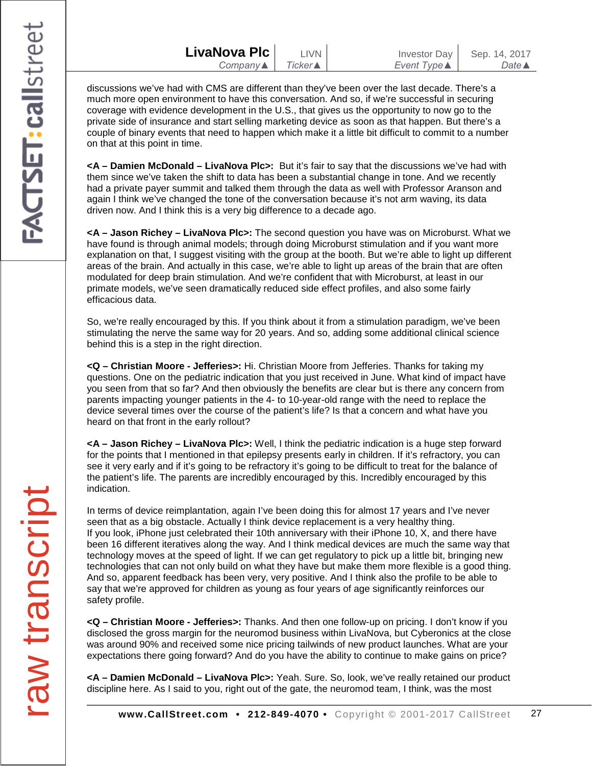discussions we've had with CMS are different than they've been over the last decade. There's a much more open environment to have this conversation. And so, if we're successful in securing coverage with evidence development in the U.S., that gives us the opportunity to now go to the private side of insurance and start selling marketing device as soon as that happen. But there's a couple of binary events that need to happen which make it a little bit difficult to commit to a number on that at this point in time.

**<A – Damien McDonald – LivaNova Plc>:** But it's fair to say that the discussions we've had with them since we've taken the shift to data has been a substantial change in tone. And we recently had a private payer summit and talked them through the data as well with Professor Aranson and again I think we've changed the tone of the conversation because it's not arm waving, its data driven now. And I think this is a very big difference to a decade ago.

**<A – Jason Richey – LivaNova Plc>:** The second question you have was on Microburst. What we have found is through animal models; through doing Microburst stimulation and if you want more explanation on that, I suggest visiting with the group at the booth. But we're able to light up different areas of the brain. And actually in this case, we're able to light up areas of the brain that are often modulated for deep brain stimulation. And we're confident that with Microburst, at least in our primate models, we've seen dramatically reduced side effect profiles, and also some fairly efficacious data.

So, we're really encouraged by this. If you think about it from a stimulation paradigm, we've been stimulating the nerve the same way for 20 years. And so, adding some additional clinical science behind this is a step in the right direction.

**<Q – Christian Moore - Jefferies>:** Hi. Christian Moore from Jefferies. Thanks for taking my questions. One on the pediatric indication that you just received in June. What kind of impact have you seen from that so far? And then obviously the benefits are clear but is there any concern from parents impacting younger patients in the 4- to 10-year-old range with the need to replace the device several times over the course of the patient's life? Is that a concern and what have you heard on that front in the early rollout?

**<A – Jason Richey – LivaNova Plc>:** Well, I think the pediatric indication is a huge step forward for the points that I mentioned in that epilepsy presents early in children. If it's refractory, you can see it very early and if it's going to be refractory it's going to be difficult to treat for the balance of the patient's life. The parents are incredibly encouraged by this. Incredibly encouraged by this indication.

In terms of device reimplantation, again I've been doing this for almost 17 years and I've never seen that as a big obstacle. Actually I think device replacement is a very healthy thing. If you look, iPhone just celebrated their 10th anniversary with their iPhone 10, X, and there have been 16 different iteratives along the way. And I think medical devices are much the same way that technology moves at the speed of light. If we can get regulatory to pick up a little bit, bringing new technologies that can not only build on what they have but make them more flexible is a good thing. And so, apparent feedback has been very, very positive. And I think also the profile to be able to say that we're approved for children as young as four years of age significantly reinforces our safety profile.

**<Q – Christian Moore - Jefferies>:** Thanks. And then one follow-up on pricing. I don't know if you disclosed the gross margin for the neuromod business within LivaNova, but Cyberonics at the close was around 90% and received some nice pricing tailwinds of new product launches. What are your expectations there going forward? And do you have the ability to continue to make gains on price?

**<A – Damien McDonald – LivaNova Plc>:** Yeah. Sure. So, look, we've really retained our product discipline here. As I said to you, right out of the gate, the neuromod team, I think, was the most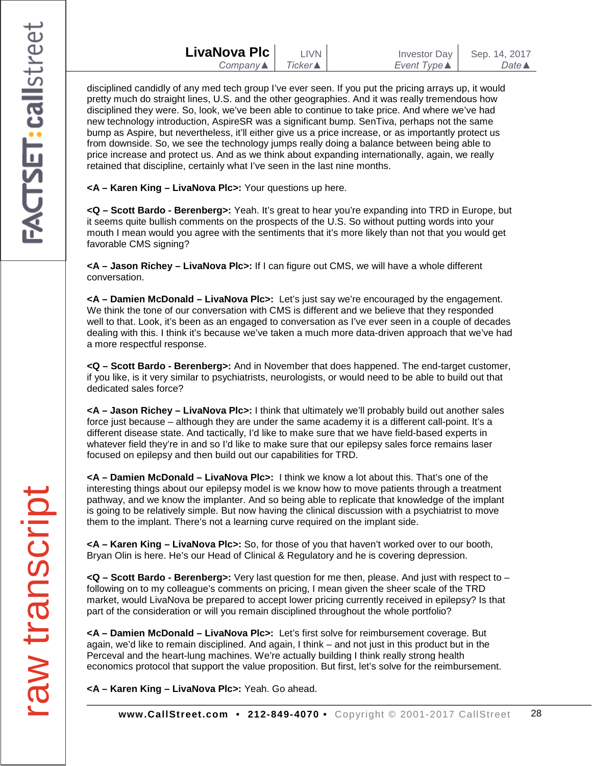disciplined candidly of any med tech group I've ever seen. If you put the pricing arrays up, it would pretty much do straight lines, U.S. and the other geographies. And it was really tremendous how disciplined they were. So, look, we've been able to continue to take price. And where we've had new technology introduction, AspireSR was a significant bump. SenTiva, perhaps not the same bump as Aspire, but nevertheless, it'll either give us a price increase, or as importantly protect us from downside. So, we see the technology jumps really doing a balance between being able to price increase and protect us. And as we think about expanding internationally, again, we really retained that discipline, certainly what I've seen in the last nine months.

**<A – Karen King – LivaNova Plc>:** Your questions up here.

**<Q – Scott Bardo - Berenberg>:** Yeah. It's great to hear you're expanding into TRD in Europe, but it seems quite bullish comments on the prospects of the U.S. So without putting words into your mouth I mean would you agree with the sentiments that it's more likely than not that you would get favorable CMS signing?

**<A – Jason Richey – LivaNova Plc>:** If I can figure out CMS, we will have a whole different conversation.

**<A – Damien McDonald – LivaNova Plc>:** Let's just say we're encouraged by the engagement. We think the tone of our conversation with CMS is different and we believe that they responded well to that. Look, it's been as an engaged to conversation as I've ever seen in a couple of decades dealing with this. I think it's because we've taken a much more data-driven approach that we've had a more respectful response.

**<Q – Scott Bardo - Berenberg>:** And in November that does happened. The end-target customer, if you like, is it very similar to psychiatrists, neurologists, or would need to be able to build out that dedicated sales force?

**<A – Jason Richey – LivaNova Plc>:** I think that ultimately we'll probably build out another sales force just because – although they are under the same academy it is a different call-point. It's a different disease state. And tactically, I'd like to make sure that we have field-based experts in whatever field they're in and so I'd like to make sure that our epilepsy sales force remains laser focused on epilepsy and then build out our capabilities for TRD.

**<A – Damien McDonald – LivaNova Plc>:** I think we know a lot about this. That's one of the interesting things about our epilepsy model is we know how to move patients through a treatment pathway, and we know the implanter. And so being able to replicate that knowledge of the implant is going to be relatively simple. But now having the clinical discussion with a psychiatrist to move them to the implant. There's not a learning curve required on the implant side.

**<A – Karen King – LivaNova Plc>:** So, for those of you that haven't worked over to our booth, Bryan Olin is here. He's our Head of Clinical & Regulatory and he is covering depression.

**<Q – Scott Bardo - Berenberg>:** Very last question for me then, please. And just with respect to – following on to my colleague's comments on pricing, I mean given the sheer scale of the TRD market, would LivaNova be prepared to accept lower pricing currently received in epilepsy? Is that part of the consideration or will you remain disciplined throughout the whole portfolio?

**<A – Damien McDonald – LivaNova Plc>:** Let's first solve for reimbursement coverage. But again, we'd like to remain disciplined. And again, I think – and not just in this product but in the Perceval and the heart-lung machines. We're actually building I think really strong health economics protocol that support the value proposition. But first, let's solve for the reimbursement.

**<A – Karen King – LivaNova Plc>:** Yeah. Go ahead.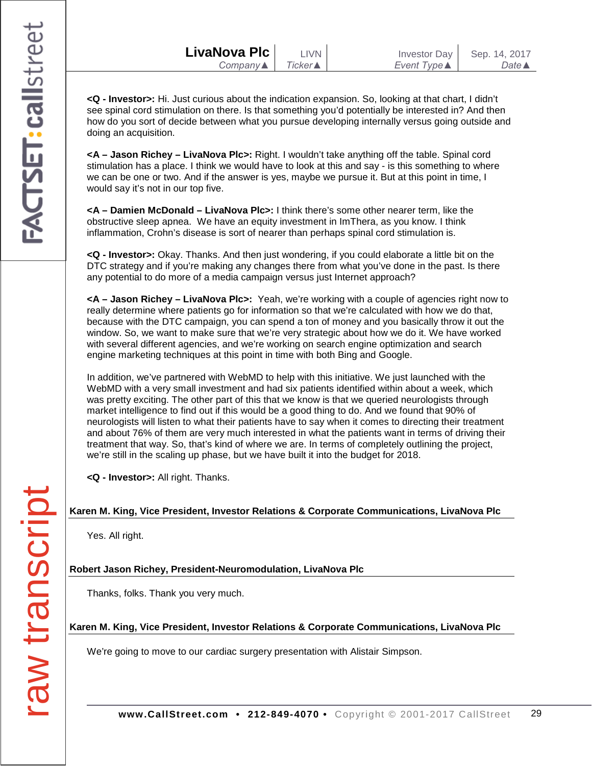**<Q - Investor>:** Hi. Just curious about the indication expansion. So, looking at that chart, I didn't see spinal cord stimulation on there. Is that something you'd potentially be interested in? And then how do you sort of decide between what you pursue developing internally versus going outside and doing an acquisition.

**<A – Jason Richey – LivaNova Plc>:** Right. I wouldn't take anything off the table. Spinal cord stimulation has a place. I think we would have to look at this and say - is this something to where we can be one or two. And if the answer is yes, maybe we pursue it. But at this point in time, I would say it's not in our top five.

**<A – Damien McDonald – LivaNova Plc>:** I think there's some other nearer term, like the obstructive sleep apnea. We have an equity investment in ImThera, as you know. I think inflammation, Crohn's disease is sort of nearer than perhaps spinal cord stimulation is.

**<Q - Investor>:** Okay. Thanks. And then just wondering, if you could elaborate a little bit on the DTC strategy and if you're making any changes there from what you've done in the past. Is there any potential to do more of a media campaign versus just Internet approach?

**<A – Jason Richey – LivaNova Plc>:** Yeah, we're working with a couple of agencies right now to really determine where patients go for information so that we're calculated with how we do that, because with the DTC campaign, you can spend a ton of money and you basically throw it out the window. So, we want to make sure that we're very strategic about how we do it. We have worked with several different agencies, and we're working on search engine optimization and search engine marketing techniques at this point in time with both Bing and Google.

In addition, we've partnered with WebMD to help with this initiative. We just launched with the WebMD with a very small investment and had six patients identified within about a week, which was pretty exciting. The other part of this that we know is that we queried neurologists through market intelligence to find out if this would be a good thing to do. And we found that 90% of neurologists will listen to what their patients have to say when it comes to directing their treatment and about 76% of them are very much interested in what the patients want in terms of driving their treatment that way. So, that's kind of where we are. In terms of completely outlining the project, we're still in the scaling up phase, but we have built it into the budget for 2018.

**<Q - Investor>:** All right. Thanks.

### **Karen M. King, Vice President, Investor Relations & Corporate Communications, LivaNova Plc**

Yes. All right.

**Robert Jason Richey, President-Neuromodulation, LivaNova Plc**

Thanks, folks. Thank you very much.

**Karen M. King, Vice President, Investor Relations & Corporate Communications, LivaNova Plc**

We're going to move to our cardiac surgery presentation with Alistair Simpson.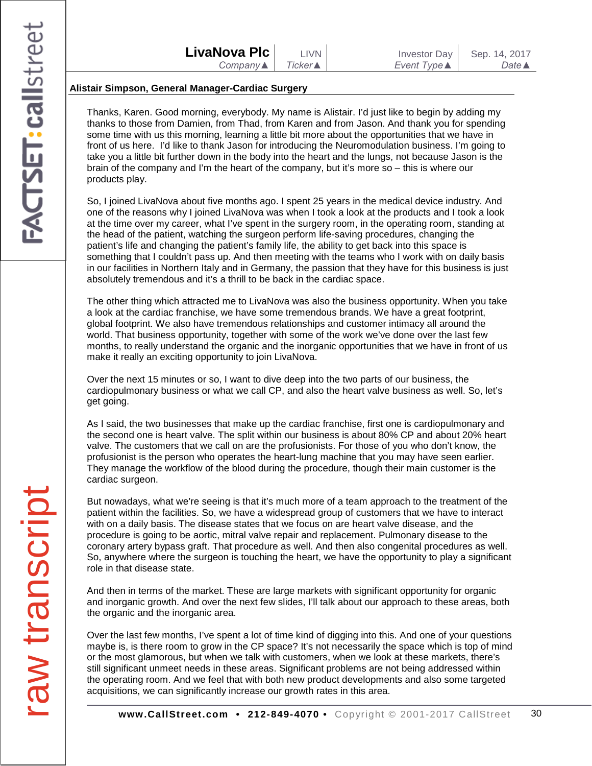#### **Alistair Simpson, General Manager-Cardiac Surgery**

Thanks, Karen. Good morning, everybody. My name is Alistair. I'd just like to begin by adding my thanks to those from Damien, from Thad, from Karen and from Jason. And thank you for spending some time with us this morning, learning a little bit more about the opportunities that we have in front of us here. I'd like to thank Jason for introducing the Neuromodulation business. I'm going to take you a little bit further down in the body into the heart and the lungs, not because Jason is the brain of the company and I'm the heart of the company, but it's more so – this is where our products play.

So, I joined LivaNova about five months ago. I spent 25 years in the medical device industry. And one of the reasons why I joined LivaNova was when I took a look at the products and I took a look at the time over my career, what I've spent in the surgery room, in the operating room, standing at the head of the patient, watching the surgeon perform life-saving procedures, changing the patient's life and changing the patient's family life, the ability to get back into this space is something that I couldn't pass up. And then meeting with the teams who I work with on daily basis in our facilities in Northern Italy and in Germany, the passion that they have for this business is just absolutely tremendous and it's a thrill to be back in the cardiac space.

The other thing which attracted me to LivaNova was also the business opportunity. When you take a look at the cardiac franchise, we have some tremendous brands. We have a great footprint, global footprint. We also have tremendous relationships and customer intimacy all around the world. That business opportunity, together with some of the work we've done over the last few months, to really understand the organic and the inorganic opportunities that we have in front of us make it really an exciting opportunity to join LivaNova.

Over the next 15 minutes or so, I want to dive deep into the two parts of our business, the cardiopulmonary business or what we call CP, and also the heart valve business as well. So, let's get going.

As I said, the two businesses that make up the cardiac franchise, first one is cardiopulmonary and the second one is heart valve. The split within our business is about 80% CP and about 20% heart valve. The customers that we call on are the profusionists. For those of you who don't know, the profusionist is the person who operates the heart-lung machine that you may have seen earlier. They manage the workflow of the blood during the procedure, though their main customer is the cardiac surgeon.

But nowadays, what we're seeing is that it's much more of a team approach to the treatment of the patient within the facilities. So, we have a widespread group of customers that we have to interact with on a daily basis. The disease states that we focus on are heart valve disease, and the procedure is going to be aortic, mitral valve repair and replacement. Pulmonary disease to the coronary artery bypass graft. That procedure as well. And then also congenital procedures as well. So, anywhere where the surgeon is touching the heart, we have the opportunity to play a significant role in that disease state.

And then in terms of the market. These are large markets with significant opportunity for organic and inorganic growth. And over the next few slides, I'll talk about our approach to these areas, both the organic and the inorganic area.

Over the last few months, I've spent a lot of time kind of digging into this. And one of your questions maybe is, is there room to grow in the CP space? It's not necessarily the space which is top of mind or the most glamorous, but when we talk with customers, when we look at these markets, there's still significant unmeet needs in these areas. Significant problems are not being addressed within the operating room. And we feel that with both new product developments and also some targeted acquisitions, we can significantly increase our growth rates in this area.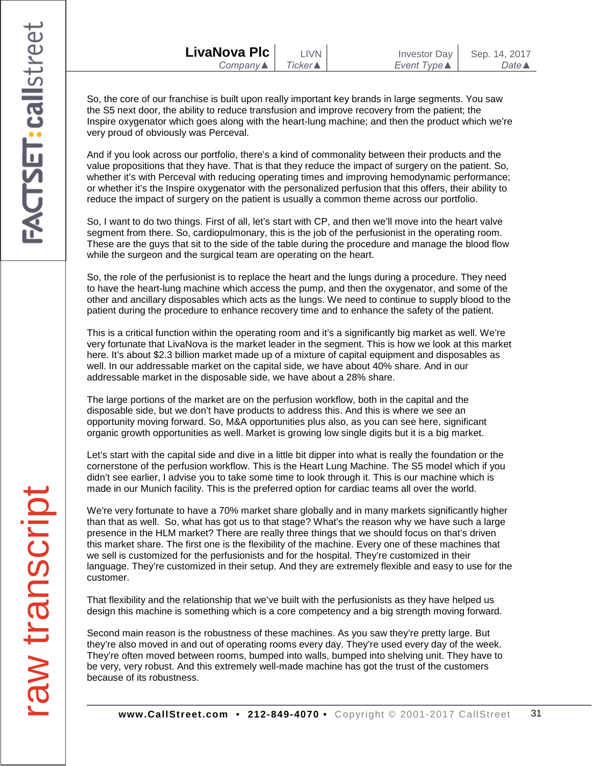So, the core of our franchise is built upon really important key brands in large segments. You saw the S5 next door, the ability to reduce transfusion and improve recovery from the patient; the Inspire oxygenator which goes along with the heart-lung machine; and then the product which we're very proud of obviously was Perceval.

And if you look across our portfolio, there's a kind of commonality between their products and the value propositions that they have. That is that they reduce the impact of surgery on the patient. So, whether it's with Perceval with reducing operating times and improving hemodynamic performance; or whether it's the Inspire oxygenator with the personalized perfusion that this offers, their ability to reduce the impact of surgery on the patient is usually a common theme across our portfolio.

So, I want to do two things. First of all, let's start with CP, and then we'll move into the heart valve segment from there. So, cardiopulmonary, this is the job of the perfusionist in the operating room. These are the guys that sit to the side of the table during the procedure and manage the blood flow while the surgeon and the surgical team are operating on the heart.

So, the role of the perfusionist is to replace the heart and the lungs during a procedure. They need to have the heart-lung machine which access the pump, and then the oxygenator, and some of the other and ancillary disposables which acts as the lungs. We need to continue to supply blood to the patient during the procedure to enhance recovery time and to enhance the safety of the patient.

This is a critical function within the operating room and it's a significantly big market as well. We're very fortunate that LivaNova is the market leader in the segment. This is how we look at this market here. It's about \$2.3 billion market made up of a mixture of capital equipment and disposables as well. In our addressable market on the capital side, we have about 40% share. And in our addressable market in the disposable side, we have about a 28% share.

The large portions of the market are on the perfusion workflow, both in the capital and the disposable side, but we don't have products to address this. And this is where we see an opportunity moving forward. So, M&A opportunities plus also, as you can see here, significant organic growth opportunities as well. Market is growing low single digits but it is a big market.

Let's start with the capital side and dive in a little bit dipper into what is really the foundation or the cornerstone of the perfusion workflow. This is the Heart Lung Machine. The S5 model which if you didn't see earlier, I advise you to take some time to look through it. This is our machine which is made in our Munich facility. This is the preferred option for cardiac teams all over the world.

We're very fortunate to have a 70% market share globally and in many markets significantly higher than that as well. So, what has got us to that stage? What's the reason why we have such a large presence in the HLM market? There are really three things that we should focus on that's driven this market share. The first one is the flexibility of the machine. Every one of these machines that we sell is customized for the perfusionists and for the hospital. They're customized in their language. They're customized in their setup. And they are extremely flexible and easy to use for the customer.

That flexibility and the relationship that we've built with the perfusionists as they have helped us design this machine is something which is a core competency and a big strength moving forward.

Second main reason is the robustness of these machines. As you saw they're pretty large. But they're also moved in and out of operating rooms every day. They're used every day of the week. They're often moved between rooms, bumped into walls, bumped into shelving unit. They have to be very, very robust. And this extremely well-made machine has got the trust of the customers because of its robustness.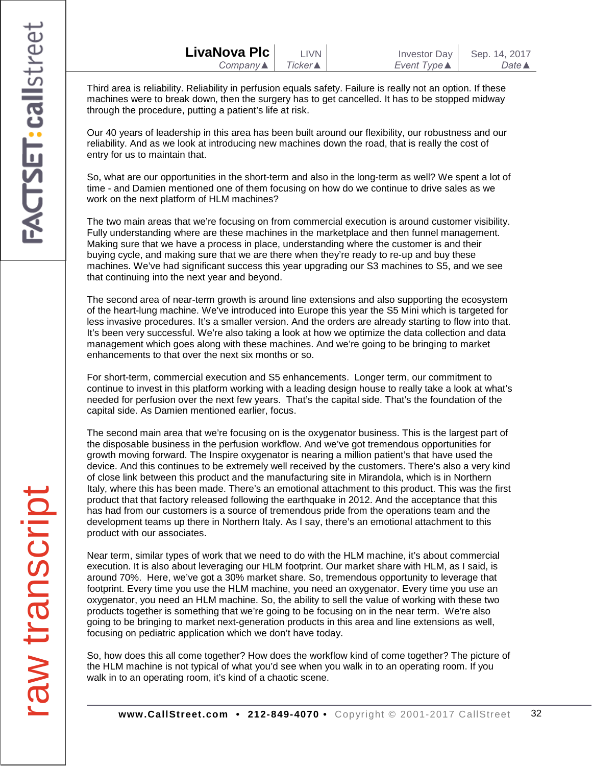| LivaNova Plc             | <b>LIVN</b>     |  |
|--------------------------|-----------------|--|
| Company $\blacktriangle$ | <b>Ticker</b> ▲ |  |

Third area is reliability. Reliability in perfusion equals safety. Failure is really not an option. If these machines were to break down, then the surgery has to get cancelled. It has to be stopped midway through the procedure, putting a patient's life at risk.

Our 40 years of leadership in this area has been built around our flexibility, our robustness and our reliability. And as we look at introducing new machines down the road, that is really the cost of entry for us to maintain that.

So, what are our opportunities in the short-term and also in the long-term as well? We spent a lot of time - and Damien mentioned one of them focusing on how do we continue to drive sales as we work on the next platform of HLM machines?

The two main areas that we're focusing on from commercial execution is around customer visibility. Fully understanding where are these machines in the marketplace and then funnel management. Making sure that we have a process in place, understanding where the customer is and their buying cycle, and making sure that we are there when they're ready to re-up and buy these machines. We've had significant success this year upgrading our S3 machines to S5, and we see that continuing into the next year and beyond.

The second area of near-term growth is around line extensions and also supporting the ecosystem of the heart-lung machine. We've introduced into Europe this year the S5 Mini which is targeted for less invasive procedures. It's a smaller version. And the orders are already starting to flow into that. It's been very successful. We're also taking a look at how we optimize the data collection and data management which goes along with these machines. And we're going to be bringing to market enhancements to that over the next six months or so.

For short-term, commercial execution and S5 enhancements. Longer term, our commitment to continue to invest in this platform working with a leading design house to really take a look at what's needed for perfusion over the next few years. That's the capital side. That's the foundation of the capital side. As Damien mentioned earlier, focus.

The second main area that we're focusing on is the oxygenator business. This is the largest part of the disposable business in the perfusion workflow. And we've got tremendous opportunities for growth moving forward. The Inspire oxygenator is nearing a million patient's that have used the device. And this continues to be extremely well received by the customers. There's also a very kind of close link between this product and the manufacturing site in Mirandola, which is in Northern Italy, where this has been made. There's an emotional attachment to this product. This was the first product that that factory released following the earthquake in 2012. And the acceptance that this has had from our customers is a source of tremendous pride from the operations team and the development teams up there in Northern Italy. As I say, there's an emotional attachment to this product with our associates.

Near term, similar types of work that we need to do with the HLM machine, it's about commercial execution. It is also about leveraging our HLM footprint. Our market share with HLM, as I said, is around 70%. Here, we've got a 30% market share. So, tremendous opportunity to leverage that footprint. Every time you use the HLM machine, you need an oxygenator. Every time you use an oxygenator, you need an HLM machine. So, the ability to sell the value of working with these two products together is something that we're going to be focusing on in the near term. We're also going to be bringing to market next-generation products in this area and line extensions as well, focusing on pediatric application which we don't have today.

So, how does this all come together? How does the workflow kind of come together? The picture of the HLM machine is not typical of what you'd see when you walk in to an operating room. If you walk in to an operating room, it's kind of a chaotic scene.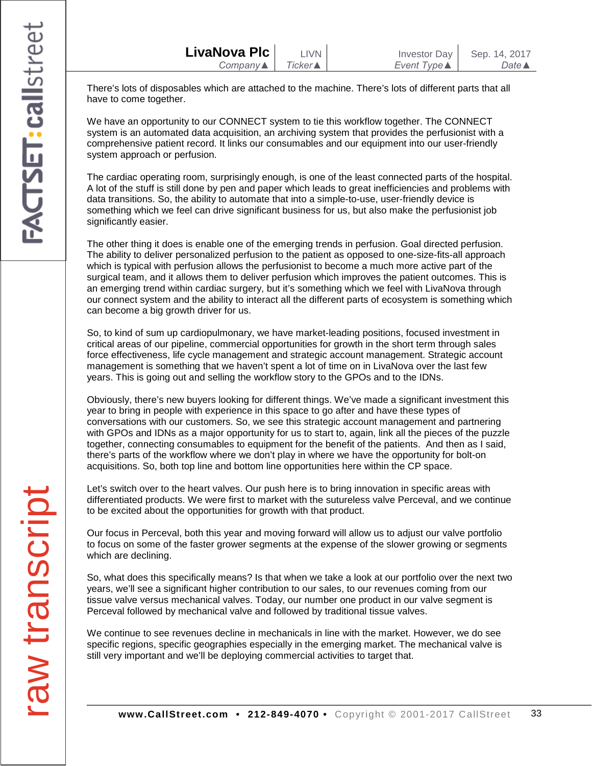| LivaNova Plc             | <b>LIVN</b>     | Investor Day        | Sep. 14, 2017         |
|--------------------------|-----------------|---------------------|-----------------------|
| Company $\blacktriangle$ | <b>Ticker</b> ▲ | Event Type <b>▲</b> | Date $\blacktriangle$ |

There's lots of disposables which are attached to the machine. There's lots of different parts that all have to come together.

We have an opportunity to our CONNECT system to tie this workflow together. The CONNECT system is an automated data acquisition, an archiving system that provides the perfusionist with a comprehensive patient record. It links our consumables and our equipment into our user-friendly system approach or perfusion.

The cardiac operating room, surprisingly enough, is one of the least connected parts of the hospital. A lot of the stuff is still done by pen and paper which leads to great inefficiencies and problems with data transitions. So, the ability to automate that into a simple-to-use, user-friendly device is something which we feel can drive significant business for us, but also make the perfusionist job significantly easier.

The other thing it does is enable one of the emerging trends in perfusion. Goal directed perfusion. The ability to deliver personalized perfusion to the patient as opposed to one-size-fits-all approach which is typical with perfusion allows the perfusionist to become a much more active part of the surgical team, and it allows them to deliver perfusion which improves the patient outcomes. This is an emerging trend within cardiac surgery, but it's something which we feel with LivaNova through our connect system and the ability to interact all the different parts of ecosystem is something which can become a big growth driver for us.

So, to kind of sum up cardiopulmonary, we have market-leading positions, focused investment in critical areas of our pipeline, commercial opportunities for growth in the short term through sales force effectiveness, life cycle management and strategic account management. Strategic account management is something that we haven't spent a lot of time on in LivaNova over the last few years. This is going out and selling the workflow story to the GPOs and to the IDNs.

Obviously, there's new buyers looking for different things. We've made a significant investment this year to bring in people with experience in this space to go after and have these types of conversations with our customers. So, we see this strategic account management and partnering with GPOs and IDNs as a major opportunity for us to start to, again, link all the pieces of the puzzle together, connecting consumables to equipment for the benefit of the patients. And then as I said, there's parts of the workflow where we don't play in where we have the opportunity for bolt-on acquisitions. So, both top line and bottom line opportunities here within the CP space.

Let's switch over to the heart valves. Our push here is to bring innovation in specific areas with differentiated products. We were first to market with the sutureless valve Perceval, and we continue to be excited about the opportunities for growth with that product.

Our focus in Perceval, both this year and moving forward will allow us to adjust our valve portfolio to focus on some of the faster grower segments at the expense of the slower growing or segments which are declining.

So, what does this specifically means? Is that when we take a look at our portfolio over the next two years, we'll see a significant higher contribution to our sales, to our revenues coming from our tissue valve versus mechanical valves. Today, our number one product in our valve segment is Perceval followed by mechanical valve and followed by traditional tissue valves.

We continue to see revenues decline in mechanicals in line with the market. However, we do see specific regions, specific geographies especially in the emerging market. The mechanical valve is still very important and we'll be deploying commercial activities to target that.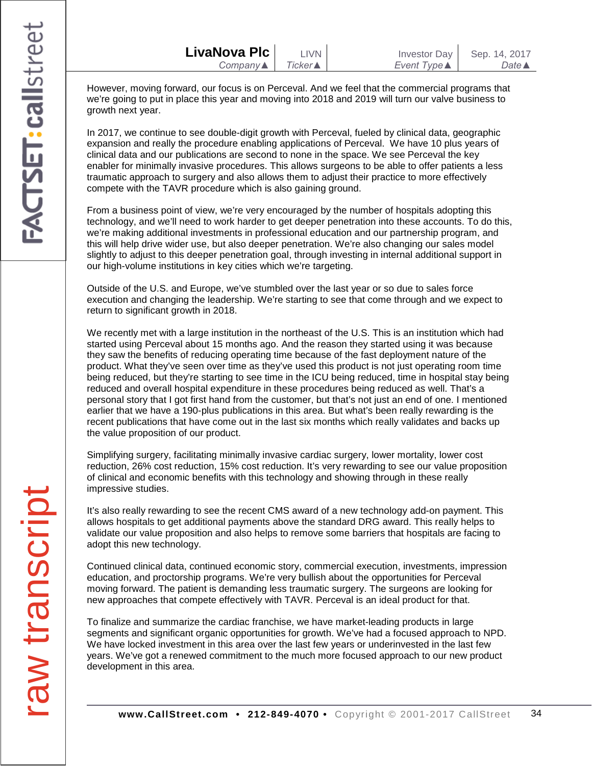| LivaNova Plc             | LIVN    | Investor Day | Sep. 14, 2017    |
|--------------------------|---------|--------------|------------------|
| Company $\blacktriangle$ | Ticker▲ | Event Type ▲ | Date $\triangle$ |

However, moving forward, our focus is on Perceval. And we feel that the commercial programs that we're going to put in place this year and moving into 2018 and 2019 will turn our valve business to growth next year.

In 2017, we continue to see double-digit growth with Perceval, fueled by clinical data, geographic expansion and really the procedure enabling applications of Perceval. We have 10 plus years of clinical data and our publications are second to none in the space. We see Perceval the key enabler for minimally invasive procedures. This allows surgeons to be able to offer patients a less traumatic approach to surgery and also allows them to adjust their practice to more effectively compete with the TAVR procedure which is also gaining ground.

From a business point of view, we're very encouraged by the number of hospitals adopting this technology, and we'll need to work harder to get deeper penetration into these accounts. To do this, we're making additional investments in professional education and our partnership program, and this will help drive wider use, but also deeper penetration. We're also changing our sales model slightly to adjust to this deeper penetration goal, through investing in internal additional support in our high-volume institutions in key cities which we're targeting.

Outside of the U.S. and Europe, we've stumbled over the last year or so due to sales force execution and changing the leadership. We're starting to see that come through and we expect to return to significant growth in 2018.

We recently met with a large institution in the northeast of the U.S. This is an institution which had started using Perceval about 15 months ago. And the reason they started using it was because they saw the benefits of reducing operating time because of the fast deployment nature of the product. What they've seen over time as they've used this product is not just operating room time being reduced, but they're starting to see time in the ICU being reduced, time in hospital stay being reduced and overall hospital expenditure in these procedures being reduced as well. That's a personal story that I got first hand from the customer, but that's not just an end of one. I mentioned earlier that we have a 190-plus publications in this area. But what's been really rewarding is the recent publications that have come out in the last six months which really validates and backs up the value proposition of our product.

Simplifying surgery, facilitating minimally invasive cardiac surgery, lower mortality, lower cost reduction, 26% cost reduction, 15% cost reduction. It's very rewarding to see our value proposition of clinical and economic benefits with this technology and showing through in these really impressive studies.

It's also really rewarding to see the recent CMS award of a new technology add-on payment. This allows hospitals to get additional payments above the standard DRG award. This really helps to validate our value proposition and also helps to remove some barriers that hospitals are facing to adopt this new technology.

Continued clinical data, continued economic story, commercial execution, investments, impression education, and proctorship programs. We're very bullish about the opportunities for Perceval moving forward. The patient is demanding less traumatic surgery. The surgeons are looking for new approaches that compete effectively with TAVR. Perceval is an ideal product for that.

To finalize and summarize the cardiac franchise, we have market-leading products in large segments and significant organic opportunities for growth. We've had a focused approach to NPD. We have locked investment in this area over the last few years or underinvested in the last few years. We've got a renewed commitment to the much more focused approach to our new product development in this area.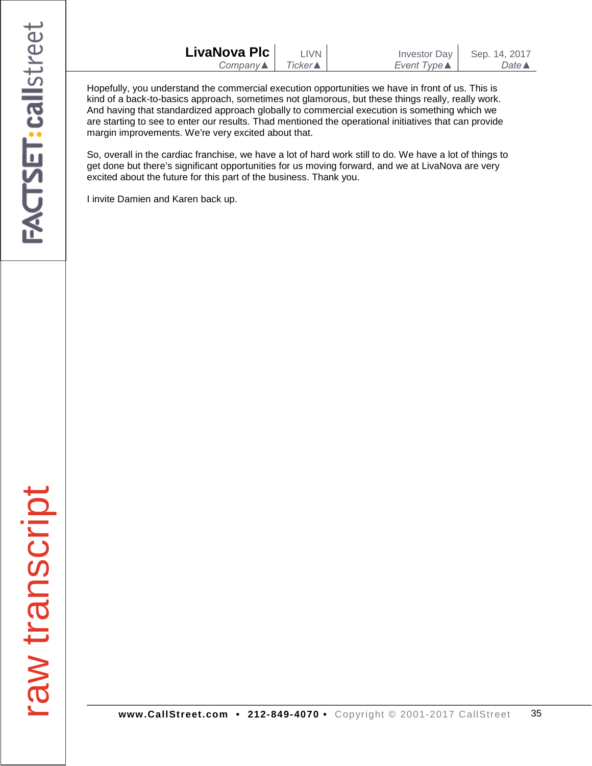| LivaNova Plc | <b>LIVN</b>     | <b>Investor Day</b> | Sep. 14, 2017    |
|--------------|-----------------|---------------------|------------------|
| Company▲     | <b>Ticker</b> ▲ | Event Type ▲        | Date $\triangle$ |
|              |                 |                     |                  |

Hopefully, you understand the commercial execution opportunities we have in front of us. This is kind of a back-to-basics approach, sometimes not glamorous, but these things really, really work. And having that standardized approach globally to commercial execution is something which we are starting to see to enter our results. Thad mentioned the operational initiatives that can provide margin improvements. We're very excited about that.

So, overall in the cardiac franchise, we have a lot of hard work still to do. We have a lot of things to get done but there's significant opportunities for us moving forward, and we at LivaNova are very excited about the future for this part of the business. Thank you.

I invite Damien and Karen back up.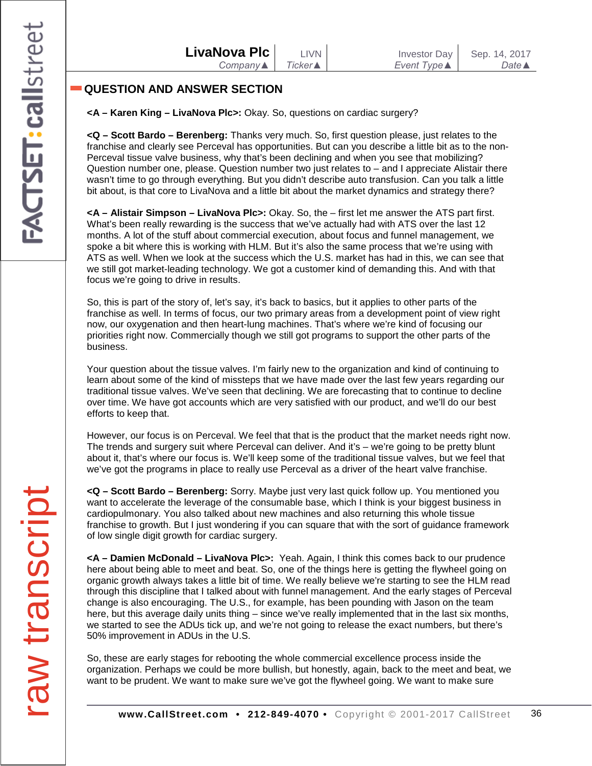# **QUESTION AND ANSWER SECTION**

**<A – Karen King – LivaNova Plc>:** Okay. So, questions on cardiac surgery?

**<Q – Scott Bardo – Berenberg:** Thanks very much. So, first question please, just relates to the franchise and clearly see Perceval has opportunities. But can you describe a little bit as to the non-Perceval tissue valve business, why that's been declining and when you see that mobilizing? Question number one, please. Question number two just relates to – and I appreciate Alistair there wasn't time to go through everything. But you didn't describe auto transfusion. Can you talk a little bit about, is that core to LivaNova and a little bit about the market dynamics and strategy there?

**<A – Alistair Simpson – LivaNova Plc>:** Okay. So, the – first let me answer the ATS part first. What's been really rewarding is the success that we've actually had with ATS over the last 12 months. A lot of the stuff about commercial execution, about focus and funnel management, we spoke a bit where this is working with HLM. But it's also the same process that we're using with ATS as well. When we look at the success which the U.S. market has had in this, we can see that we still got market-leading technology. We got a customer kind of demanding this. And with that focus we're going to drive in results.

So, this is part of the story of, let's say, it's back to basics, but it applies to other parts of the franchise as well. In terms of focus, our two primary areas from a development point of view right now, our oxygenation and then heart-lung machines. That's where we're kind of focusing our priorities right now. Commercially though we still got programs to support the other parts of the business.

Your question about the tissue valves. I'm fairly new to the organization and kind of continuing to learn about some of the kind of missteps that we have made over the last few years regarding our traditional tissue valves. We've seen that declining. We are forecasting that to continue to decline over time. We have got accounts which are very satisfied with our product, and we'll do our best efforts to keep that.

However, our focus is on Perceval. We feel that that is the product that the market needs right now. The trends and surgery suit where Perceval can deliver. And it's – we're going to be pretty blunt about it, that's where our focus is. We'll keep some of the traditional tissue valves, but we feel that we've got the programs in place to really use Perceval as a driver of the heart valve franchise.

**<Q – Scott Bardo – Berenberg:** Sorry. Maybe just very last quick follow up. You mentioned you want to accelerate the leverage of the consumable base, which I think is your biggest business in cardiopulmonary. You also talked about new machines and also returning this whole tissue franchise to growth. But I just wondering if you can square that with the sort of guidance framework of low single digit growth for cardiac surgery.

**<A – Damien McDonald – LivaNova Plc>:** Yeah. Again, I think this comes back to our prudence here about being able to meet and beat. So, one of the things here is getting the flywheel going on organic growth always takes a little bit of time. We really believe we're starting to see the HLM read through this discipline that I talked about with funnel management. And the early stages of Perceval change is also encouraging. The U.S., for example, has been pounding with Jason on the team here, but this average daily units thing – since we've really implemented that in the last six months, we started to see the ADUs tick up, and we're not going to release the exact numbers, but there's 50% improvement in ADUs in the U.S.

So, these are early stages for rebooting the whole commercial excellence process inside the organization. Perhaps we could be more bullish, but honestly, again, back to the meet and beat, we want to be prudent. We want to make sure we've got the flywheel going. We want to make sure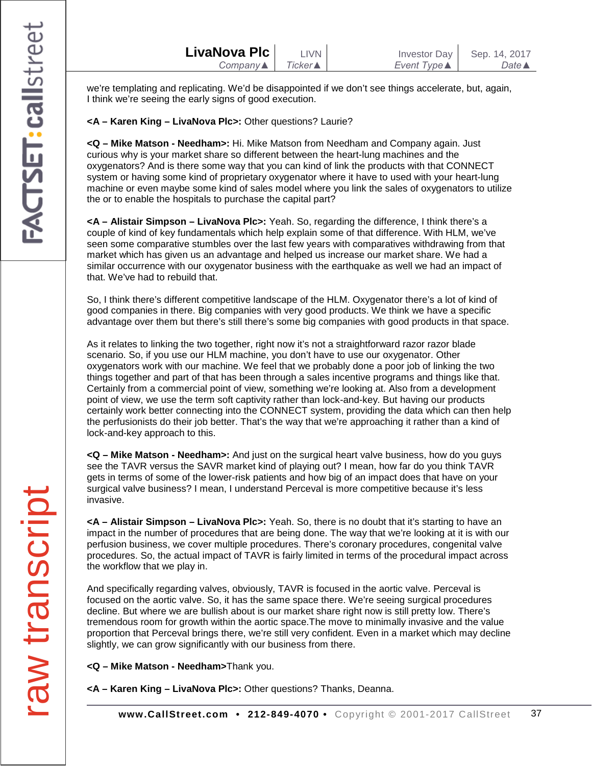|                                                             | LivaNova Plc | <b>LIVN</b> | <b>Investor Day</b> | Sep. 14, 2017         |
|-------------------------------------------------------------|--------------|-------------|---------------------|-----------------------|
| Ticker ▲<br>Event Type <b>▲</b><br>Company $\blacktriangle$ |              |             |                     | Date $\blacktriangle$ |

we're templating and replicating. We'd be disappointed if we don't see things accelerate, but, again, I think we're seeing the early signs of good execution.

**<A – Karen King – LivaNova Plc>:** Other questions? Laurie?

**<Q – Mike Matson - Needham>:** Hi. Mike Matson from Needham and Company again. Just curious why is your market share so different between the heart-lung machines and the oxygenators? And is there some way that you can kind of link the products with that CONNECT system or having some kind of proprietary oxygenator where it have to used with your heart-lung machine or even maybe some kind of sales model where you link the sales of oxygenators to utilize the or to enable the hospitals to purchase the capital part?

**<A – Alistair Simpson – LivaNova Plc>:** Yeah. So, regarding the difference, I think there's a couple of kind of key fundamentals which help explain some of that difference. With HLM, we've seen some comparative stumbles over the last few years with comparatives withdrawing from that market which has given us an advantage and helped us increase our market share. We had a similar occurrence with our oxygenator business with the earthquake as well we had an impact of that. We've had to rebuild that.

So, I think there's different competitive landscape of the HLM. Oxygenator there's a lot of kind of good companies in there. Big companies with very good products. We think we have a specific advantage over them but there's still there's some big companies with good products in that space.

As it relates to linking the two together, right now it's not a straightforward razor razor blade scenario. So, if you use our HLM machine, you don't have to use our oxygenator. Other oxygenators work with our machine. We feel that we probably done a poor job of linking the two things together and part of that has been through a sales incentive programs and things like that. Certainly from a commercial point of view, something we're looking at. Also from a development point of view, we use the term soft captivity rather than lock-and-key. But having our products certainly work better connecting into the CONNECT system, providing the data which can then help the perfusionists do their job better. That's the way that we're approaching it rather than a kind of lock-and-key approach to this.

**<Q – Mike Matson - Needham>:** And just on the surgical heart valve business, how do you guys see the TAVR versus the SAVR market kind of playing out? I mean, how far do you think TAVR gets in terms of some of the lower-risk patients and how big of an impact does that have on your surgical valve business? I mean, I understand Perceval is more competitive because it's less invasive.

**<A – Alistair Simpson – LivaNova Plc>:** Yeah. So, there is no doubt that it's starting to have an impact in the number of procedures that are being done. The way that we're looking at it is with our perfusion business, we cover multiple procedures. There's coronary procedures, congenital valve procedures. So, the actual impact of TAVR is fairly limited in terms of the procedural impact across the workflow that we play in.

And specifically regarding valves, obviously, TAVR is focused in the aortic valve. Perceval is focused on the aortic valve. So, it has the same space there. We're seeing surgical procedures decline. But where we are bullish about is our market share right now is still pretty low. There's tremendous room for growth within the aortic space.The move to minimally invasive and the value proportion that Perceval brings there, we're still very confident. Even in a market which may decline slightly, we can grow significantly with our business from there.

**<Q – Mike Matson - Needham>**Thank you.

**<A – Karen King – LivaNova Plc>:** Other questions? Thanks, Deanna.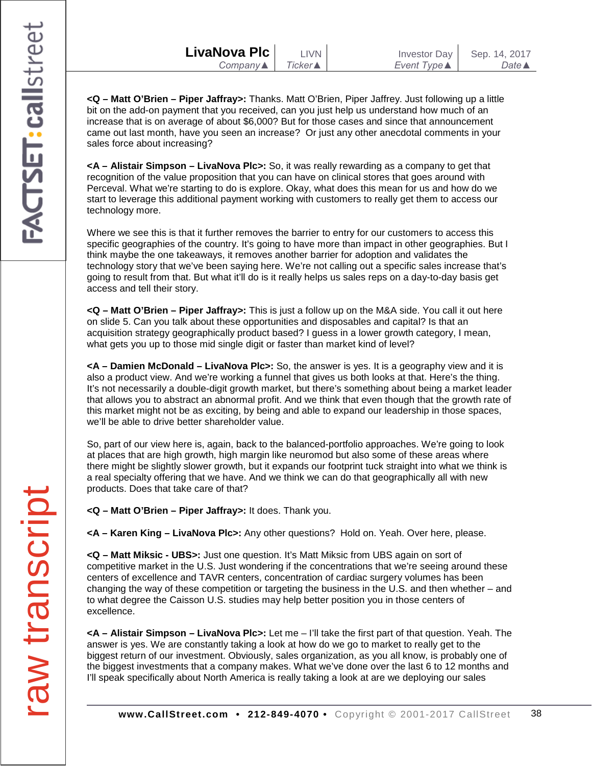| LivaNova Plc             | <b>LIVN</b>     | Investor Day        | Sep. 14, 2017    |
|--------------------------|-----------------|---------------------|------------------|
| Company $\blacktriangle$ | Ticker <b>▲</b> | Event Type <b>▲</b> | Date $\triangle$ |

**<Q – Matt O'Brien – Piper Jaffray>:** Thanks. Matt O'Brien, Piper Jaffrey. Just following up a little bit on the add-on payment that you received, can you just help us understand how much of an increase that is on average of about \$6,000? But for those cases and since that announcement came out last month, have you seen an increase? Or just any other anecdotal comments in your sales force about increasing?

**<A – Alistair Simpson – LivaNova Plc>:** So, it was really rewarding as a company to get that recognition of the value proposition that you can have on clinical stores that goes around with Perceval. What we're starting to do is explore. Okay, what does this mean for us and how do we start to leverage this additional payment working with customers to really get them to access our technology more.

Where we see this is that it further removes the barrier to entry for our customers to access this specific geographies of the country. It's going to have more than impact in other geographies. But I think maybe the one takeaways, it removes another barrier for adoption and validates the technology story that we've been saying here. We're not calling out a specific sales increase that's going to result from that. But what it'll do is it really helps us sales reps on a day-to-day basis get access and tell their story.

**<Q – Matt O'Brien – Piper Jaffray>:** This is just a follow up on the M&A side. You call it out here on slide 5. Can you talk about these opportunities and disposables and capital? Is that an acquisition strategy geographically product based? I guess in a lower growth category, I mean, what gets you up to those mid single digit or faster than market kind of level?

**<A – Damien McDonald – LivaNova Plc>:** So, the answer is yes. It is a geography view and it is also a product view. And we're working a funnel that gives us both looks at that. Here's the thing. It's not necessarily a double-digit growth market, but there's something about being a market leader that allows you to abstract an abnormal profit. And we think that even though that the growth rate of this market might not be as exciting, by being and able to expand our leadership in those spaces, we'll be able to drive better shareholder value.

So, part of our view here is, again, back to the balanced-portfolio approaches. We're going to look at places that are high growth, high margin like neuromod but also some of these areas where there might be slightly slower growth, but it expands our footprint tuck straight into what we think is a real specialty offering that we have. And we think we can do that geographically all with new products. Does that take care of that?

**<Q – Matt O'Brien – Piper Jaffray>:** It does. Thank you.

**<A – Karen King – LivaNova Plc>:** Any other questions? Hold on. Yeah. Over here, please.

**<Q – Matt Miksic - UBS>:** Just one question. It's Matt Miksic from UBS again on sort of competitive market in the U.S. Just wondering if the concentrations that we're seeing around these centers of excellence and TAVR centers, concentration of cardiac surgery volumes has been changing the way of these competition or targeting the business in the U.S. and then whether – and to what degree the Caisson U.S. studies may help better position you in those centers of excellence.

**<A – Alistair Simpson – LivaNova Plc>:** Let me – I'll take the first part of that question. Yeah. The answer is yes. We are constantly taking a look at how do we go to market to really get to the biggest return of our investment. Obviously, sales organization, as you all know, is probably one of the biggest investments that a company makes. What we've done over the last 6 to 12 months and I'll speak specifically about North America is really taking a look at are we deploying our sales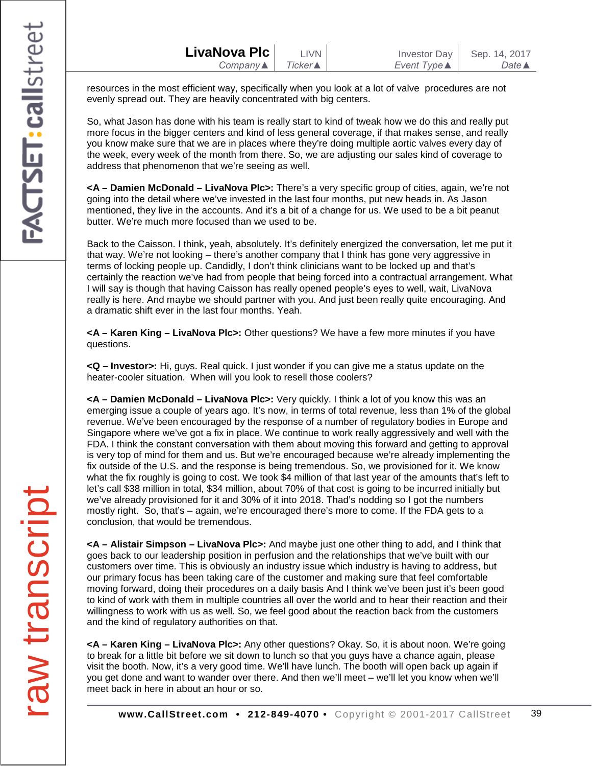| LivaNova Plc             | <b>LIVN</b>     | <b>Investor Day</b> | Sep. 14, 2017    |
|--------------------------|-----------------|---------------------|------------------|
| Company $\blacktriangle$ | <b>Ticker</b> ▲ | Event Type <b>▲</b> | Date $\triangle$ |

resources in the most efficient way, specifically when you look at a lot of valve procedures are not evenly spread out. They are heavily concentrated with big centers.

So, what Jason has done with his team is really start to kind of tweak how we do this and really put more focus in the bigger centers and kind of less general coverage, if that makes sense, and really you know make sure that we are in places where they're doing multiple aortic valves every day of the week, every week of the month from there. So, we are adjusting our sales kind of coverage to address that phenomenon that we're seeing as well.

**<A – Damien McDonald – LivaNova Plc>:** There's a very specific group of cities, again, we're not going into the detail where we've invested in the last four months, put new heads in. As Jason mentioned, they live in the accounts. And it's a bit of a change for us. We used to be a bit peanut butter. We're much more focused than we used to be.

Back to the Caisson. I think, yeah, absolutely. It's definitely energized the conversation, let me put it that way. We're not looking – there's another company that I think has gone very aggressive in terms of locking people up. Candidly, I don't think clinicians want to be locked up and that's certainly the reaction we've had from people that being forced into a contractual arrangement. What I will say is though that having Caisson has really opened people's eyes to well, wait, LivaNova really is here. And maybe we should partner with you. And just been really quite encouraging. And a dramatic shift ever in the last four months. Yeah.

**<A – Karen King – LivaNova Plc>:** Other questions? We have a few more minutes if you have questions.

**<Q – Investor>:** Hi, guys. Real quick. I just wonder if you can give me a status update on the heater-cooler situation. When will you look to resell those coolers?

**<A – Damien McDonald – LivaNova Plc>:** Very quickly. I think a lot of you know this was an emerging issue a couple of years ago. It's now, in terms of total revenue, less than 1% of the global revenue. We've been encouraged by the response of a number of regulatory bodies in Europe and Singapore where we've got a fix in place. We continue to work really aggressively and well with the FDA. I think the constant conversation with them about moving this forward and getting to approval is very top of mind for them and us. But we're encouraged because we're already implementing the fix outside of the U.S. and the response is being tremendous. So, we provisioned for it. We know what the fix roughly is going to cost. We took \$4 million of that last year of the amounts that's left to let's call \$38 million in total, \$34 million, about 70% of that cost is going to be incurred initially but we've already provisioned for it and 30% of it into 2018. Thad's nodding so I got the numbers mostly right. So, that's – again, we're encouraged there's more to come. If the FDA gets to a conclusion, that would be tremendous.

**<A – Alistair Simpson – LivaNova Plc>:** And maybe just one other thing to add, and I think that goes back to our leadership position in perfusion and the relationships that we've built with our customers over time. This is obviously an industry issue which industry is having to address, but our primary focus has been taking care of the customer and making sure that feel comfortable moving forward, doing their procedures on a daily basis And I think we've been just it's been good to kind of work with them in multiple countries all over the world and to hear their reaction and their willingness to work with us as well. So, we feel good about the reaction back from the customers and the kind of regulatory authorities on that.

**<A – Karen King – LivaNova Plc>:** Any other questions? Okay. So, it is about noon. We're going to break for a little bit before we sit down to lunch so that you guys have a chance again, please visit the booth. Now, it's a very good time. We'll have lunch. The booth will open back up again if you get done and want to wander over there. And then we'll meet – we'll let you know when we'll meet back in here in about an hour or so.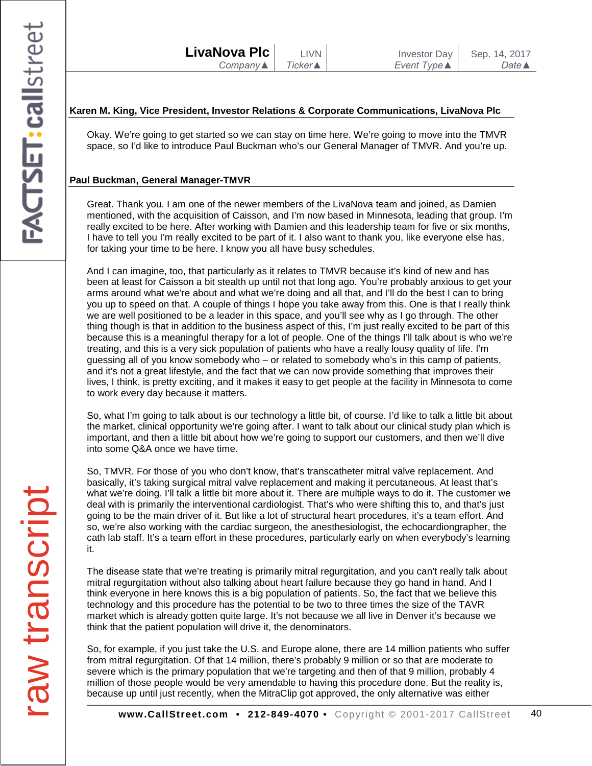## **Karen M. King, Vice President, Investor Relations & Corporate Communications, LivaNova Plc**

Okay. We're going to get started so we can stay on time here. We're going to move into the TMVR space, so I'd like to introduce Paul Buckman who's our General Manager of TMVR. And you're up.

## **Paul Buckman, General Manager-TMVR**

Great. Thank you. I am one of the newer members of the LivaNova team and joined, as Damien mentioned, with the acquisition of Caisson, and I'm now based in Minnesota, leading that group. I'm really excited to be here. After working with Damien and this leadership team for five or six months, I have to tell you I'm really excited to be part of it. I also want to thank you, like everyone else has, for taking your time to be here. I know you all have busy schedules.

And I can imagine, too, that particularly as it relates to TMVR because it's kind of new and has been at least for Caisson a bit stealth up until not that long ago. You're probably anxious to get your arms around what we're about and what we're doing and all that, and I'll do the best I can to bring you up to speed on that. A couple of things I hope you take away from this. One is that I really think we are well positioned to be a leader in this space, and you'll see why as I go through. The other thing though is that in addition to the business aspect of this, I'm just really excited to be part of this because this is a meaningful therapy for a lot of people. One of the things I'll talk about is who we're treating, and this is a very sick population of patients who have a really lousy quality of life. I'm guessing all of you know somebody who – or related to somebody who's in this camp of patients, and it's not a great lifestyle, and the fact that we can now provide something that improves their lives, I think, is pretty exciting, and it makes it easy to get people at the facility in Minnesota to come to work every day because it matters.

So, what I'm going to talk about is our technology a little bit, of course. I'd like to talk a little bit about the market, clinical opportunity we're going after. I want to talk about our clinical study plan which is important, and then a little bit about how we're going to support our customers, and then we'll dive into some Q&A once we have time.

So, TMVR. For those of you who don't know, that's transcatheter mitral valve replacement. And basically, it's taking surgical mitral valve replacement and making it percutaneous. At least that's what we're doing. I'll talk a little bit more about it. There are multiple ways to do it. The customer we deal with is primarily the interventional cardiologist. That's who were shifting this to, and that's just going to be the main driver of it. But like a lot of structural heart procedures, it's a team effort. And so, we're also working with the cardiac surgeon, the anesthesiologist, the echocardiongrapher, the cath lab staff. It's a team effort in these procedures, particularly early on when everybody's learning it.

The disease state that we're treating is primarily mitral regurgitation, and you can't really talk about mitral regurgitation without also talking about heart failure because they go hand in hand. And I think everyone in here knows this is a big population of patients. So, the fact that we believe this technology and this procedure has the potential to be two to three times the size of the TAVR market which is already gotten quite large. It's not because we all live in Denver it's because we think that the patient population will drive it, the denominators.

So, for example, if you just take the U.S. and Europe alone, there are 14 million patients who suffer from mitral regurgitation. Of that 14 million, there's probably 9 million or so that are moderate to severe which is the primary population that we're targeting and then of that 9 million, probably 4 million of those people would be very amendable to having this procedure done. But the reality is, because up until just recently, when the MitraClip got approved, the only alternative was either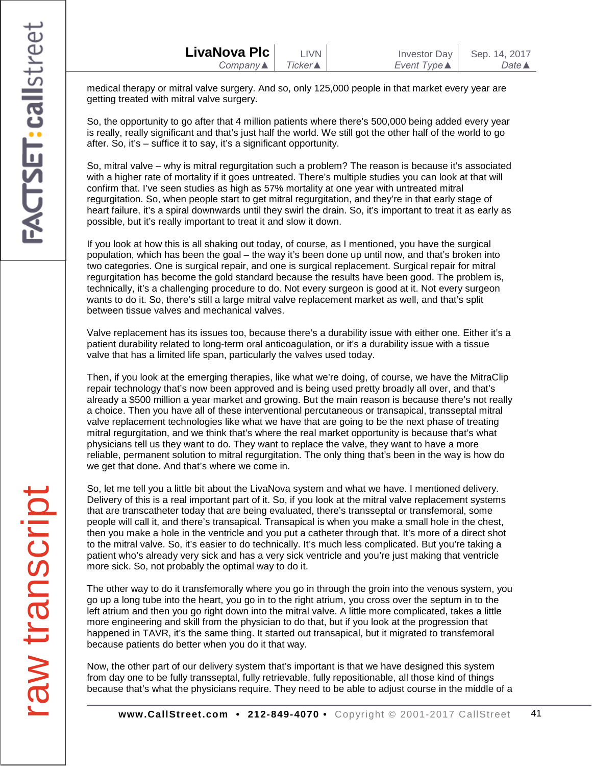medical therapy or mitral valve surgery. And so, only 125,000 people in that market every year are getting treated with mitral valve surgery.

So, the opportunity to go after that 4 million patients where there's 500,000 being added every year is really, really significant and that's just half the world. We still got the other half of the world to go after. So, it's – suffice it to say, it's a significant opportunity.

So, mitral valve – why is mitral regurgitation such a problem? The reason is because it's associated with a higher rate of mortality if it goes untreated. There's multiple studies you can look at that will confirm that. I've seen studies as high as 57% mortality at one year with untreated mitral regurgitation. So, when people start to get mitral regurgitation, and they're in that early stage of heart failure, it's a spiral downwards until they swirl the drain. So, it's important to treat it as early as possible, but it's really important to treat it and slow it down.

If you look at how this is all shaking out today, of course, as I mentioned, you have the surgical population, which has been the goal – the way it's been done up until now, and that's broken into two categories. One is surgical repair, and one is surgical replacement. Surgical repair for mitral regurgitation has become the gold standard because the results have been good. The problem is, technically, it's a challenging procedure to do. Not every surgeon is good at it. Not every surgeon wants to do it. So, there's still a large mitral valve replacement market as well, and that's split between tissue valves and mechanical valves.

Valve replacement has its issues too, because there's a durability issue with either one. Either it's a patient durability related to long-term oral anticoagulation, or it's a durability issue with a tissue valve that has a limited life span, particularly the valves used today.

Then, if you look at the emerging therapies, like what we're doing, of course, we have the MitraClip repair technology that's now been approved and is being used pretty broadly all over, and that's already a \$500 million a year market and growing. But the main reason is because there's not really a choice. Then you have all of these interventional percutaneous or transapical, transseptal mitral valve replacement technologies like what we have that are going to be the next phase of treating mitral regurgitation, and we think that's where the real market opportunity is because that's what physicians tell us they want to do. They want to replace the valve, they want to have a more reliable, permanent solution to mitral regurgitation. The only thing that's been in the way is how do we get that done. And that's where we come in.

So, let me tell you a little bit about the LivaNova system and what we have. I mentioned delivery. Delivery of this is a real important part of it. So, if you look at the mitral valve replacement systems that are transcatheter today that are being evaluated, there's transseptal or transfemoral, some people will call it, and there's transapical. Transapical is when you make a small hole in the chest, then you make a hole in the ventricle and you put a catheter through that. It's more of a direct shot to the mitral valve. So, it's easier to do technically. It's much less complicated. But you're taking a patient who's already very sick and has a very sick ventricle and you're just making that ventricle more sick. So, not probably the optimal way to do it.

The other way to do it transfemorally where you go in through the groin into the venous system, you go up a long tube into the heart, you go in to the right atrium, you cross over the septum in to the left atrium and then you go right down into the mitral valve. A little more complicated, takes a little more engineering and skill from the physician to do that, but if you look at the progression that happened in TAVR, it's the same thing. It started out transapical, but it migrated to transfemoral because patients do better when you do it that way.

Now, the other part of our delivery system that's important is that we have designed this system from day one to be fully transseptal, fully retrievable, fully repositionable, all those kind of things because that's what the physicians require. They need to be able to adjust course in the middle of a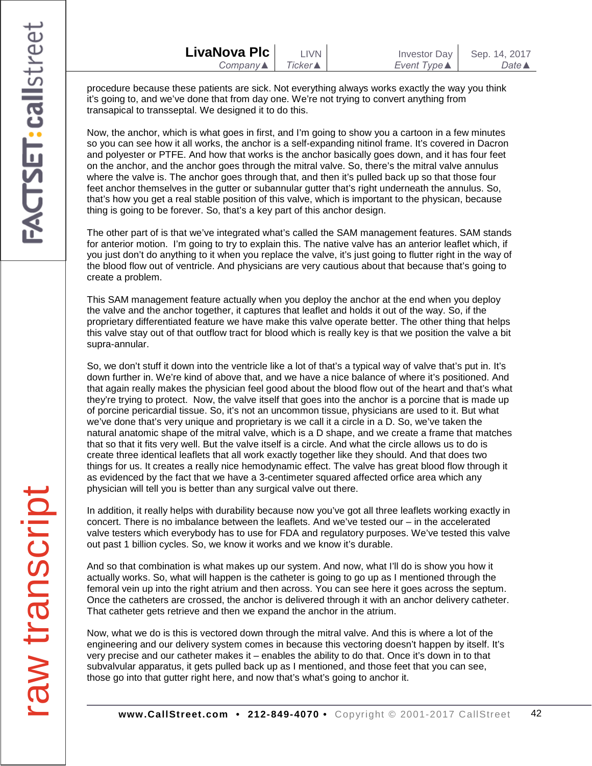| LivaNova Plc             | LIVN    | Investor Day | Sep. 14, 2017    |
|--------------------------|---------|--------------|------------------|
| Company $\blacktriangle$ | Ticker▲ | Event Type ▲ | Date $\triangle$ |

procedure because these patients are sick. Not everything always works exactly the way you think it's going to, and we've done that from day one. We're not trying to convert anything from transapical to transseptal. We designed it to do this.

Now, the anchor, which is what goes in first, and I'm going to show you a cartoon in a few minutes so you can see how it all works, the anchor is a self-expanding nitinol frame. It's covered in Dacron and polyester or PTFE. And how that works is the anchor basically goes down, and it has four feet on the anchor, and the anchor goes through the mitral valve. So, there's the mitral valve annulus where the valve is. The anchor goes through that, and then it's pulled back up so that those four feet anchor themselves in the gutter or subannular gutter that's right underneath the annulus. So, that's how you get a real stable position of this valve, which is important to the physican, because thing is going to be forever. So, that's a key part of this anchor design.

The other part of is that we've integrated what's called the SAM management features. SAM stands for anterior motion. I'm going to try to explain this. The native valve has an anterior leaflet which, if you just don't do anything to it when you replace the valve, it's just going to flutter right in the way of the blood flow out of ventricle. And physicians are very cautious about that because that's going to create a problem.

This SAM management feature actually when you deploy the anchor at the end when you deploy the valve and the anchor together, it captures that leaflet and holds it out of the way. So, if the proprietary differentiated feature we have make this valve operate better. The other thing that helps this valve stay out of that outflow tract for blood which is really key is that we position the valve a bit supra-annular.

So, we don't stuff it down into the ventricle like a lot of that's a typical way of valve that's put in. It's down further in. We're kind of above that, and we have a nice balance of where it's positioned. And that again really makes the physician feel good about the blood flow out of the heart and that's what they're trying to protect. Now, the valve itself that goes into the anchor is a porcine that is made up of porcine pericardial tissue. So, it's not an uncommon tissue, physicians are used to it. But what we've done that's very unique and proprietary is we call it a circle in a D. So, we've taken the natural anatomic shape of the mitral valve, which is a D shape, and we create a frame that matches that so that it fits very well. But the valve itself is a circle. And what the circle allows us to do is create three identical leaflets that all work exactly together like they should. And that does two things for us. It creates a really nice hemodynamic effect. The valve has great blood flow through it as evidenced by the fact that we have a 3-centimeter squared affected orfice area which any physician will tell you is better than any surgical valve out there.

In addition, it really helps with durability because now you've got all three leaflets working exactly in concert. There is no imbalance between the leaflets. And we've tested our – in the accelerated valve testers which everybody has to use for FDA and regulatory purposes. We've tested this valve out past 1 billion cycles. So, we know it works and we know it's durable.

And so that combination is what makes up our system. And now, what I'll do is show you how it actually works. So, what will happen is the catheter is going to go up as I mentioned through the femoral vein up into the right atrium and then across. You can see here it goes across the septum. Once the catheters are crossed, the anchor is delivered through it with an anchor delivery catheter. That catheter gets retrieve and then we expand the anchor in the atrium.

Now, what we do is this is vectored down through the mitral valve. And this is where a lot of the engineering and our delivery system comes in because this vectoring doesn't happen by itself. It's very precise and our catheter makes it – enables the ability to do that. Once it's down in to that subvalvular apparatus, it gets pulled back up as I mentioned, and those feet that you can see, those go into that gutter right here, and now that's what's going to anchor it.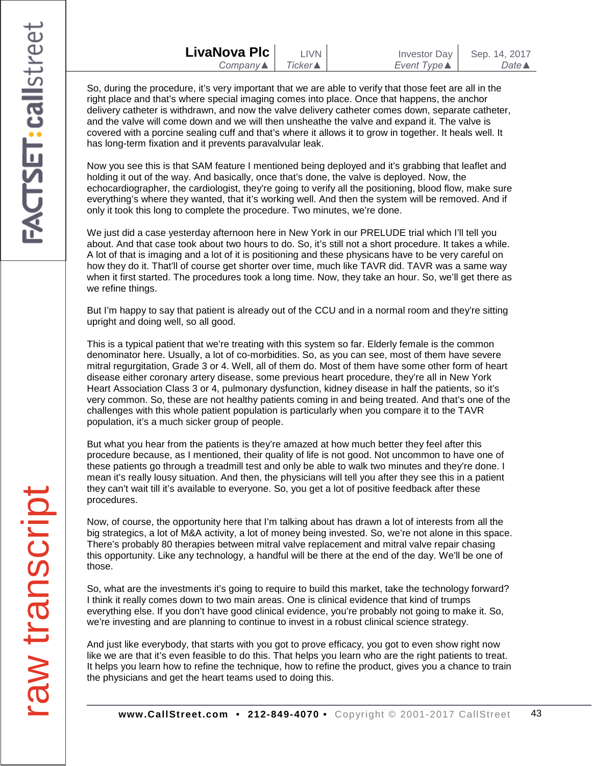| LivaNova Plc        |       |
|---------------------|-------|
| $Company \triangle$ | Ticke |

So, during the procedure, it's very important that we are able to verify that those feet are all in the right place and that's where special imaging comes into place. Once that happens, the anchor delivery catheter is withdrawn, and now the valve delivery catheter comes down, separate catheter, and the valve will come down and we will then unsheathe the valve and expand it. The valve is covered with a porcine sealing cuff and that's where it allows it to grow in together. It heals well. It has long-term fixation and it prevents paravalvular leak.

Now you see this is that SAM feature I mentioned being deployed and it's grabbing that leaflet and holding it out of the way. And basically, once that's done, the valve is deployed. Now, the echocardiographer, the cardiologist, they're going to verify all the positioning, blood flow, make sure everything's where they wanted, that it's working well. And then the system will be removed. And if only it took this long to complete the procedure. Two minutes, we're done.

We just did a case yesterday afternoon here in New York in our PRELUDE trial which I'll tell you about. And that case took about two hours to do. So, it's still not a short procedure. It takes a while. A lot of that is imaging and a lot of it is positioning and these physicans have to be very careful on how they do it. That'll of course get shorter over time, much like TAVR did. TAVR was a same way when it first started. The procedures took a long time. Now, they take an hour. So, we'll get there as we refine things.

But I'm happy to say that patient is already out of the CCU and in a normal room and they're sitting upright and doing well, so all good.

This is a typical patient that we're treating with this system so far. Elderly female is the common denominator here. Usually, a lot of co-morbidities. So, as you can see, most of them have severe mitral regurgitation, Grade 3 or 4. Well, all of them do. Most of them have some other form of heart disease either coronary artery disease, some previous heart procedure, they're all in New York Heart Association Class 3 or 4, pulmonary dysfunction, kidney disease in half the patients, so it's very common. So, these are not healthy patients coming in and being treated. And that's one of the challenges with this whole patient population is particularly when you compare it to the TAVR population, it's a much sicker group of people.

But what you hear from the patients is they're amazed at how much better they feel after this procedure because, as I mentioned, their quality of life is not good. Not uncommon to have one of these patients go through a treadmill test and only be able to walk two minutes and they're done. I mean it's really lousy situation. And then, the physicians will tell you after they see this in a patient they can't wait till it's available to everyone. So, you get a lot of positive feedback after these procedures.

Now, of course, the opportunity here that I'm talking about has drawn a lot of interests from all the big strategics, a lot of M&A activity, a lot of money being invested. So, we're not alone in this space. There's probably 80 therapies between mitral valve replacement and mitral valve repair chasing this opportunity. Like any technology, a handful will be there at the end of the day. We'll be one of those.

So, what are the investments it's going to require to build this market, take the technology forward? I think it really comes down to two main areas. One is clinical evidence that kind of trumps everything else. If you don't have good clinical evidence, you're probably not going to make it. So, we're investing and are planning to continue to invest in a robust clinical science strategy.

And just like everybody, that starts with you got to prove efficacy, you got to even show right now like we are that it's even feasible to do this. That helps you learn who are the right patients to treat. It helps you learn how to refine the technique, how to refine the product, gives you a chance to train the physicians and get the heart teams used to doing this.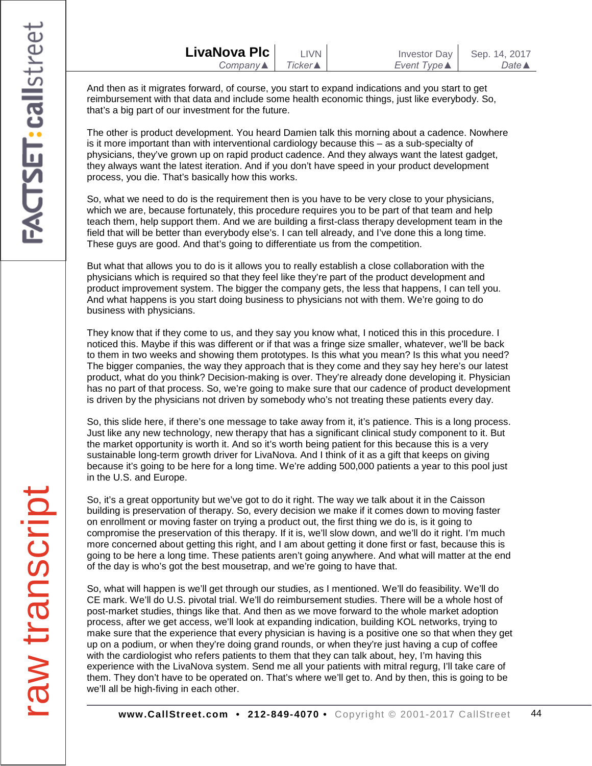| LivaNova Plc             | LIVN I          | <b>Investor Day</b> | Sep. 14, 2017    |
|--------------------------|-----------------|---------------------|------------------|
| Company $\blacktriangle$ | <b>Ticker</b> ▲ | Event Type <b>▲</b> | Date $\triangle$ |

And then as it migrates forward, of course, you start to expand indications and you start to get reimbursement with that data and include some health economic things, just like everybody. So, that's a big part of our investment for the future.

The other is product development. You heard Damien talk this morning about a cadence. Nowhere is it more important than with interventional cardiology because this – as a sub-specialty of physicians, they've grown up on rapid product cadence. And they always want the latest gadget, they always want the latest iteration. And if you don't have speed in your product development process, you die. That's basically how this works.

So, what we need to do is the requirement then is you have to be very close to your physicians, which we are, because fortunately, this procedure requires you to be part of that team and help teach them, help support them. And we are building a first-class therapy development team in the field that will be better than everybody else's. I can tell already, and I've done this a long time. These guys are good. And that's going to differentiate us from the competition.

But what that allows you to do is it allows you to really establish a close collaboration with the physicians which is required so that they feel like they're part of the product development and product improvement system. The bigger the company gets, the less that happens, I can tell you. And what happens is you start doing business to physicians not with them. We're going to do business with physicians.

They know that if they come to us, and they say you know what, I noticed this in this procedure. I noticed this. Maybe if this was different or if that was a fringe size smaller, whatever, we'll be back to them in two weeks and showing them prototypes. Is this what you mean? Is this what you need? The bigger companies, the way they approach that is they come and they say hey here's our latest product, what do you think? Decision-making is over. They're already done developing it. Physician has no part of that process. So, we're going to make sure that our cadence of product development is driven by the physicians not driven by somebody who's not treating these patients every day.

So, this slide here, if there's one message to take away from it, it's patience. This is a long process. Just like any new technology, new therapy that has a significant clinical study component to it. But the market opportunity is worth it. And so it's worth being patient for this because this is a very sustainable long-term growth driver for LivaNova. And I think of it as a gift that keeps on giving because it's going to be here for a long time. We're adding 500,000 patients a year to this pool just in the U.S. and Europe.

So, it's a great opportunity but we've got to do it right. The way we talk about it in the Caisson building is preservation of therapy. So, every decision we make if it comes down to moving faster on enrollment or moving faster on trying a product out, the first thing we do is, is it going to compromise the preservation of this therapy. If it is, we'll slow down, and we'll do it right. I'm much more concerned about getting this right, and I am about getting it done first or fast, because this is going to be here a long time. These patients aren't going anywhere. And what will matter at the end of the day is who's got the best mousetrap, and we're going to have that.

So, what will happen is we'll get through our studies, as I mentioned. We'll do feasibility. We'll do CE mark. We'll do U.S. pivotal trial. We'll do reimbursement studies. There will be a whole host of post-market studies, things like that. And then as we move forward to the whole market adoption process, after we get access, we'll look at expanding indication, building KOL networks, trying to make sure that the experience that every physician is having is a positive one so that when they get up on a podium, or when they're doing grand rounds, or when they're just having a cup of coffee with the cardiologist who refers patients to them that they can talk about, hey, I'm having this experience with the LivaNova system. Send me all your patients with mitral regurg, I'll take care of them. They don't have to be operated on. That's where we'll get to. And by then, this is going to be we'll all be high-fiving in each other.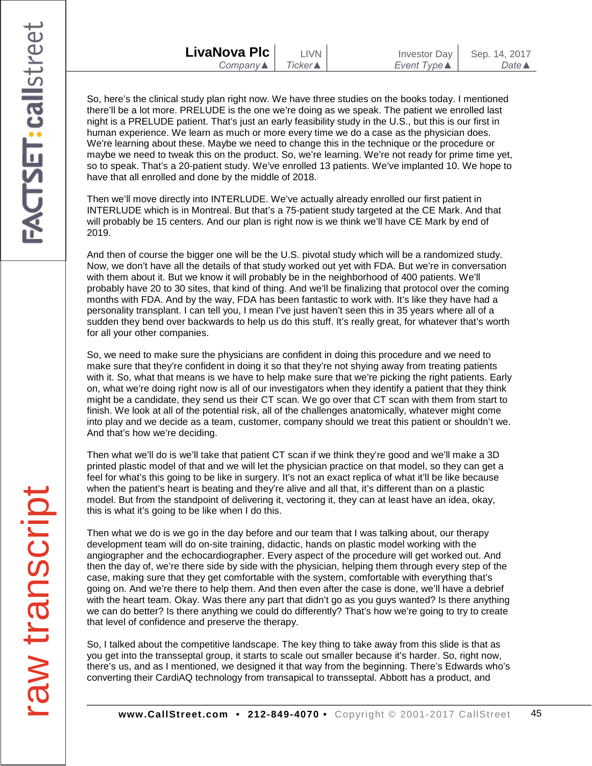| LivaNova Plc             | <b>LIVN</b>     | <b>Investor Day</b> | Sep. 14, 2017         |
|--------------------------|-----------------|---------------------|-----------------------|
| Company $\blacktriangle$ | <b>Ticker</b> ▲ | Event Type <b>▲</b> | Date $\blacktriangle$ |

So, here's the clinical study plan right now. We have three studies on the books today. I mentioned there'll be a lot more. PRELUDE is the one we're doing as we speak. The patient we enrolled last night is a PRELUDE patient. That's just an early feasibility study in the U.S., but this is our first in human experience. We learn as much or more every time we do a case as the physician does. We're learning about these. Maybe we need to change this in the technique or the procedure or maybe we need to tweak this on the product. So, we're learning. We're not ready for prime time yet, so to speak. That's a 20-patient study. We've enrolled 13 patients. We've implanted 10. We hope to have that all enrolled and done by the middle of 2018.

Then we'll move directly into INTERLUDE. We've actually already enrolled our first patient in INTERLUDE which is in Montreal. But that's a 75-patient study targeted at the CE Mark. And that will probably be 15 centers. And our plan is right now is we think we'll have CE Mark by end of 2019.

And then of course the bigger one will be the U.S. pivotal study which will be a randomized study. Now, we don't have all the details of that study worked out yet with FDA. But we're in conversation with them about it. But we know it will probably be in the neighborhood of 400 patients. We'll probably have 20 to 30 sites, that kind of thing. And we'll be finalizing that protocol over the coming months with FDA. And by the way, FDA has been fantastic to work with. It's like they have had a personality transplant. I can tell you, I mean I've just haven't seen this in 35 years where all of a sudden they bend over backwards to help us do this stuff. It's really great, for whatever that's worth for all your other companies.

So, we need to make sure the physicians are confident in doing this procedure and we need to make sure that they're confident in doing it so that they're not shying away from treating patients with it. So, what that means is we have to help make sure that we're picking the right patients. Early on, what we're doing right now is all of our investigators when they identify a patient that they think might be a candidate, they send us their CT scan. We go over that CT scan with them from start to finish. We look at all of the potential risk, all of the challenges anatomically, whatever might come into play and we decide as a team, customer, company should we treat this patient or shouldn't we. And that's how we're deciding.

Then what we'll do is we'll take that patient CT scan if we think they're good and we'll make a 3D printed plastic model of that and we will let the physician practice on that model, so they can get a feel for what's this going to be like in surgery. It's not an exact replica of what it'll be like because when the patient's heart is beating and they're alive and all that, it's different than on a plastic model. But from the standpoint of delivering it, vectoring it, they can at least have an idea, okay, this is what it's going to be like when I do this.

Then what we do is we go in the day before and our team that I was talking about, our therapy development team will do on-site training, didactic, hands on plastic model working with the angiographer and the echocardiographer. Every aspect of the procedure will get worked out. And then the day of, we're there side by side with the physician, helping them through every step of the case, making sure that they get comfortable with the system, comfortable with everything that's going on. And we're there to help them. And then even after the case is done, we'll have a debrief with the heart team. Okay. Was there any part that didn't go as you guys wanted? Is there anything we can do better? Is there anything we could do differently? That's how we're going to try to create that level of confidence and preserve the therapy.

So, I talked about the competitive landscape. The key thing to take away from this slide is that as you get into the transseptal group, it starts to scale out smaller because it's harder. So, right now, there's us, and as I mentioned, we designed it that way from the beginning. There's Edwards who's converting their CardiAQ technology from transapical to transseptal. Abbott has a product, and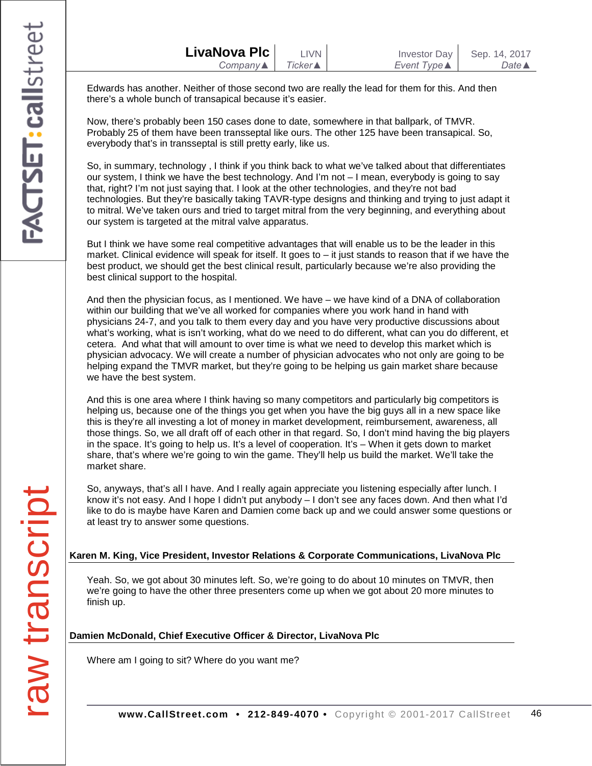| LivaNova Plc             | <b>LIVN</b>     | <b>Investor Day</b> | Sep. 14, 2017         |
|--------------------------|-----------------|---------------------|-----------------------|
| Company $\blacktriangle$ | <b>Ticker</b> ▲ | Event Type <b>▲</b> | Date $\blacktriangle$ |

Edwards has another. Neither of those second two are really the lead for them for this. And then there's a whole bunch of transapical because it's easier.

Now, there's probably been 150 cases done to date, somewhere in that ballpark, of TMVR. Probably 25 of them have been transseptal like ours. The other 125 have been transapical. So, everybody that's in transseptal is still pretty early, like us.

So, in summary, technology , I think if you think back to what we've talked about that differentiates our system, I think we have the best technology. And I'm not – I mean, everybody is going to say that, right? I'm not just saying that. I look at the other technologies, and they're not bad technologies. But they're basically taking TAVR-type designs and thinking and trying to just adapt it to mitral. We've taken ours and tried to target mitral from the very beginning, and everything about our system is targeted at the mitral valve apparatus.

But I think we have some real competitive advantages that will enable us to be the leader in this market. Clinical evidence will speak for itself. It goes to – it just stands to reason that if we have the best product, we should get the best clinical result, particularly because we're also providing the best clinical support to the hospital.

And then the physician focus, as I mentioned. We have – we have kind of a DNA of collaboration within our building that we've all worked for companies where you work hand in hand with physicians 24-7, and you talk to them every day and you have very productive discussions about what's working, what is isn't working, what do we need to do different, what can you do different, et cetera. And what that will amount to over time is what we need to develop this market which is physician advocacy. We will create a number of physician advocates who not only are going to be helping expand the TMVR market, but they're going to be helping us gain market share because we have the best system.

And this is one area where I think having so many competitors and particularly big competitors is helping us, because one of the things you get when you have the big guys all in a new space like this is they're all investing a lot of money in market development, reimbursement, awareness, all those things. So, we all draft off of each other in that regard. So, I don't mind having the big players in the space. It's going to help us. It's a level of cooperation. It's – When it gets down to market share, that's where we're going to win the game. They'll help us build the market. We'll take the market share.

So, anyways, that's all I have. And I really again appreciate you listening especially after lunch. I know it's not easy. And I hope I didn't put anybody – I don't see any faces down. And then what I'd like to do is maybe have Karen and Damien come back up and we could answer some questions or at least try to answer some questions.

### **Karen M. King, Vice President, Investor Relations & Corporate Communications, LivaNova Plc**

Yeah. So, we got about 30 minutes left. So, we're going to do about 10 minutes on TMVR, then we're going to have the other three presenters come up when we got about 20 more minutes to finish up.

### **Damien McDonald, Chief Executive Officer & Director, LivaNova Plc**

Where am I going to sit? Where do you want me?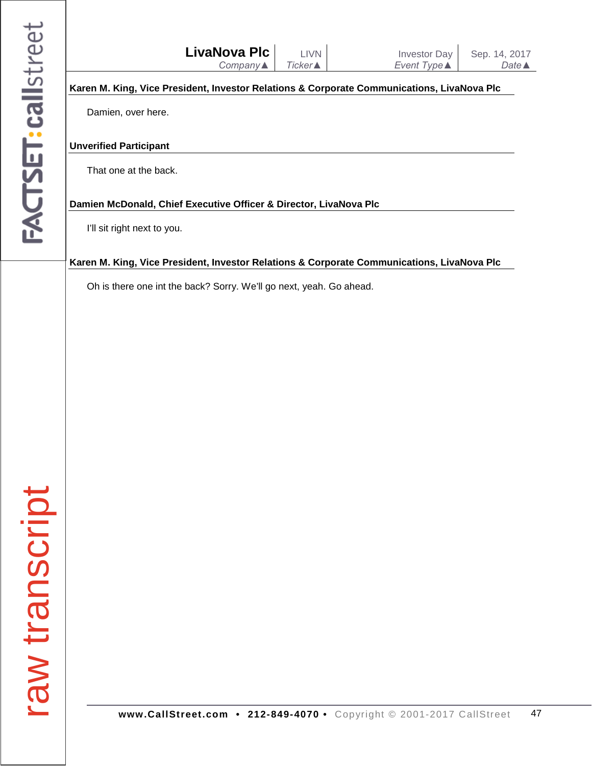|                |                               | <b>LivaNova Plc</b><br>Company▲                                     | <b>LIVN</b><br><b>Ticker</b> ▲ | <b>Investor Day</b><br>Event Type ▲                                                        | Sep. 14, 2017<br>Date <b>▲</b> |
|----------------|-------------------------------|---------------------------------------------------------------------|--------------------------------|--------------------------------------------------------------------------------------------|--------------------------------|
|                |                               |                                                                     |                                | Karen M. King, Vice President, Investor Relations & Corporate Communications, LivaNova Plc |                                |
|                | Damien, over here.            |                                                                     |                                |                                                                                            |                                |
|                | <b>Unverified Participant</b> |                                                                     |                                |                                                                                            |                                |
|                | That one at the back.         |                                                                     |                                |                                                                                            |                                |
|                |                               | Damien McDonald, Chief Executive Officer & Director, LivaNova Plc   |                                |                                                                                            |                                |
|                | I'll sit right next to you.   |                                                                     |                                |                                                                                            |                                |
|                |                               |                                                                     |                                | Karen M. King, Vice President, Investor Relations & Corporate Communications, LivaNova Plc |                                |
|                |                               | Oh is there one int the back? Sorry. We'll go next, yeah. Go ahead. |                                |                                                                                            |                                |
|                |                               |                                                                     |                                |                                                                                            |                                |
|                |                               |                                                                     |                                |                                                                                            |                                |
|                |                               |                                                                     |                                |                                                                                            |                                |
|                |                               |                                                                     |                                |                                                                                            |                                |
|                |                               |                                                                     |                                |                                                                                            |                                |
|                |                               |                                                                     |                                |                                                                                            |                                |
|                |                               |                                                                     |                                |                                                                                            |                                |
|                |                               |                                                                     |                                |                                                                                            |                                |
|                |                               |                                                                     |                                |                                                                                            |                                |
|                |                               |                                                                     |                                |                                                                                            |                                |
|                |                               |                                                                     |                                |                                                                                            |                                |
|                |                               |                                                                     |                                |                                                                                            |                                |
|                |                               |                                                                     |                                |                                                                                            |                                |
| raw transcript |                               |                                                                     |                                |                                                                                            |                                |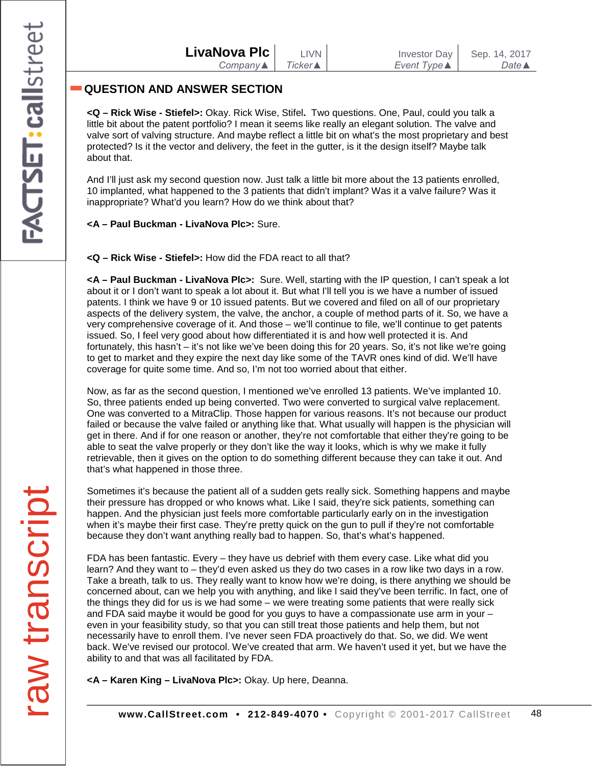## **QUESTION AND ANSWER SECTION**

**<Q – Rick Wise - Stiefel>:** Okay. Rick Wise, Stifel**.** Two questions. One, Paul, could you talk a little bit about the patent portfolio? I mean it seems like really an elegant solution. The valve and valve sort of valving structure. And maybe reflect a little bit on what's the most proprietary and best protected? Is it the vector and delivery, the feet in the gutter, is it the design itself? Maybe talk about that.

And I'll just ask my second question now. Just talk a little bit more about the 13 patients enrolled, 10 implanted, what happened to the 3 patients that didn't implant? Was it a valve failure? Was it inappropriate? What'd you learn? How do we think about that?

**<A – Paul Buckman - LivaNova Plc>:** Sure.

**<Q – Rick Wise - Stiefel>:** How did the FDA react to all that?

**<A – Paul Buckman - LivaNova Plc>:** Sure. Well, starting with the IP question, I can't speak a lot about it or I don't want to speak a lot about it. But what I'll tell you is we have a number of issued patents. I think we have 9 or 10 issued patents. But we covered and filed on all of our proprietary aspects of the delivery system, the valve, the anchor, a couple of method parts of it. So, we have a very comprehensive coverage of it. And those – we'll continue to file, we'll continue to get patents issued. So, I feel very good about how differentiated it is and how well protected it is. And fortunately, this hasn't – it's not like we've been doing this for 20 years. So, it's not like we're going to get to market and they expire the next day like some of the TAVR ones kind of did. We'll have coverage for quite some time. And so, I'm not too worried about that either.

Now, as far as the second question, I mentioned we've enrolled 13 patients. We've implanted 10. So, three patients ended up being converted. Two were converted to surgical valve replacement. One was converted to a MitraClip. Those happen for various reasons. It's not because our product failed or because the valve failed or anything like that. What usually will happen is the physician will get in there. And if for one reason or another, they're not comfortable that either they're going to be able to seat the valve properly or they don't like the way it looks, which is why we make it fully retrievable, then it gives on the option to do something different because they can take it out. And that's what happened in those three.

Sometimes it's because the patient all of a sudden gets really sick. Something happens and maybe their pressure has dropped or who knows what. Like I said, they're sick patients, something can happen. And the physician just feels more comfortable particularly early on in the investigation when it's maybe their first case. They're pretty quick on the gun to pull if they're not comfortable because they don't want anything really bad to happen. So, that's what's happened.

FDA has been fantastic. Every – they have us debrief with them every case. Like what did you learn? And they want to – they'd even asked us they do two cases in a row like two days in a row. Take a breath, talk to us. They really want to know how we're doing, is there anything we should be concerned about, can we help you with anything, and like I said they've been terrific. In fact, one of the things they did for us is we had some – we were treating some patients that were really sick and FDA said maybe it would be good for you guys to have a compassionate use arm in your – even in your feasibility study, so that you can still treat those patients and help them, but not necessarily have to enroll them. I've never seen FDA proactively do that. So, we did. We went back. We've revised our protocol. We've created that arm. We haven't used it yet, but we have the ability to and that was all facilitated by FDA.

**<A – Karen King – LivaNova Plc>:** Okay. Up here, Deanna.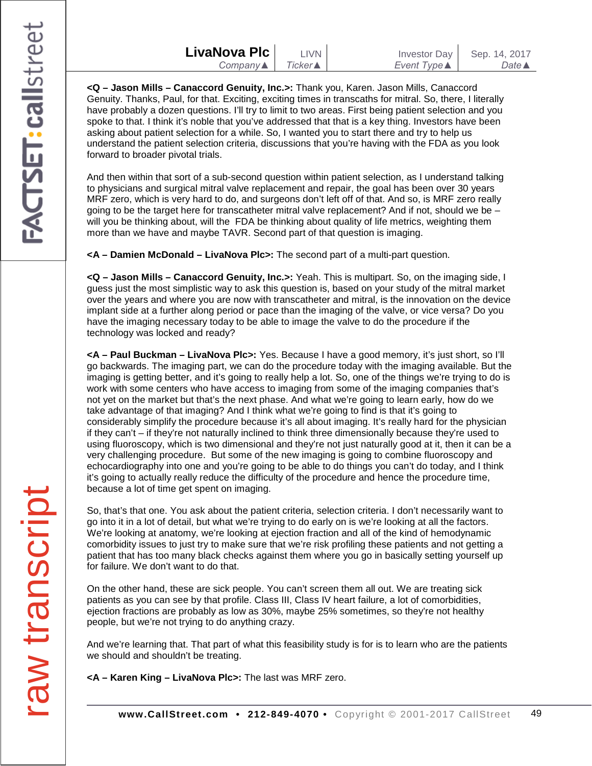| LivaNova Plc | LIVN            | Investor Day                | Sep. 14, 2017    |
|--------------|-----------------|-----------------------------|------------------|
| Company▲     | Ticker <b>▲</b> | Event Type $\blacktriangle$ | Date $\triangle$ |

**<Q – Jason Mills – Canaccord Genuity, Inc.>:** Thank you, Karen. Jason Mills, Canaccord Genuity. Thanks, Paul, for that. Exciting, exciting times in transcaths for mitral. So, there, I literally have probably a dozen questions. I'll try to limit to two areas. First being patient selection and you spoke to that. I think it's noble that you've addressed that that is a key thing. Investors have been asking about patient selection for a while. So, I wanted you to start there and try to help us understand the patient selection criteria, discussions that you're having with the FDA as you look forward to broader pivotal trials.

And then within that sort of a sub-second question within patient selection, as I understand talking to physicians and surgical mitral valve replacement and repair, the goal has been over 30 years MRF zero, which is very hard to do, and surgeons don't left off of that. And so, is MRF zero really going to be the target here for transcatheter mitral valve replacement? And if not, should we be – will you be thinking about, will the FDA be thinking about quality of life metrics, weighting them more than we have and maybe TAVR. Second part of that question is imaging.

**<A – Damien McDonald – LivaNova Plc>:** The second part of a multi-part question.

**<Q – Jason Mills – Canaccord Genuity, Inc.>:** Yeah. This is multipart. So, on the imaging side, I guess just the most simplistic way to ask this question is, based on your study of the mitral market over the years and where you are now with transcatheter and mitral, is the innovation on the device implant side at a further along period or pace than the imaging of the valve, or vice versa? Do you have the imaging necessary today to be able to image the valve to do the procedure if the technology was locked and ready?

**<A – Paul Buckman – LivaNova Plc>:** Yes. Because I have a good memory, it's just short, so I'll go backwards. The imaging part, we can do the procedure today with the imaging available. But the imaging is getting better, and it's going to really help a lot. So, one of the things we're trying to do is work with some centers who have access to imaging from some of the imaging companies that's not yet on the market but that's the next phase. And what we're going to learn early, how do we take advantage of that imaging? And I think what we're going to find is that it's going to considerably simplify the procedure because it's all about imaging. It's really hard for the physician if they can't – if they're not naturally inclined to think three dimensionally because they're used to using fluoroscopy, which is two dimensional and they're not just naturally good at it, then it can be a very challenging procedure. But some of the new imaging is going to combine fluoroscopy and echocardiography into one and you're going to be able to do things you can't do today, and I think it's going to actually really reduce the difficulty of the procedure and hence the procedure time, because a lot of time get spent on imaging.

So, that's that one. You ask about the patient criteria, selection criteria. I don't necessarily want to go into it in a lot of detail, but what we're trying to do early on is we're looking at all the factors. We're looking at anatomy, we're looking at ejection fraction and all of the kind of hemodynamic comorbidity issues to just try to make sure that we're risk profiling these patients and not getting a patient that has too many black checks against them where you go in basically setting yourself up for failure. We don't want to do that.

On the other hand, these are sick people. You can't screen them all out. We are treating sick patients as you can see by that profile. Class III, Class IV heart failure, a lot of comorbidities, ejection fractions are probably as low as 30%, maybe 25% sometimes, so they're not healthy people, but we're not trying to do anything crazy.

And we're learning that. That part of what this feasibility study is for is to learn who are the patients we should and shouldn't be treating.

**<A – Karen King – LivaNova Plc>:** The last was MRF zero.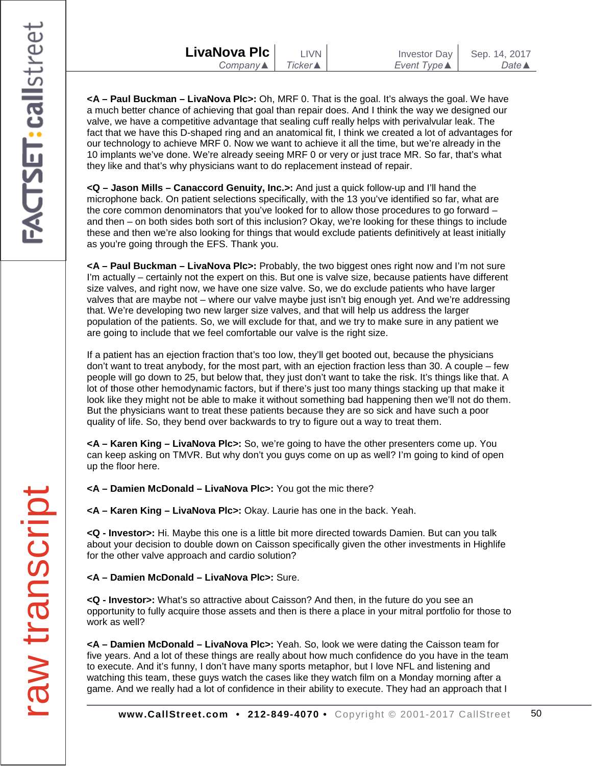| LivaNova Plc I           | T IVN              |  |
|--------------------------|--------------------|--|
| Company $\blacktriangle$ | $Ticker \triangle$ |  |
|                          |                    |  |

**<A – Paul Buckman – LivaNova Plc>:** Oh, MRF 0. That is the goal. It's always the goal. We have a much better chance of achieving that goal than repair does. And I think the way we designed our valve, we have a competitive advantage that sealing cuff really helps with perivalvular leak. The fact that we have this D-shaped ring and an anatomical fit, I think we created a lot of advantages for our technology to achieve MRF 0. Now we want to achieve it all the time, but we're already in the 10 implants we've done. We're already seeing MRF 0 or very or just trace MR. So far, that's what they like and that's why physicians want to do replacement instead of repair.

**<Q – Jason Mills – Canaccord Genuity, Inc.>:** And just a quick follow-up and I'll hand the microphone back. On patient selections specifically, with the 13 you've identified so far, what are the core common denominators that you've looked for to allow those procedures to go forward – and then – on both sides both sort of this inclusion? Okay, we're looking for these things to include these and then we're also looking for things that would exclude patients definitively at least initially as you're going through the EFS. Thank you.

**<A – Paul Buckman – LivaNova Plc>:** Probably, the two biggest ones right now and I'm not sure I'm actually – certainly not the expert on this. But one is valve size, because patients have different size valves, and right now, we have one size valve. So, we do exclude patients who have larger valves that are maybe not – where our valve maybe just isn't big enough yet. And we're addressing that. We're developing two new larger size valves, and that will help us address the larger population of the patients. So, we will exclude for that, and we try to make sure in any patient we are going to include that we feel comfortable our valve is the right size.

If a patient has an ejection fraction that's too low, they'll get booted out, because the physicians don't want to treat anybody, for the most part, with an ejection fraction less than 30. A couple – few people will go down to 25, but below that, they just don't want to take the risk. It's things like that. A lot of those other hemodynamic factors, but if there's just too many things stacking up that make it look like they might not be able to make it without something bad happening then we'll not do them. But the physicians want to treat these patients because they are so sick and have such a poor quality of life. So, they bend over backwards to try to figure out a way to treat them.

**<A – Karen King – LivaNova Plc>:** So, we're going to have the other presenters come up. You can keep asking on TMVR. But why don't you guys come on up as well? I'm going to kind of open up the floor here.

**<A – Damien McDonald – LivaNova Plc>:** You got the mic there?

**<A – Karen King – LivaNova Plc>:** Okay. Laurie has one in the back. Yeah.

**<Q - Investor>:** Hi. Maybe this one is a little bit more directed towards Damien. But can you talk about your decision to double down on Caisson specifically given the other investments in Highlife for the other valve approach and cardio solution?

**<A – Damien McDonald – LivaNova Plc>:** Sure.

**<Q - Investor>:** What's so attractive about Caisson? And then, in the future do you see an opportunity to fully acquire those assets and then is there a place in your mitral portfolio for those to work as well?

**<A – Damien McDonald – LivaNova Plc>:** Yeah. So, look we were dating the Caisson team for five years. And a lot of these things are really about how much confidence do you have in the team to execute. And it's funny, I don't have many sports metaphor, but I love NFL and listening and watching this team, these guys watch the cases like they watch film on a Monday morning after a game. And we really had a lot of confidence in their ability to execute. They had an approach that I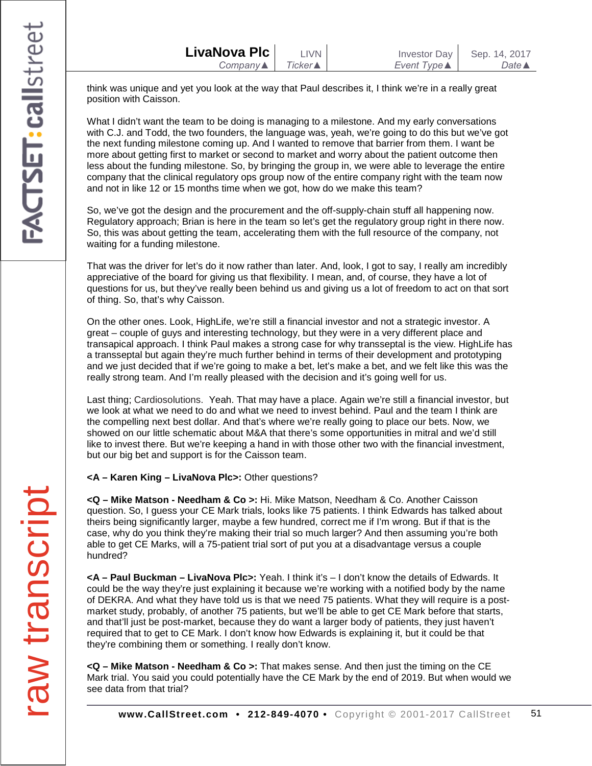think was unique and yet you look at the way that Paul describes it, I think we're in a really great position with Caisson.

What I didn't want the team to be doing is managing to a milestone. And my early conversations with C.J. and Todd, the two founders, the language was, yeah, we're going to do this but we've got the next funding milestone coming up. And I wanted to remove that barrier from them. I want be more about getting first to market or second to market and worry about the patient outcome then less about the funding milestone. So, by bringing the group in, we were able to leverage the entire company that the clinical regulatory ops group now of the entire company right with the team now and not in like 12 or 15 months time when we got, how do we make this team?

So, we've got the design and the procurement and the off-supply-chain stuff all happening now. Regulatory approach; Brian is here in the team so let's get the regulatory group right in there now. So, this was about getting the team, accelerating them with the full resource of the company, not waiting for a funding milestone.

That was the driver for let's do it now rather than later. And, look, I got to say, I really am incredibly appreciative of the board for giving us that flexibility. I mean, and, of course, they have a lot of questions for us, but they've really been behind us and giving us a lot of freedom to act on that sort of thing. So, that's why Caisson.

On the other ones. Look, HighLife, we're still a financial investor and not a strategic investor. A great – couple of guys and interesting technology, but they were in a very different place and transapical approach. I think Paul makes a strong case for why transseptal is the view. HighLife has a transseptal but again they're much further behind in terms of their development and prototyping and we just decided that if we're going to make a bet, let's make a bet, and we felt like this was the really strong team. And I'm really pleased with the decision and it's going well for us.

Last thing; Cardiosolutions. Yeah. That may have a place. Again we're still a financial investor, but we look at what we need to do and what we need to invest behind. Paul and the team I think are the compelling next best dollar. And that's where we're really going to place our bets. Now, we showed on our little schematic about M&A that there's some opportunities in mitral and we'd still like to invest there. But we're keeping a hand in with those other two with the financial investment, but our big bet and support is for the Caisson team.

### **<A – Karen King – LivaNova Plc>:** Other questions?

**<Q – Mike Matson - Needham & Co >:** Hi. Mike Matson, Needham & Co. Another Caisson question. So, I guess your CE Mark trials, looks like 75 patients. I think Edwards has talked about theirs being significantly larger, maybe a few hundred, correct me if I'm wrong. But if that is the case, why do you think they're making their trial so much larger? And then assuming you're both able to get CE Marks, will a 75-patient trial sort of put you at a disadvantage versus a couple hundred?

**<A – Paul Buckman – LivaNova Plc>:** Yeah. I think it's – I don't know the details of Edwards. It could be the way they're just explaining it because we're working with a notified body by the name of DEKRA. And what they have told us is that we need 75 patients. What they will require is a postmarket study, probably, of another 75 patients, but we'll be able to get CE Mark before that starts, and that'll just be post-market, because they do want a larger body of patients, they just haven't required that to get to CE Mark. I don't know how Edwards is explaining it, but it could be that they're combining them or something. I really don't know.

**<Q – Mike Matson - Needham & Co >:** That makes sense. And then just the timing on the CE Mark trial. You said you could potentially have the CE Mark by the end of 2019. But when would we see data from that trial?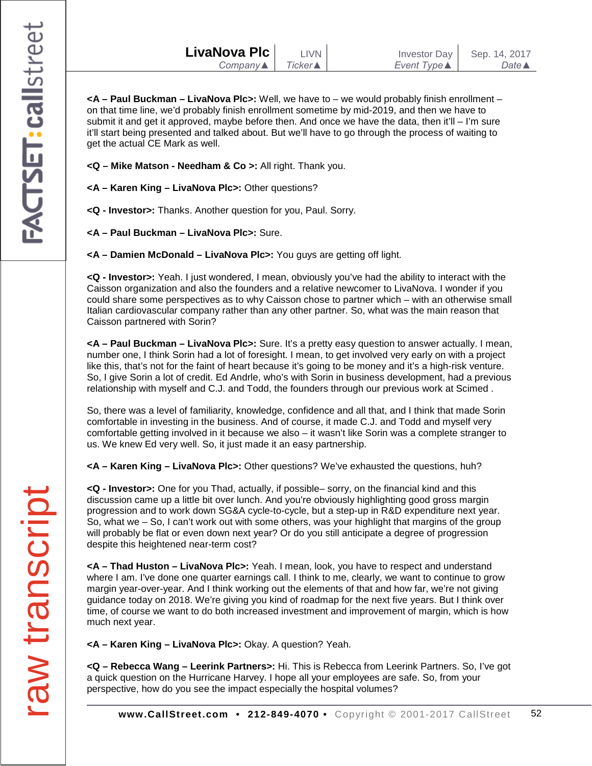- **<Q – Mike Matson - Needham & Co >:** All right. Thank you.
- **<A – Karen King – LivaNova Plc>:** Other questions?
- **<Q - Investor>:** Thanks. Another question for you, Paul. Sorry.
- **<A – Paul Buckman – LivaNova Plc>:** Sure.
- **<A – Damien McDonald – LivaNova Plc>:** You guys are getting off light.

**<Q - Investor>:** Yeah. I just wondered, I mean, obviously you've had the ability to interact with the Caisson organization and also the founders and a relative newcomer to LivaNova. I wonder if you could share some perspectives as to why Caisson chose to partner which – with an otherwise small Italian cardiovascular company rather than any other partner. So, what was the main reason that Caisson partnered with Sorin?

**<A – Paul Buckman – LivaNova Plc>:** Sure. It's a pretty easy question to answer actually. I mean, number one, I think Sorin had a lot of foresight. I mean, to get involved very early on with a project like this, that's not for the faint of heart because it's going to be money and it's a high-risk venture. So, I give Sorin a lot of credit. Ed Andrle, who's with Sorin in business development, had a previous relationship with myself and C.J. and Todd, the founders through our previous work at Scimed .

So, there was a level of familiarity, knowledge, confidence and all that, and I think that made Sorin comfortable in investing in the business. And of course, it made C.J. and Todd and myself very comfortable getting involved in it because we also – it wasn't like Sorin was a complete stranger to us. We knew Ed very well. So, it just made it an easy partnership.

**<A – Karen King – LivaNova Plc>:** Other questions? We've exhausted the questions, huh?

**<Q - Investor>:** One for you Thad, actually, if possible– sorry, on the financial kind and this discussion came up a little bit over lunch. And you're obviously highlighting good gross margin progression and to work down SG&A cycle-to-cycle, but a step-up in R&D expenditure next year. So, what we – So, I can't work out with some others, was your highlight that margins of the group will probably be flat or even down next year? Or do you still anticipate a degree of progression despite this heightened near-term cost?

**<A – Thad Huston – LivaNova Plc>:** Yeah. I mean, look, you have to respect and understand where I am. I've done one quarter earnings call. I think to me, clearly, we want to continue to grow margin year-over-year. And I think working out the elements of that and how far, we're not giving guidance today on 2018. We're giving you kind of roadmap for the next five years. But I think over time, of course we want to do both increased investment and improvement of margin, which is how much next year.

**<A – Karen King – LivaNova Plc>:** Okay. A question? Yeah.

**<Q – Rebecca Wang – Leerink Partners>:** Hi. This is Rebecca from Leerink Partners. So, I've got a quick question on the Hurricane Harvey. I hope all your employees are safe. So, from your perspective, how do you see the impact especially the hospital volumes?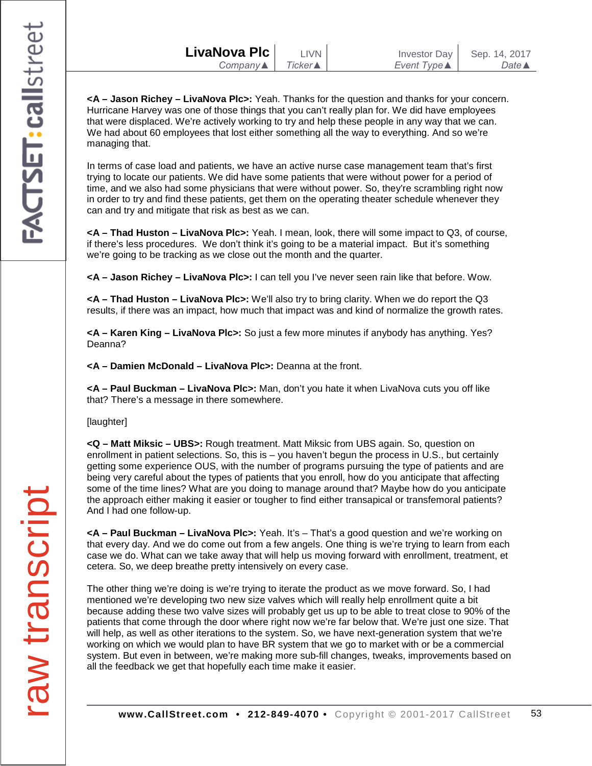| LivaNova Plc | <b>LIVN</b> | <b>Investor Day</b> | Sep. 14, 2017    |
|--------------|-------------|---------------------|------------------|
| Company      | Ticker▲     | Event Type <b>▲</b> | Date $\triangle$ |
|              |             |                     |                  |

**<A – Jason Richey – LivaNova Plc>:** Yeah. Thanks for the question and thanks for your concern. Hurricane Harvey was one of those things that you can't really plan for. We did have employees that were displaced. We're actively working to try and help these people in any way that we can. We had about 60 employees that lost either something all the way to everything. And so we're managing that.

In terms of case load and patients, we have an active nurse case management team that's first trying to locate our patients. We did have some patients that were without power for a period of time, and we also had some physicians that were without power. So, they're scrambling right now in order to try and find these patients, get them on the operating theater schedule whenever they can and try and mitigate that risk as best as we can.

**<A – Thad Huston – LivaNova Plc>:** Yeah. I mean, look, there will some impact to Q3, of course, if there's less procedures. We don't think it's going to be a material impact. But it's something we're going to be tracking as we close out the month and the quarter.

**<A – Jason Richey – LivaNova Plc>:** I can tell you I've never seen rain like that before. Wow.

**<A – Thad Huston – LivaNova Plc>:** We'll also try to bring clarity. When we do report the Q3 results, if there was an impact, how much that impact was and kind of normalize the growth rates.

**<A – Karen King – LivaNova Plc>:** So just a few more minutes if anybody has anything. Yes? Deanna?

**<A – Damien McDonald – LivaNova Plc>:** Deanna at the front.

**<A – Paul Buckman – LivaNova Plc>:** Man, don't you hate it when LivaNova cuts you off like that? There's a message in there somewhere.

[laughter]

**<Q – Matt Miksic – UBS>:** Rough treatment. Matt Miksic from UBS again. So, question on enrollment in patient selections. So, this is – you haven't begun the process in U.S., but certainly getting some experience OUS, with the number of programs pursuing the type of patients and are being very careful about the types of patients that you enroll, how do you anticipate that affecting some of the time lines? What are you doing to manage around that? Maybe how do you anticipate the approach either making it easier or tougher to find either transapical or transfemoral patients? And I had one follow-up.

**<A – Paul Buckman – LivaNova Plc>:** Yeah. It's – That's a good question and we're working on that every day. And we do come out from a few angels. One thing is we're trying to learn from each case we do. What can we take away that will help us moving forward with enrollment, treatment, et cetera. So, we deep breathe pretty intensively on every case.

The other thing we're doing is we're trying to iterate the product as we move forward. So, I had mentioned we're developing two new size valves which will really help enrollment quite a bit because adding these two valve sizes will probably get us up to be able to treat close to 90% of the patients that come through the door where right now we're far below that. We're just one size. That will help, as well as other iterations to the system. So, we have next-generation system that we're working on which we would plan to have BR system that we go to market with or be a commercial system. But even in between, we're making more sub-fill changes, tweaks, improvements based on all the feedback we get that hopefully each time make it easier.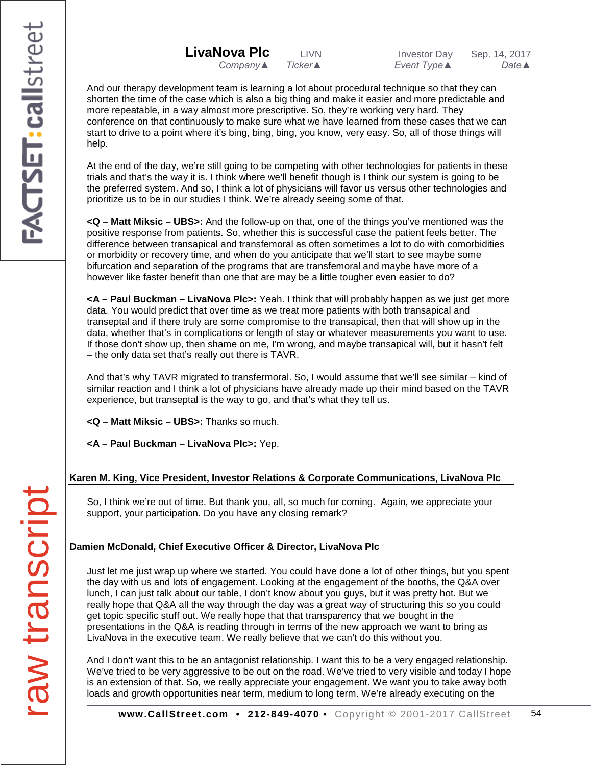And our therapy development team is learning a lot about procedural technique so that they can shorten the time of the case which is also a big thing and make it easier and more predictable and more repeatable, in a way almost more prescriptive. So, they're working very hard. They conference on that continuously to make sure what we have learned from these cases that we can start to drive to a point where it's bing, bing, bing, you know, very easy. So, all of those things will help.

At the end of the day, we're still going to be competing with other technologies for patients in these trials and that's the way it is. I think where we'll benefit though is I think our system is going to be the preferred system. And so, I think a lot of physicians will favor us versus other technologies and prioritize us to be in our studies I think. We're already seeing some of that.

**<Q – Matt Miksic – UBS>:** And the follow-up on that, one of the things you've mentioned was the positive response from patients. So, whether this is successful case the patient feels better. The difference between transapical and transfemoral as often sometimes a lot to do with comorbidities or morbidity or recovery time, and when do you anticipate that we'll start to see maybe some bifurcation and separation of the programs that are transfemoral and maybe have more of a however like faster benefit than one that are may be a little tougher even easier to do?

**<A – Paul Buckman – LivaNova Plc>:** Yeah. I think that will probably happen as we just get more data. You would predict that over time as we treat more patients with both transapical and transeptal and if there truly are some compromise to the transapical, then that will show up in the data, whether that's in complications or length of stay or whatever measurements you want to use. If those don't show up, then shame on me, I'm wrong, and maybe transapical will, but it hasn't felt – the only data set that's really out there is TAVR.

And that's why TAVR migrated to transfermoral. So, I would assume that we'll see similar – kind of similar reaction and I think a lot of physicians have already made up their mind based on the TAVR experience, but transeptal is the way to go, and that's what they tell us.

**<Q – Matt Miksic – UBS>:** Thanks so much.

**<A – Paul Buckman – LivaNova Plc>:** Yep.

### **Karen M. King, Vice President, Investor Relations & Corporate Communications, LivaNova Plc**

So, I think we're out of time. But thank you, all, so much for coming. Again, we appreciate your support, your participation. Do you have any closing remark?

### **Damien McDonald, Chief Executive Officer & Director, LivaNova Plc**

Just let me just wrap up where we started. You could have done a lot of other things, but you spent the day with us and lots of engagement. Looking at the engagement of the booths, the Q&A over lunch, I can just talk about our table, I don't know about you guys, but it was pretty hot. But we really hope that Q&A all the way through the day was a great way of structuring this so you could get topic specific stuff out. We really hope that that transparency that we bought in the presentations in the Q&A is reading through in terms of the new approach we want to bring as LivaNova in the executive team. We really believe that we can't do this without you.

And I don't want this to be an antagonist relationship. I want this to be a very engaged relationship. We've tried to be very aggressive to be out on the road. We've tried to very visible and today I hope is an extension of that. So, we really appreciate your engagement. We want you to take away both loads and growth opportunities near term, medium to long term. We're already executing on the